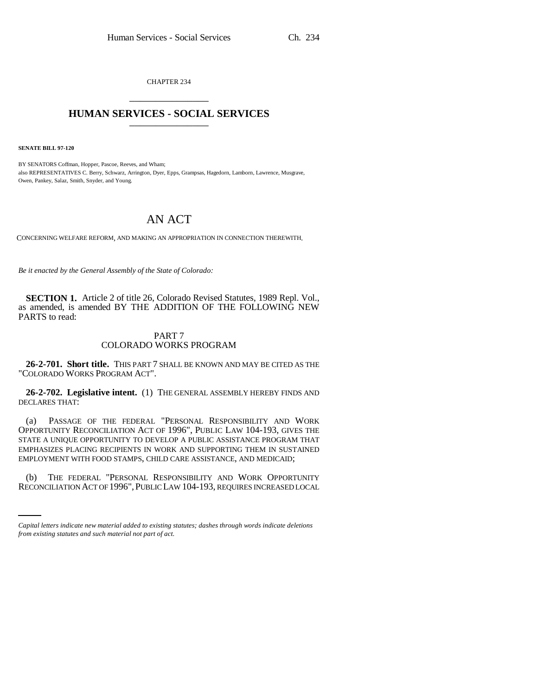CHAPTER 234 \_\_\_\_\_\_\_\_\_\_\_\_\_\_\_

## **HUMAN SERVICES - SOCIAL SERVICES** \_\_\_\_\_\_\_\_\_\_\_\_\_\_\_

**SENATE BILL 97-120**

BY SENATORS Coffman, Hopper, Pascoe, Reeves, and Wham; also REPRESENTATIVES C. Berry, Schwarz, Arrington, Dyer, Epps, Grampsas, Hagedorn, Lamborn, Lawrence, Musgrave, Owen, Pankey, Salaz, Smith, Snyder, and Young.

# AN ACT

CONCERNING WELFARE REFORM, AND MAKING AN APPROPRIATION IN CONNECTION THEREWITH.

*Be it enacted by the General Assembly of the State of Colorado:*

**SECTION 1.** Article 2 of title 26, Colorado Revised Statutes, 1989 Repl. Vol., as amended, is amended BY THE ADDITION OF THE FOLLOWING NEW PARTS to read:

### PART 7 COLORADO WORKS PROGRAM

**26-2-701. Short title.** THIS PART 7 SHALL BE KNOWN AND MAY BE CITED AS THE "COLORADO WORKS PROGRAM ACT".

**26-2-702. Legislative intent.** (1) THE GENERAL ASSEMBLY HEREBY FINDS AND DECLARES THAT:

(a) PASSAGE OF THE FEDERAL "PERSONAL RESPONSIBILITY AND WORK OPPORTUNITY RECONCILIATION ACT OF 1996", PUBLIC LAW 104-193, GIVES THE STATE A UNIQUE OPPORTUNITY TO DEVELOP A PUBLIC ASSISTANCE PROGRAM THAT EMPHASIZES PLACING RECIPIENTS IN WORK AND SUPPORTING THEM IN SUSTAINED EMPLOYMENT WITH FOOD STAMPS, CHILD CARE ASSISTANCE, AND MEDICAID;

(b) THE FEDERAL "PERSONAL RESPONSIBILITY AND WORK OPPORTUNITY RECONCILIATION ACT OF 1996",PUBLIC LAW 104-193, REQUIRES INCREASED LOCAL

*Capital letters indicate new material added to existing statutes; dashes through words indicate deletions from existing statutes and such material not part of act.*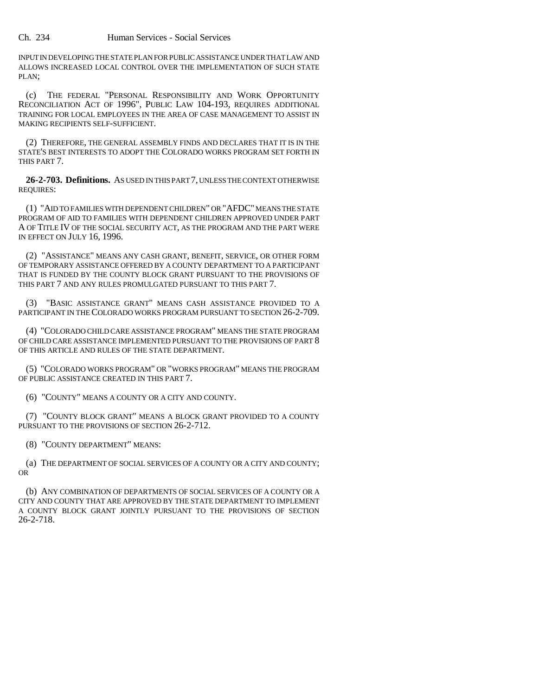INPUT IN DEVELOPING THE STATE PLAN FOR PUBLIC ASSISTANCE UNDER THAT LAW AND ALLOWS INCREASED LOCAL CONTROL OVER THE IMPLEMENTATION OF SUCH STATE PLAN;

(c) THE FEDERAL "PERSONAL RESPONSIBILITY AND WORK OPPORTUNITY RECONCILIATION ACT OF 1996", PUBLIC LAW 104-193, REQUIRES ADDITIONAL TRAINING FOR LOCAL EMPLOYEES IN THE AREA OF CASE MANAGEMENT TO ASSIST IN MAKING RECIPIENTS SELF-SUFFICIENT.

(2) THEREFORE, THE GENERAL ASSEMBLY FINDS AND DECLARES THAT IT IS IN THE STATE'S BEST INTERESTS TO ADOPT THE COLORADO WORKS PROGRAM SET FORTH IN THIS PART 7.

**26-2-703. Definitions.** AS USED IN THIS PART 7, UNLESS THE CONTEXT OTHERWISE REQUIRES:

(1) "AID TO FAMILIES WITH DEPENDENT CHILDREN" OR "AFDC" MEANS THE STATE PROGRAM OF AID TO FAMILIES WITH DEPENDENT CHILDREN APPROVED UNDER PART A OF TITLE IV OF THE SOCIAL SECURITY ACT, AS THE PROGRAM AND THE PART WERE IN EFFECT ON JULY 16, 1996.

(2) "ASSISTANCE" MEANS ANY CASH GRANT, BENEFIT, SERVICE, OR OTHER FORM OF TEMPORARY ASSISTANCE OFFERED BY A COUNTY DEPARTMENT TO A PARTICIPANT THAT IS FUNDED BY THE COUNTY BLOCK GRANT PURSUANT TO THE PROVISIONS OF THIS PART 7 AND ANY RULES PROMULGATED PURSUANT TO THIS PART 7.

(3) "BASIC ASSISTANCE GRANT" MEANS CASH ASSISTANCE PROVIDED TO A PARTICIPANT IN THE COLORADO WORKS PROGRAM PURSUANT TO SECTION 26-2-709.

(4) "COLORADO CHILD CARE ASSISTANCE PROGRAM" MEANS THE STATE PROGRAM OF CHILD CARE ASSISTANCE IMPLEMENTED PURSUANT TO THE PROVISIONS OF PART 8 OF THIS ARTICLE AND RULES OF THE STATE DEPARTMENT.

(5) "COLORADO WORKS PROGRAM" OR "WORKS PROGRAM" MEANS THE PROGRAM OF PUBLIC ASSISTANCE CREATED IN THIS PART 7.

(6) "COUNTY" MEANS A COUNTY OR A CITY AND COUNTY.

(7) "COUNTY BLOCK GRANT" MEANS A BLOCK GRANT PROVIDED TO A COUNTY PURSUANT TO THE PROVISIONS OF SECTION 26-2-712.

(8) "COUNTY DEPARTMENT" MEANS:

(a) THE DEPARTMENT OF SOCIAL SERVICES OF A COUNTY OR A CITY AND COUNTY; OR

(b) ANY COMBINATION OF DEPARTMENTS OF SOCIAL SERVICES OF A COUNTY OR A CITY AND COUNTY THAT ARE APPROVED BY THE STATE DEPARTMENT TO IMPLEMENT A COUNTY BLOCK GRANT JOINTLY PURSUANT TO THE PROVISIONS OF SECTION 26-2-718.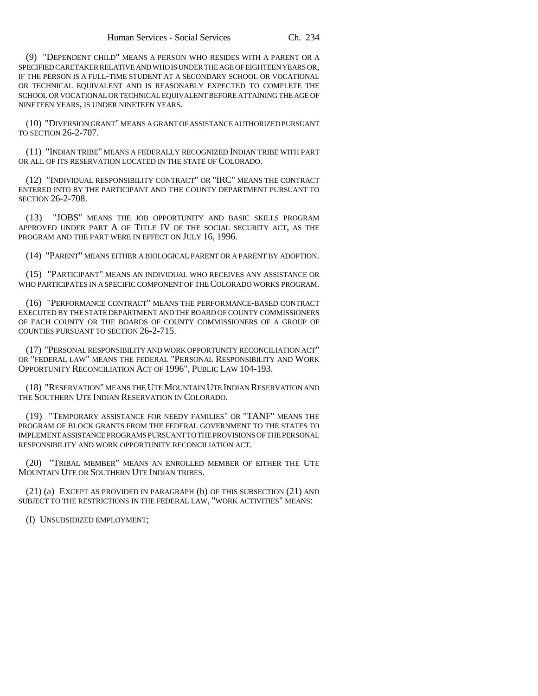(9) "DEPENDENT CHILD" MEANS A PERSON WHO RESIDES WITH A PARENT OR A SPECIFIED CARETAKER RELATIVE AND WHO IS UNDER THE AGE OF EIGHTEEN YEARS OR, IF THE PERSON IS A FULL-TIME STUDENT AT A SECONDARY SCHOOL OR VOCATIONAL OR TECHNICAL EQUIVALENT AND IS REASONABLY EXPECTED TO COMPLETE THE SCHOOL OR VOCATIONAL OR TECHNICAL EQUIVALENT BEFORE ATTAINING THE AGE OF NINETEEN YEARS, IS UNDER NINETEEN YEARS.

(10) "DIVERSION GRANT" MEANS A GRANT OF ASSISTANCE AUTHORIZED PURSUANT TO SECTION 26-2-707.

(11) "INDIAN TRIBE" MEANS A FEDERALLY RECOGNIZED INDIAN TRIBE WITH PART OR ALL OF ITS RESERVATION LOCATED IN THE STATE OF COLORADO.

(12) "INDIVIDUAL RESPONSIBILITY CONTRACT" OR "IRC" MEANS THE CONTRACT ENTERED INTO BY THE PARTICIPANT AND THE COUNTY DEPARTMENT PURSUANT TO SECTION 26-2-708.

(13) "JOBS" MEANS THE JOB OPPORTUNITY AND BASIC SKILLS PROGRAM APPROVED UNDER PART A OF TITLE IV OF THE SOCIAL SECURITY ACT, AS THE PROGRAM AND THE PART WERE IN EFFECT ON JULY 16, 1996.

(14) "PARENT" MEANS EITHER A BIOLOGICAL PARENT OR A PARENT BY ADOPTION.

(15) "PARTICIPANT" MEANS AN INDIVIDUAL WHO RECEIVES ANY ASSISTANCE OR WHO PARTICIPATES IN A SPECIFIC COMPONENT OF THE COLORADO WORKS PROGRAM.

(16) "PERFORMANCE CONTRACT" MEANS THE PERFORMANCE-BASED CONTRACT EXECUTED BY THE STATE DEPARTMENT AND THE BOARD OF COUNTY COMMISSIONERS OF EACH COUNTY OR THE BOARDS OF COUNTY COMMISSIONERS OF A GROUP OF COUNTIES PURSUANT TO SECTION 26-2-715.

(17) "PERSONAL RESPONSIBILITY AND WORK OPPORTUNITY RECONCILIATION ACT" OR "FEDERAL LAW" MEANS THE FEDERAL "PERSONAL RESPONSIBILITY AND WORK OPPORTUNITY RECONCILIATION ACT OF 1996", PUBLIC LAW 104-193.

(18) "RESERVATION" MEANS THE UTE MOUNTAIN UTE INDIAN RESERVATION AND THE SOUTHERN UTE INDIAN RESERVATION IN COLORADO.

(19) "TEMPORARY ASSISTANCE FOR NEEDY FAMILIES" OR "TANF" MEANS THE PROGRAM OF BLOCK GRANTS FROM THE FEDERAL GOVERNMENT TO THE STATES TO IMPLEMENT ASSISTANCE PROGRAMS PURSUANT TO THE PROVISIONS OF THE PERSONAL RESPONSIBILITY AND WORK OPPORTUNITY RECONCILIATION ACT.

(20) "TRIBAL MEMBER" MEANS AN ENROLLED MEMBER OF EITHER THE UTE MOUNTAIN UTE OR SOUTHERN UTE INDIAN TRIBES.

(21) (a) EXCEPT AS PROVIDED IN PARAGRAPH (b) OF THIS SUBSECTION (21) AND SUBJECT TO THE RESTRICTIONS IN THE FEDERAL LAW, "WORK ACTIVITIES" MEANS:

(I) UNSUBSIDIZED EMPLOYMENT;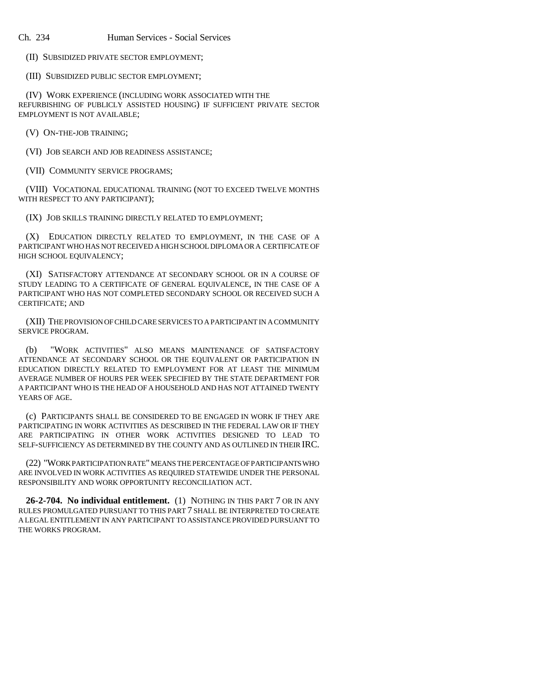(II) SUBSIDIZED PRIVATE SECTOR EMPLOYMENT;

(III) SUBSIDIZED PUBLIC SECTOR EMPLOYMENT;

(IV) WORK EXPERIENCE (INCLUDING WORK ASSOCIATED WITH THE REFURBISHING OF PUBLICLY ASSISTED HOUSING) IF SUFFICIENT PRIVATE SECTOR EMPLOYMENT IS NOT AVAILABLE;

(V) ON-THE-JOB TRAINING;

(VI) JOB SEARCH AND JOB READINESS ASSISTANCE;

(VII) COMMUNITY SERVICE PROGRAMS;

(VIII) VOCATIONAL EDUCATIONAL TRAINING (NOT TO EXCEED TWELVE MONTHS WITH RESPECT TO ANY PARTICIPANT);

(IX) JOB SKILLS TRAINING DIRECTLY RELATED TO EMPLOYMENT;

(X) EDUCATION DIRECTLY RELATED TO EMPLOYMENT, IN THE CASE OF A PARTICIPANT WHO HAS NOT RECEIVED A HIGH SCHOOL DIPLOMA OR A CERTIFICATE OF HIGH SCHOOL EQUIVALENCY;

(XI) SATISFACTORY ATTENDANCE AT SECONDARY SCHOOL OR IN A COURSE OF STUDY LEADING TO A CERTIFICATE OF GENERAL EQUIVALENCE, IN THE CASE OF A PARTICIPANT WHO HAS NOT COMPLETED SECONDARY SCHOOL OR RECEIVED SUCH A CERTIFICATE; AND

(XII) THE PROVISION OF CHILD CARE SERVICES TO A PARTICIPANT IN A COMMUNITY SERVICE PROGRAM.

(b) "WORK ACTIVITIES" ALSO MEANS MAINTENANCE OF SATISFACTORY ATTENDANCE AT SECONDARY SCHOOL OR THE EQUIVALENT OR PARTICIPATION IN EDUCATION DIRECTLY RELATED TO EMPLOYMENT FOR AT LEAST THE MINIMUM AVERAGE NUMBER OF HOURS PER WEEK SPECIFIED BY THE STATE DEPARTMENT FOR A PARTICIPANT WHO IS THE HEAD OF A HOUSEHOLD AND HAS NOT ATTAINED TWENTY YEARS OF AGE.

(c) PARTICIPANTS SHALL BE CONSIDERED TO BE ENGAGED IN WORK IF THEY ARE PARTICIPATING IN WORK ACTIVITIES AS DESCRIBED IN THE FEDERAL LAW OR IF THEY ARE PARTICIPATING IN OTHER WORK ACTIVITIES DESIGNED TO LEAD TO SELF-SUFFICIENCY AS DETERMINED BY THE COUNTY AND AS OUTLINED IN THEIR IRC.

(22) "WORK PARTICIPATION RATE" MEANS THE PERCENTAGE OF PARTICIPANTS WHO ARE INVOLVED IN WORK ACTIVITIES AS REQUIRED STATEWIDE UNDER THE PERSONAL RESPONSIBILITY AND WORK OPPORTUNITY RECONCILIATION ACT.

**26-2-704. No individual entitlement.** (1) NOTHING IN THIS PART 7 OR IN ANY RULES PROMULGATED PURSUANT TO THIS PART 7 SHALL BE INTERPRETED TO CREATE A LEGAL ENTITLEMENT IN ANY PARTICIPANT TO ASSISTANCE PROVIDED PURSUANT TO THE WORKS PROGRAM.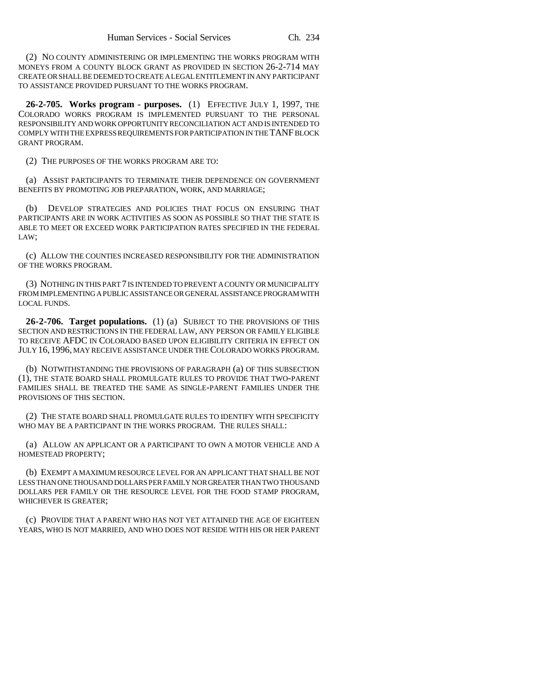(2) NO COUNTY ADMINISTERING OR IMPLEMENTING THE WORKS PROGRAM WITH MONEYS FROM A COUNTY BLOCK GRANT AS PROVIDED IN SECTION 26-2-714 MAY CREATE OR SHALL BE DEEMED TO CREATE A LEGAL ENTITLEMENT IN ANY PARTICIPANT TO ASSISTANCE PROVIDED PURSUANT TO THE WORKS PROGRAM.

**26-2-705. Works program - purposes.** (1) EFFECTIVE JULY 1, 1997, THE COLORADO WORKS PROGRAM IS IMPLEMENTED PURSUANT TO THE PERSONAL RESPONSIBILITY AND WORK OPPORTUNITY RECONCILIATION ACT AND IS INTENDED TO COMPLY WITH THE EXPRESS REQUIREMENTS FOR PARTICIPATION IN THE TANF BLOCK GRANT PROGRAM.

(2) THE PURPOSES OF THE WORKS PROGRAM ARE TO:

(a) ASSIST PARTICIPANTS TO TERMINATE THEIR DEPENDENCE ON GOVERNMENT BENEFITS BY PROMOTING JOB PREPARATION, WORK, AND MARRIAGE;

(b) DEVELOP STRATEGIES AND POLICIES THAT FOCUS ON ENSURING THAT PARTICIPANTS ARE IN WORK ACTIVITIES AS SOON AS POSSIBLE SO THAT THE STATE IS ABLE TO MEET OR EXCEED WORK PARTICIPATION RATES SPECIFIED IN THE FEDERAL LAW;

(c) ALLOW THE COUNTIES INCREASED RESPONSIBILITY FOR THE ADMINISTRATION OF THE WORKS PROGRAM.

(3) NOTHING IN THIS PART 7 IS INTENDED TO PREVENT A COUNTY OR MUNICIPALITY FROM IMPLEMENTING A PUBLIC ASSISTANCE OR GENERAL ASSISTANCE PROGRAM WITH LOCAL FUNDS.

**26-2-706. Target populations.** (1) (a) SUBJECT TO THE PROVISIONS OF THIS SECTION AND RESTRICTIONS IN THE FEDERAL LAW, ANY PERSON OR FAMILY ELIGIBLE TO RECEIVE AFDC IN COLORADO BASED UPON ELIGIBILITY CRITERIA IN EFFECT ON JULY 16, 1996, MAY RECEIVE ASSISTANCE UNDER THE COLORADO WORKS PROGRAM.

(b) NOTWITHSTANDING THE PROVISIONS OF PARAGRAPH (a) OF THIS SUBSECTION (1), THE STATE BOARD SHALL PROMULGATE RULES TO PROVIDE THAT TWO-PARENT FAMILIES SHALL BE TREATED THE SAME AS SINGLE-PARENT FAMILIES UNDER THE PROVISIONS OF THIS SECTION.

(2) THE STATE BOARD SHALL PROMULGATE RULES TO IDENTIFY WITH SPECIFICITY WHO MAY BE A PARTICIPANT IN THE WORKS PROGRAM. THE RULES SHALL:

(a) ALLOW AN APPLICANT OR A PARTICIPANT TO OWN A MOTOR VEHICLE AND A HOMESTEAD PROPERTY;

(b) EXEMPT A MAXIMUM RESOURCE LEVEL FOR AN APPLICANT THAT SHALL BE NOT LESS THAN ONE THOUSAND DOLLARS PER FAMILY NOR GREATER THAN TWO THOUSAND DOLLARS PER FAMILY OR THE RESOURCE LEVEL FOR THE FOOD STAMP PROGRAM, WHICHEVER IS GREATER;

(c) PROVIDE THAT A PARENT WHO HAS NOT YET ATTAINED THE AGE OF EIGHTEEN YEARS, WHO IS NOT MARRIED, AND WHO DOES NOT RESIDE WITH HIS OR HER PARENT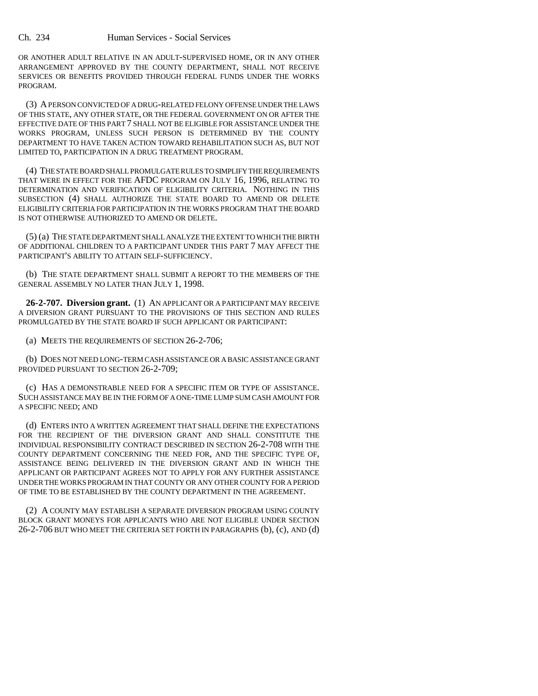OR ANOTHER ADULT RELATIVE IN AN ADULT-SUPERVISED HOME, OR IN ANY OTHER ARRANGEMENT APPROVED BY THE COUNTY DEPARTMENT, SHALL NOT RECEIVE SERVICES OR BENEFITS PROVIDED THROUGH FEDERAL FUNDS UNDER THE WORKS PROGRAM.

(3) A PERSON CONVICTED OF A DRUG-RELATED FELONY OFFENSE UNDER THE LAWS OF THIS STATE, ANY OTHER STATE, OR THE FEDERAL GOVERNMENT ON OR AFTER THE EFFECTIVE DATE OF THIS PART 7 SHALL NOT BE ELIGIBLE FOR ASSISTANCE UNDER THE WORKS PROGRAM, UNLESS SUCH PERSON IS DETERMINED BY THE COUNTY DEPARTMENT TO HAVE TAKEN ACTION TOWARD REHABILITATION SUCH AS, BUT NOT LIMITED TO, PARTICIPATION IN A DRUG TREATMENT PROGRAM.

(4) THE STATE BOARD SHALL PROMULGATE RULES TO SIMPLIFY THE REQUIREMENTS THAT WERE IN EFFECT FOR THE AFDC PROGRAM ON JULY 16, 1996, RELATING TO DETERMINATION AND VERIFICATION OF ELIGIBILITY CRITERIA. NOTHING IN THIS SUBSECTION (4) SHALL AUTHORIZE THE STATE BOARD TO AMEND OR DELETE ELIGIBILITY CRITERIA FOR PARTICIPATION IN THE WORKS PROGRAM THAT THE BOARD IS NOT OTHERWISE AUTHORIZED TO AMEND OR DELETE.

(5) (a) THE STATE DEPARTMENT SHALL ANALYZE THE EXTENT TO WHICH THE BIRTH OF ADDITIONAL CHILDREN TO A PARTICIPANT UNDER THIS PART 7 MAY AFFECT THE PARTICIPANT'S ABILITY TO ATTAIN SELF-SUFFICIENCY.

(b) THE STATE DEPARTMENT SHALL SUBMIT A REPORT TO THE MEMBERS OF THE GENERAL ASSEMBLY NO LATER THAN JULY 1, 1998.

**26-2-707. Diversion grant.** (1) AN APPLICANT OR A PARTICIPANT MAY RECEIVE A DIVERSION GRANT PURSUANT TO THE PROVISIONS OF THIS SECTION AND RULES PROMULGATED BY THE STATE BOARD IF SUCH APPLICANT OR PARTICIPANT:

(a) MEETS THE REQUIREMENTS OF SECTION 26-2-706;

(b) DOES NOT NEED LONG-TERM CASH ASSISTANCE OR A BASIC ASSISTANCE GRANT PROVIDED PURSUANT TO SECTION 26-2-709;

(c) HAS A DEMONSTRABLE NEED FOR A SPECIFIC ITEM OR TYPE OF ASSISTANCE. SUCH ASSISTANCE MAY BE IN THE FORM OF A ONE-TIME LUMP SUM CASH AMOUNT FOR A SPECIFIC NEED; AND

(d) ENTERS INTO A WRITTEN AGREEMENT THAT SHALL DEFINE THE EXPECTATIONS FOR THE RECIPIENT OF THE DIVERSION GRANT AND SHALL CONSTITUTE THE INDIVIDUAL RESPONSIBILITY CONTRACT DESCRIBED IN SECTION 26-2-708 WITH THE COUNTY DEPARTMENT CONCERNING THE NEED FOR, AND THE SPECIFIC TYPE OF, ASSISTANCE BEING DELIVERED IN THE DIVERSION GRANT AND IN WHICH THE APPLICANT OR PARTICIPANT AGREES NOT TO APPLY FOR ANY FURTHER ASSISTANCE UNDER THE WORKS PROGRAM IN THAT COUNTY OR ANY OTHER COUNTY FOR A PERIOD OF TIME TO BE ESTABLISHED BY THE COUNTY DEPARTMENT IN THE AGREEMENT.

(2) A COUNTY MAY ESTABLISH A SEPARATE DIVERSION PROGRAM USING COUNTY BLOCK GRANT MONEYS FOR APPLICANTS WHO ARE NOT ELIGIBLE UNDER SECTION 26-2-706 BUT WHO MEET THE CRITERIA SET FORTH IN PARAGRAPHS (b), (c), AND (d)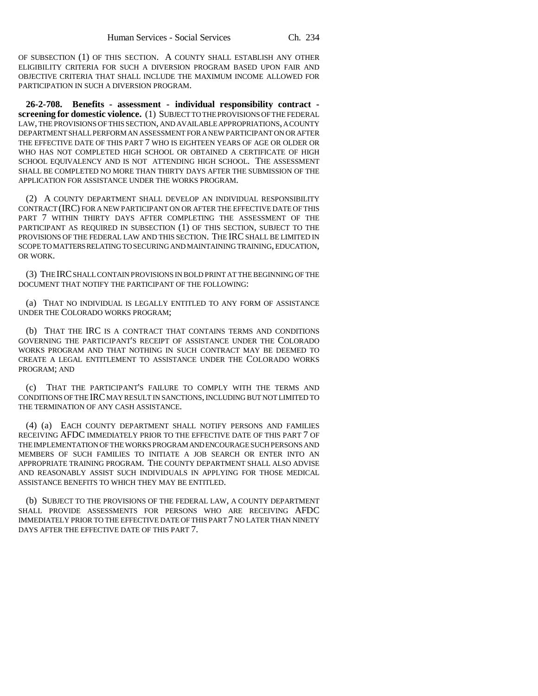OF SUBSECTION (1) OF THIS SECTION. A COUNTY SHALL ESTABLISH ANY OTHER ELIGIBILITY CRITERIA FOR SUCH A DIVERSION PROGRAM BASED UPON FAIR AND OBJECTIVE CRITERIA THAT SHALL INCLUDE THE MAXIMUM INCOME ALLOWED FOR PARTICIPATION IN SUCH A DIVERSION PROGRAM.

**26-2-708. Benefits - assessment - individual responsibility contract screening for domestic violence.** (1) SUBJECT TO THE PROVISIONS OF THE FEDERAL LAW, THE PROVISIONS OF THIS SECTION, AND AVAILABLE APPROPRIATIONS, A COUNTY DEPARTMENT SHALL PERFORM AN ASSESSMENT FOR A NEW PARTICIPANT ON OR AFTER THE EFFECTIVE DATE OF THIS PART 7 WHO IS EIGHTEEN YEARS OF AGE OR OLDER OR WHO HAS NOT COMPLETED HIGH SCHOOL OR OBTAINED A CERTIFICATE OF HIGH SCHOOL EQUIVALENCY AND IS NOT ATTENDING HIGH SCHOOL. THE ASSESSMENT SHALL BE COMPLETED NO MORE THAN THIRTY DAYS AFTER THE SUBMISSION OF THE APPLICATION FOR ASSISTANCE UNDER THE WORKS PROGRAM.

(2) A COUNTY DEPARTMENT SHALL DEVELOP AN INDIVIDUAL RESPONSIBILITY CONTRACT (IRC) FOR A NEW PARTICIPANT ON OR AFTER THE EFFECTIVE DATE OF THIS PART 7 WITHIN THIRTY DAYS AFTER COMPLETING THE ASSESSMENT OF THE PARTICIPANT AS REQUIRED IN SUBSECTION (1) OF THIS SECTION, SUBJECT TO THE PROVISIONS OF THE FEDERAL LAW AND THIS SECTION. THE IRC SHALL BE LIMITED IN SCOPE TO MATTERS RELATING TO SECURING AND MAINTAINING TRAINING, EDUCATION, OR WORK.

(3) THE IRC SHALL CONTAIN PROVISIONS IN BOLD PRINT AT THE BEGINNING OF THE DOCUMENT THAT NOTIFY THE PARTICIPANT OF THE FOLLOWING:

(a) THAT NO INDIVIDUAL IS LEGALLY ENTITLED TO ANY FORM OF ASSISTANCE UNDER THE COLORADO WORKS PROGRAM;

(b) THAT THE IRC IS A CONTRACT THAT CONTAINS TERMS AND CONDITIONS GOVERNING THE PARTICIPANT'S RECEIPT OF ASSISTANCE UNDER THE COLORADO WORKS PROGRAM AND THAT NOTHING IN SUCH CONTRACT MAY BE DEEMED TO CREATE A LEGAL ENTITLEMENT TO ASSISTANCE UNDER THE COLORADO WORKS PROGRAM; AND

(c) THAT THE PARTICIPANT'S FAILURE TO COMPLY WITH THE TERMS AND CONDITIONS OF THE IRC MAY RESULT IN SANCTIONS, INCLUDING BUT NOT LIMITED TO THE TERMINATION OF ANY CASH ASSISTANCE.

(4) (a) EACH COUNTY DEPARTMENT SHALL NOTIFY PERSONS AND FAMILIES RECEIVING AFDC IMMEDIATELY PRIOR TO THE EFFECTIVE DATE OF THIS PART 7 OF THE IMPLEMENTATION OF THE WORKS PROGRAM AND ENCOURAGE SUCH PERSONS AND MEMBERS OF SUCH FAMILIES TO INITIATE A JOB SEARCH OR ENTER INTO AN APPROPRIATE TRAINING PROGRAM. THE COUNTY DEPARTMENT SHALL ALSO ADVISE AND REASONABLY ASSIST SUCH INDIVIDUALS IN APPLYING FOR THOSE MEDICAL ASSISTANCE BENEFITS TO WHICH THEY MAY BE ENTITLED.

(b) SUBJECT TO THE PROVISIONS OF THE FEDERAL LAW, A COUNTY DEPARTMENT SHALL PROVIDE ASSESSMENTS FOR PERSONS WHO ARE RECEIVING AFDC IMMEDIATELY PRIOR TO THE EFFECTIVE DATE OF THIS PART 7 NO LATER THAN NINETY DAYS AFTER THE EFFECTIVE DATE OF THIS PART 7.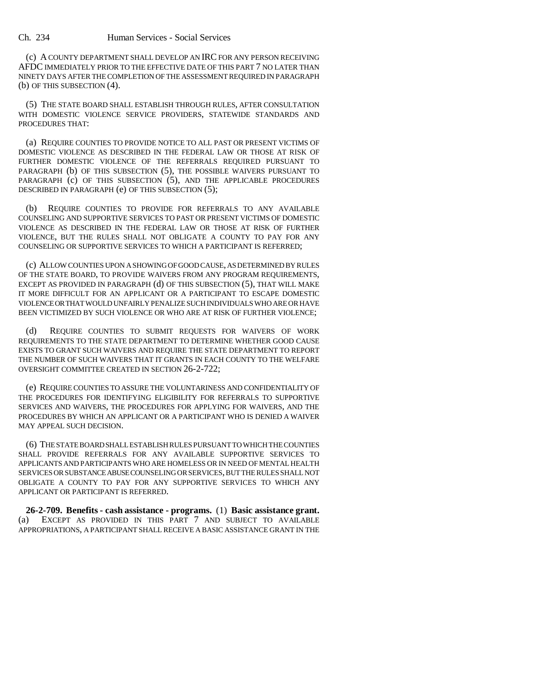(c) A COUNTY DEPARTMENT SHALL DEVELOP AN IRC FOR ANY PERSON RECEIVING AFDC IMMEDIATELY PRIOR TO THE EFFECTIVE DATE OF THIS PART 7 NO LATER THAN NINETY DAYS AFTER THE COMPLETION OF THE ASSESSMENT REQUIRED IN PARAGRAPH (b) OF THIS SUBSECTION (4).

(5) THE STATE BOARD SHALL ESTABLISH THROUGH RULES, AFTER CONSULTATION WITH DOMESTIC VIOLENCE SERVICE PROVIDERS, STATEWIDE STANDARDS AND PROCEDURES THAT:

(a) REQUIRE COUNTIES TO PROVIDE NOTICE TO ALL PAST OR PRESENT VICTIMS OF DOMESTIC VIOLENCE AS DESCRIBED IN THE FEDERAL LAW OR THOSE AT RISK OF FURTHER DOMESTIC VIOLENCE OF THE REFERRALS REQUIRED PURSUANT TO PARAGRAPH (b) OF THIS SUBSECTION (5), THE POSSIBLE WAIVERS PURSUANT TO PARAGRAPH (c) OF THIS SUBSECTION (5), AND THE APPLICABLE PROCEDURES DESCRIBED IN PARAGRAPH (e) OF THIS SUBSECTION (5);

(b) REQUIRE COUNTIES TO PROVIDE FOR REFERRALS TO ANY AVAILABLE COUNSELING AND SUPPORTIVE SERVICES TO PAST OR PRESENT VICTIMS OF DOMESTIC VIOLENCE AS DESCRIBED IN THE FEDERAL LAW OR THOSE AT RISK OF FURTHER VIOLENCE, BUT THE RULES SHALL NOT OBLIGATE A COUNTY TO PAY FOR ANY COUNSELING OR SUPPORTIVE SERVICES TO WHICH A PARTICIPANT IS REFERRED;

(c) ALLOW COUNTIES UPON A SHOWING OF GOOD CAUSE, AS DETERMINED BY RULES OF THE STATE BOARD, TO PROVIDE WAIVERS FROM ANY PROGRAM REQUIREMENTS, EXCEPT AS PROVIDED IN PARAGRAPH (d) OF THIS SUBSECTION (5), THAT WILL MAKE IT MORE DIFFICULT FOR AN APPLICANT OR A PARTICIPANT TO ESCAPE DOMESTIC VIOLENCE OR THAT WOULD UNFAIRLY PENALIZE SUCH INDIVIDUALS WHO ARE OR HAVE BEEN VICTIMIZED BY SUCH VIOLENCE OR WHO ARE AT RISK OF FURTHER VIOLENCE;

(d) REQUIRE COUNTIES TO SUBMIT REQUESTS FOR WAIVERS OF WORK REQUIREMENTS TO THE STATE DEPARTMENT TO DETERMINE WHETHER GOOD CAUSE EXISTS TO GRANT SUCH WAIVERS AND REQUIRE THE STATE DEPARTMENT TO REPORT THE NUMBER OF SUCH WAIVERS THAT IT GRANTS IN EACH COUNTY TO THE WELFARE OVERSIGHT COMMITTEE CREATED IN SECTION 26-2-722;

(e) REQUIRE COUNTIES TO ASSURE THE VOLUNTARINESS AND CONFIDENTIALITY OF THE PROCEDURES FOR IDENTIFYING ELIGIBILITY FOR REFERRALS TO SUPPORTIVE SERVICES AND WAIVERS, THE PROCEDURES FOR APPLYING FOR WAIVERS, AND THE PROCEDURES BY WHICH AN APPLICANT OR A PARTICIPANT WHO IS DENIED A WAIVER MAY APPEAL SUCH DECISION.

(6) THE STATE BOARD SHALL ESTABLISH RULES PURSUANT TO WHICH THE COUNTIES SHALL PROVIDE REFERRALS FOR ANY AVAILABLE SUPPORTIVE SERVICES TO APPLICANTS AND PARTICIPANTS WHO ARE HOMELESS OR IN NEED OF MENTAL HEALTH SERVICES OR SUBSTANCE ABUSE COUNSELING OR SERVICES, BUT THE RULES SHALL NOT OBLIGATE A COUNTY TO PAY FOR ANY SUPPORTIVE SERVICES TO WHICH ANY APPLICANT OR PARTICIPANT IS REFERRED.

**26-2-709. Benefits - cash assistance - programs.** (1) **Basic assistance grant.** (a) EXCEPT AS PROVIDED IN THIS PART 7 AND SUBJECT TO AVAILABLE APPROPRIATIONS, A PARTICIPANT SHALL RECEIVE A BASIC ASSISTANCE GRANT IN THE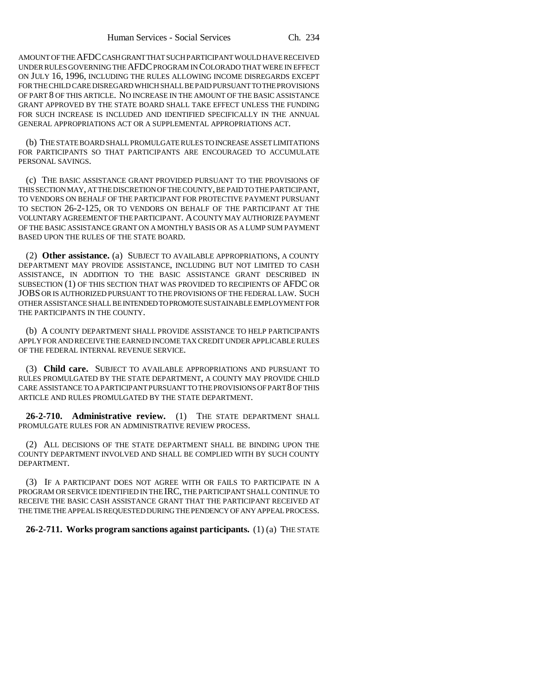AMOUNT OF THE AFDC CASH GRANT THAT SUCH PARTICIPANT WOULD HAVE RECEIVED UNDER RULES GOVERNING THE AFDC PROGRAM IN COLORADO THAT WERE IN EFFECT ON JULY 16, 1996, INCLUDING THE RULES ALLOWING INCOME DISREGARDS EXCEPT FOR THE CHILD CARE DISREGARD WHICH SHALL BE PAID PURSUANT TO THE PROVISIONS OF PART 8 OF THIS ARTICLE. NO INCREASE IN THE AMOUNT OF THE BASIC ASSISTANCE GRANT APPROVED BY THE STATE BOARD SHALL TAKE EFFECT UNLESS THE FUNDING FOR SUCH INCREASE IS INCLUDED AND IDENTIFIED SPECIFICALLY IN THE ANNUAL GENERAL APPROPRIATIONS ACT OR A SUPPLEMENTAL APPROPRIATIONS ACT.

(b) THE STATE BOARD SHALL PROMULGATE RULES TO INCREASE ASSET LIMITATIONS FOR PARTICIPANTS SO THAT PARTICIPANTS ARE ENCOURAGED TO ACCUMULATE PERSONAL SAVINGS.

(c) THE BASIC ASSISTANCE GRANT PROVIDED PURSUANT TO THE PROVISIONS OF THIS SECTION MAY, AT THE DISCRETION OF THE COUNTY, BE PAID TO THE PARTICIPANT, TO VENDORS ON BEHALF OF THE PARTICIPANT FOR PROTECTIVE PAYMENT PURSUANT TO SECTION 26-2-125, OR TO VENDORS ON BEHALF OF THE PARTICIPANT AT THE VOLUNTARY AGREEMENT OF THE PARTICIPANT. A COUNTY MAY AUTHORIZE PAYMENT OF THE BASIC ASSISTANCE GRANT ON A MONTHLY BASIS OR AS A LUMP SUM PAYMENT BASED UPON THE RULES OF THE STATE BOARD.

(2) **Other assistance.** (a) SUBJECT TO AVAILABLE APPROPRIATIONS, A COUNTY DEPARTMENT MAY PROVIDE ASSISTANCE, INCLUDING BUT NOT LIMITED TO CASH ASSISTANCE, IN ADDITION TO THE BASIC ASSISTANCE GRANT DESCRIBED IN SUBSECTION (1) OF THIS SECTION THAT WAS PROVIDED TO RECIPIENTS OF AFDC OR JOBS OR IS AUTHORIZED PURSUANT TO THE PROVISIONS OF THE FEDERAL LAW. SUCH OTHER ASSISTANCE SHALL BE INTENDED TO PROMOTE SUSTAINABLE EMPLOYMENT FOR THE PARTICIPANTS IN THE COUNTY.

(b) A COUNTY DEPARTMENT SHALL PROVIDE ASSISTANCE TO HELP PARTICIPANTS APPLY FOR AND RECEIVE THE EARNED INCOME TAX CREDIT UNDER APPLICABLE RULES OF THE FEDERAL INTERNAL REVENUE SERVICE.

(3) **Child care.** SUBJECT TO AVAILABLE APPROPRIATIONS AND PURSUANT TO RULES PROMULGATED BY THE STATE DEPARTMENT, A COUNTY MAY PROVIDE CHILD CARE ASSISTANCE TO A PARTICIPANT PURSUANT TO THE PROVISIONS OF PART 8 OF THIS ARTICLE AND RULES PROMULGATED BY THE STATE DEPARTMENT.

**26-2-710. Administrative review.** (1) THE STATE DEPARTMENT SHALL PROMULGATE RULES FOR AN ADMINISTRATIVE REVIEW PROCESS.

(2) ALL DECISIONS OF THE STATE DEPARTMENT SHALL BE BINDING UPON THE COUNTY DEPARTMENT INVOLVED AND SHALL BE COMPLIED WITH BY SUCH COUNTY DEPARTMENT.

(3) IF A PARTICIPANT DOES NOT AGREE WITH OR FAILS TO PARTICIPATE IN A PROGRAM OR SERVICE IDENTIFIED IN THE IRC, THE PARTICIPANT SHALL CONTINUE TO RECEIVE THE BASIC CASH ASSISTANCE GRANT THAT THE PARTICIPANT RECEIVED AT THE TIME THE APPEAL IS REQUESTED DURING THE PENDENCY OF ANY APPEAL PROCESS.

**26-2-711. Works program sanctions against participants.** (1) (a) THE STATE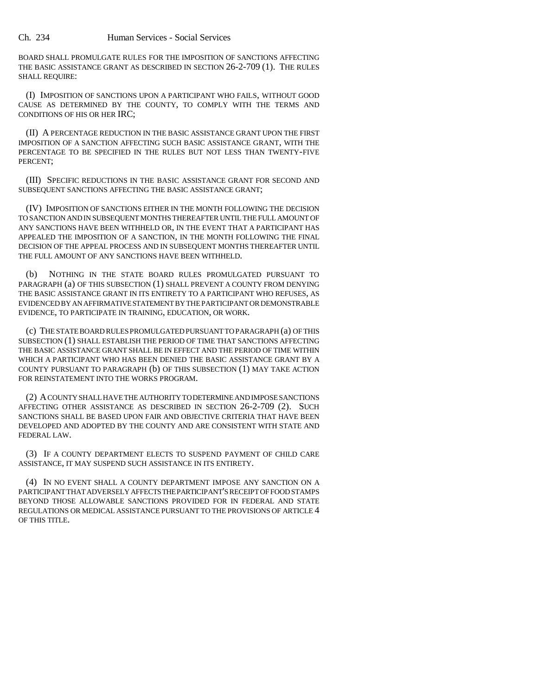BOARD SHALL PROMULGATE RULES FOR THE IMPOSITION OF SANCTIONS AFFECTING THE BASIC ASSISTANCE GRANT AS DESCRIBED IN SECTION 26-2-709 (1). THE RULES SHALL REQUIRE:

(I) IMPOSITION OF SANCTIONS UPON A PARTICIPANT WHO FAILS, WITHOUT GOOD CAUSE AS DETERMINED BY THE COUNTY, TO COMPLY WITH THE TERMS AND CONDITIONS OF HIS OR HER IRC;

(II) A PERCENTAGE REDUCTION IN THE BASIC ASSISTANCE GRANT UPON THE FIRST IMPOSITION OF A SANCTION AFFECTING SUCH BASIC ASSISTANCE GRANT, WITH THE PERCENTAGE TO BE SPECIFIED IN THE RULES BUT NOT LESS THAN TWENTY-FIVE PERCENT;

(III) SPECIFIC REDUCTIONS IN THE BASIC ASSISTANCE GRANT FOR SECOND AND SUBSEQUENT SANCTIONS AFFECTING THE BASIC ASSISTANCE GRANT;

(IV) IMPOSITION OF SANCTIONS EITHER IN THE MONTH FOLLOWING THE DECISION TO SANCTION AND IN SUBSEQUENT MONTHS THEREAFTER UNTIL THE FULL AMOUNT OF ANY SANCTIONS HAVE BEEN WITHHELD OR, IN THE EVENT THAT A PARTICIPANT HAS APPEALED THE IMPOSITION OF A SANCTION, IN THE MONTH FOLLOWING THE FINAL DECISION OF THE APPEAL PROCESS AND IN SUBSEQUENT MONTHS THEREAFTER UNTIL THE FULL AMOUNT OF ANY SANCTIONS HAVE BEEN WITHHELD.

(b) NOTHING IN THE STATE BOARD RULES PROMULGATED PURSUANT TO PARAGRAPH (a) OF THIS SUBSECTION (1) SHALL PREVENT A COUNTY FROM DENYING THE BASIC ASSISTANCE GRANT IN ITS ENTIRETY TO A PARTICIPANT WHO REFUSES, AS EVIDENCED BY AN AFFIRMATIVE STATEMENT BY THE PARTICIPANT OR DEMONSTRABLE EVIDENCE, TO PARTICIPATE IN TRAINING, EDUCATION, OR WORK.

(c) THE STATE BOARD RULES PROMULGATED PURSUANT TO PARAGRAPH (a) OF THIS SUBSECTION (1) SHALL ESTABLISH THE PERIOD OF TIME THAT SANCTIONS AFFECTING THE BASIC ASSISTANCE GRANT SHALL BE IN EFFECT AND THE PERIOD OF TIME WITHIN WHICH A PARTICIPANT WHO HAS BEEN DENIED THE BASIC ASSISTANCE GRANT BY A COUNTY PURSUANT TO PARAGRAPH (b) OF THIS SUBSECTION (1) MAY TAKE ACTION FOR REINSTATEMENT INTO THE WORKS PROGRAM.

(2) A COUNTY SHALL HAVE THE AUTHORITY TO DETERMINE AND IMPOSE SANCTIONS AFFECTING OTHER ASSISTANCE AS DESCRIBED IN SECTION 26-2-709 (2). SUCH SANCTIONS SHALL BE BASED UPON FAIR AND OBJECTIVE CRITERIA THAT HAVE BEEN DEVELOPED AND ADOPTED BY THE COUNTY AND ARE CONSISTENT WITH STATE AND FEDERAL LAW.

(3) IF A COUNTY DEPARTMENT ELECTS TO SUSPEND PAYMENT OF CHILD CARE ASSISTANCE, IT MAY SUSPEND SUCH ASSISTANCE IN ITS ENTIRETY.

(4) IN NO EVENT SHALL A COUNTY DEPARTMENT IMPOSE ANY SANCTION ON A PARTICIPANT THAT ADVERSELY AFFECTS THE PARTICIPANT'S RECEIPT OF FOOD STAMPS BEYOND THOSE ALLOWABLE SANCTIONS PROVIDED FOR IN FEDERAL AND STATE REGULATIONS OR MEDICAL ASSISTANCE PURSUANT TO THE PROVISIONS OF ARTICLE 4 OF THIS TITLE.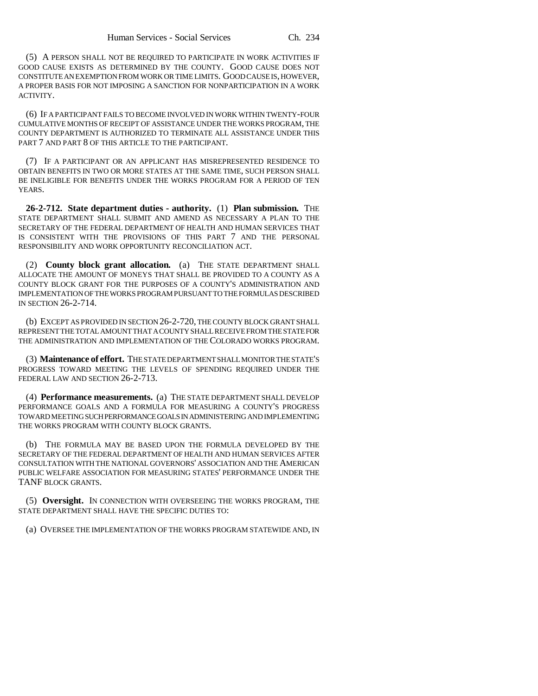(5) A PERSON SHALL NOT BE REQUIRED TO PARTICIPATE IN WORK ACTIVITIES IF GOOD CAUSE EXISTS AS DETERMINED BY THE COUNTY. GOOD CAUSE DOES NOT CONSTITUTE AN EXEMPTION FROM WORK OR TIME LIMITS. GOOD CAUSE IS, HOWEVER, A PROPER BASIS FOR NOT IMPOSING A SANCTION FOR NONPARTICIPATION IN A WORK ACTIVITY.

(6) IF A PARTICIPANT FAILS TO BECOME INVOLVED IN WORK WITHIN TWENTY-FOUR CUMULATIVE MONTHS OF RECEIPT OF ASSISTANCE UNDER THE WORKS PROGRAM, THE COUNTY DEPARTMENT IS AUTHORIZED TO TERMINATE ALL ASSISTANCE UNDER THIS PART 7 AND PART 8 OF THIS ARTICLE TO THE PARTICIPANT.

(7) IF A PARTICIPANT OR AN APPLICANT HAS MISREPRESENTED RESIDENCE TO OBTAIN BENEFITS IN TWO OR MORE STATES AT THE SAME TIME, SUCH PERSON SHALL BE INELIGIBLE FOR BENEFITS UNDER THE WORKS PROGRAM FOR A PERIOD OF TEN YEARS.

**26-2-712. State department duties - authority.** (1) **Plan submission.** THE STATE DEPARTMENT SHALL SUBMIT AND AMEND AS NECESSARY A PLAN TO THE SECRETARY OF THE FEDERAL DEPARTMENT OF HEALTH AND HUMAN SERVICES THAT IS CONSISTENT WITH THE PROVISIONS OF THIS PART 7 AND THE PERSONAL RESPONSIBILITY AND WORK OPPORTUNITY RECONCILIATION ACT.

(2) **County block grant allocation.** (a) THE STATE DEPARTMENT SHALL ALLOCATE THE AMOUNT OF MONEYS THAT SHALL BE PROVIDED TO A COUNTY AS A COUNTY BLOCK GRANT FOR THE PURPOSES OF A COUNTY'S ADMINISTRATION AND IMPLEMENTATION OF THE WORKS PROGRAM PURSUANT TO THE FORMULAS DESCRIBED IN SECTION 26-2-714.

(b) EXCEPT AS PROVIDED IN SECTION 26-2-720, THE COUNTY BLOCK GRANT SHALL REPRESENT THE TOTAL AMOUNT THAT A COUNTY SHALL RECEIVE FROM THE STATE FOR THE ADMINISTRATION AND IMPLEMENTATION OF THE COLORADO WORKS PROGRAM.

(3) **Maintenance of effort.** THE STATE DEPARTMENT SHALL MONITOR THE STATE'S PROGRESS TOWARD MEETING THE LEVELS OF SPENDING REQUIRED UNDER THE FEDERAL LAW AND SECTION 26-2-713.

(4) **Performance measurements.** (a) THE STATE DEPARTMENT SHALL DEVELOP PERFORMANCE GOALS AND A FORMULA FOR MEASURING A COUNTY'S PROGRESS TOWARD MEETING SUCH PERFORMANCE GOALS IN ADMINISTERING AND IMPLEMENTING THE WORKS PROGRAM WITH COUNTY BLOCK GRANTS.

(b) THE FORMULA MAY BE BASED UPON THE FORMULA DEVELOPED BY THE SECRETARY OF THE FEDERAL DEPARTMENT OF HEALTH AND HUMAN SERVICES AFTER CONSULTATION WITH THE NATIONAL GOVERNORS' ASSOCIATION AND THE AMERICAN PUBLIC WELFARE ASSOCIATION FOR MEASURING STATES' PERFORMANCE UNDER THE TANF BLOCK GRANTS.

(5) **Oversight.** IN CONNECTION WITH OVERSEEING THE WORKS PROGRAM, THE STATE DEPARTMENT SHALL HAVE THE SPECIFIC DUTIES TO:

(a) OVERSEE THE IMPLEMENTATION OF THE WORKS PROGRAM STATEWIDE AND, IN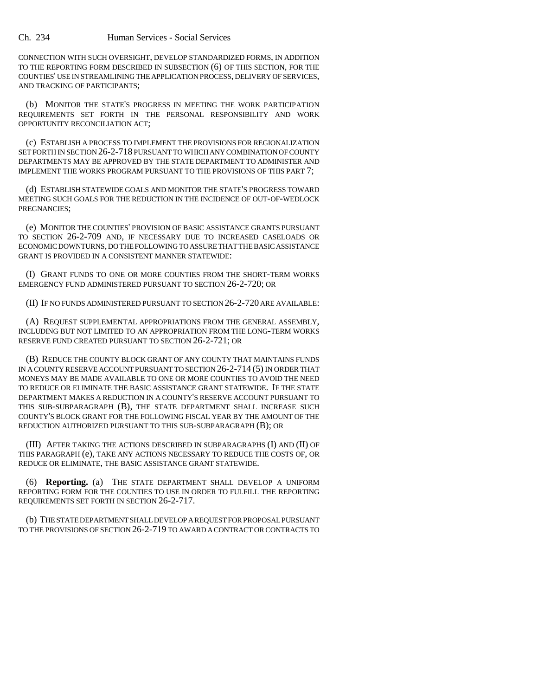CONNECTION WITH SUCH OVERSIGHT, DEVELOP STANDARDIZED FORMS, IN ADDITION TO THE REPORTING FORM DESCRIBED IN SUBSECTION (6) OF THIS SECTION, FOR THE COUNTIES' USE IN STREAMLINING THE APPLICATION PROCESS, DELIVERY OF SERVICES, AND TRACKING OF PARTICIPANTS;

(b) MONITOR THE STATE'S PROGRESS IN MEETING THE WORK PARTICIPATION REQUIREMENTS SET FORTH IN THE PERSONAL RESPONSIBILITY AND WORK OPPORTUNITY RECONCILIATION ACT;

(c) ESTABLISH A PROCESS TO IMPLEMENT THE PROVISIONS FOR REGIONALIZATION SET FORTH IN SECTION 26-2-718 PURSUANT TO WHICH ANY COMBINATION OF COUNTY DEPARTMENTS MAY BE APPROVED BY THE STATE DEPARTMENT TO ADMINISTER AND IMPLEMENT THE WORKS PROGRAM PURSUANT TO THE PROVISIONS OF THIS PART 7;

(d) ESTABLISH STATEWIDE GOALS AND MONITOR THE STATE'S PROGRESS TOWARD MEETING SUCH GOALS FOR THE REDUCTION IN THE INCIDENCE OF OUT-OF-WEDLOCK PREGNANCIES;

(e) MONITOR THE COUNTIES' PROVISION OF BASIC ASSISTANCE GRANTS PURSUANT TO SECTION 26-2-709 AND, IF NECESSARY DUE TO INCREASED CASELOADS OR ECONOMIC DOWNTURNS, DO THE FOLLOWING TO ASSURE THAT THE BASIC ASSISTANCE GRANT IS PROVIDED IN A CONSISTENT MANNER STATEWIDE:

(I) GRANT FUNDS TO ONE OR MORE COUNTIES FROM THE SHORT-TERM WORKS EMERGENCY FUND ADMINISTERED PURSUANT TO SECTION 26-2-720; OR

(II) IF NO FUNDS ADMINISTERED PURSUANT TO SECTION 26-2-720 ARE AVAILABLE:

(A) REQUEST SUPPLEMENTAL APPROPRIATIONS FROM THE GENERAL ASSEMBLY, INCLUDING BUT NOT LIMITED TO AN APPROPRIATION FROM THE LONG-TERM WORKS RESERVE FUND CREATED PURSUANT TO SECTION 26-2-721; OR

(B) REDUCE THE COUNTY BLOCK GRANT OF ANY COUNTY THAT MAINTAINS FUNDS IN A COUNTY RESERVE ACCOUNT PURSUANT TO SECTION 26-2-714 (5) IN ORDER THAT MONEYS MAY BE MADE AVAILABLE TO ONE OR MORE COUNTIES TO AVOID THE NEED TO REDUCE OR ELIMINATE THE BASIC ASSISTANCE GRANT STATEWIDE. IF THE STATE DEPARTMENT MAKES A REDUCTION IN A COUNTY'S RESERVE ACCOUNT PURSUANT TO THIS SUB-SUBPARAGRAPH (B), THE STATE DEPARTMENT SHALL INCREASE SUCH COUNTY'S BLOCK GRANT FOR THE FOLLOWING FISCAL YEAR BY THE AMOUNT OF THE REDUCTION AUTHORIZED PURSUANT TO THIS SUB-SUBPARAGRAPH (B); OR

(III) AFTER TAKING THE ACTIONS DESCRIBED IN SUBPARAGRAPHS (I) AND (II) OF THIS PARAGRAPH (e), TAKE ANY ACTIONS NECESSARY TO REDUCE THE COSTS OF, OR REDUCE OR ELIMINATE, THE BASIC ASSISTANCE GRANT STATEWIDE.

(6) **Reporting.** (a) THE STATE DEPARTMENT SHALL DEVELOP A UNIFORM REPORTING FORM FOR THE COUNTIES TO USE IN ORDER TO FULFILL THE REPORTING REQUIREMENTS SET FORTH IN SECTION 26-2-717.

(b) THE STATE DEPARTMENT SHALL DEVELOP A REQUEST FOR PROPOSAL PURSUANT TO THE PROVISIONS OF SECTION 26-2-719 TO AWARD A CONTRACT OR CONTRACTS TO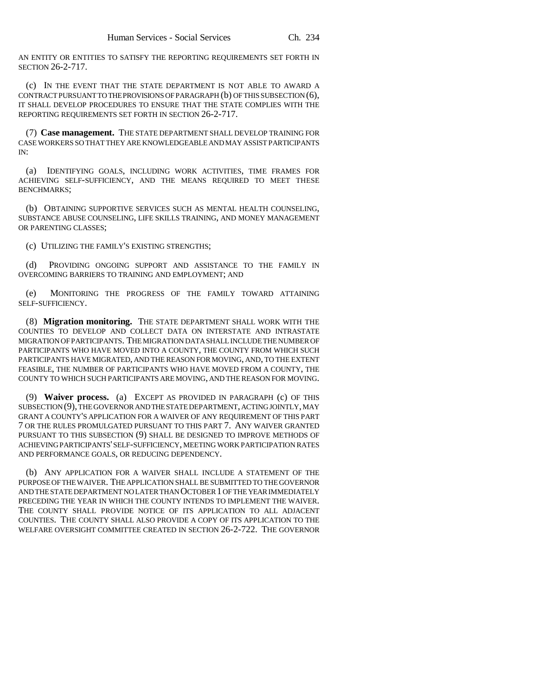AN ENTITY OR ENTITIES TO SATISFY THE REPORTING REQUIREMENTS SET FORTH IN SECTION 26-2-717.

(c) IN THE EVENT THAT THE STATE DEPARTMENT IS NOT ABLE TO AWARD A CONTRACT PURSUANT TO THE PROVISIONS OF PARAGRAPH (b) OF THIS SUBSECTION (6), IT SHALL DEVELOP PROCEDURES TO ENSURE THAT THE STATE COMPLIES WITH THE REPORTING REQUIREMENTS SET FORTH IN SECTION 26-2-717.

(7) **Case management.** THE STATE DEPARTMENT SHALL DEVELOP TRAINING FOR CASE WORKERS SO THAT THEY ARE KNOWLEDGEABLE AND MAY ASSIST PARTICIPANTS IN:

(a) IDENTIFYING GOALS, INCLUDING WORK ACTIVITIES, TIME FRAMES FOR ACHIEVING SELF-SUFFICIENCY, AND THE MEANS REQUIRED TO MEET THESE BENCHMARKS;

(b) OBTAINING SUPPORTIVE SERVICES SUCH AS MENTAL HEALTH COUNSELING, SUBSTANCE ABUSE COUNSELING, LIFE SKILLS TRAINING, AND MONEY MANAGEMENT OR PARENTING CLASSES;

(c) UTILIZING THE FAMILY'S EXISTING STRENGTHS;

(d) PROVIDING ONGOING SUPPORT AND ASSISTANCE TO THE FAMILY IN OVERCOMING BARRIERS TO TRAINING AND EMPLOYMENT; AND

(e) MONITORING THE PROGRESS OF THE FAMILY TOWARD ATTAINING SELF-SUFFICIENCY.

(8) **Migration monitoring.** THE STATE DEPARTMENT SHALL WORK WITH THE COUNTIES TO DEVELOP AND COLLECT DATA ON INTERSTATE AND INTRASTATE MIGRATION OF PARTICIPANTS. THE MIGRATION DATA SHALL INCLUDE THE NUMBER OF PARTICIPANTS WHO HAVE MOVED INTO A COUNTY, THE COUNTY FROM WHICH SUCH PARTICIPANTS HAVE MIGRATED, AND THE REASON FOR MOVING, AND, TO THE EXTENT FEASIBLE, THE NUMBER OF PARTICIPANTS WHO HAVE MOVED FROM A COUNTY, THE COUNTY TO WHICH SUCH PARTICIPANTS ARE MOVING, AND THE REASON FOR MOVING.

(9) **Waiver process.** (a) EXCEPT AS PROVIDED IN PARAGRAPH (c) OF THIS SUBSECTION (9), THE GOVERNOR AND THE STATE DEPARTMENT, ACTING JOINTLY, MAY GRANT A COUNTY'S APPLICATION FOR A WAIVER OF ANY REQUIREMENT OF THIS PART 7 OR THE RULES PROMULGATED PURSUANT TO THIS PART 7. ANY WAIVER GRANTED PURSUANT TO THIS SUBSECTION (9) SHALL BE DESIGNED TO IMPROVE METHODS OF ACHIEVING PARTICIPANTS' SELF-SUFFICIENCY, MEETING WORK PARTICIPATION RATES AND PERFORMANCE GOALS, OR REDUCING DEPENDENCY.

(b) ANY APPLICATION FOR A WAIVER SHALL INCLUDE A STATEMENT OF THE PURPOSE OF THE WAIVER. THE APPLICATION SHALL BE SUBMITTED TO THE GOVERNOR AND THE STATE DEPARTMENT NO LATER THAN OCTOBER 1 OF THE YEAR IMMEDIATELY PRECEDING THE YEAR IN WHICH THE COUNTY INTENDS TO IMPLEMENT THE WAIVER. THE COUNTY SHALL PROVIDE NOTICE OF ITS APPLICATION TO ALL ADJACENT COUNTIES. THE COUNTY SHALL ALSO PROVIDE A COPY OF ITS APPLICATION TO THE WELFARE OVERSIGHT COMMITTEE CREATED IN SECTION 26-2-722. THE GOVERNOR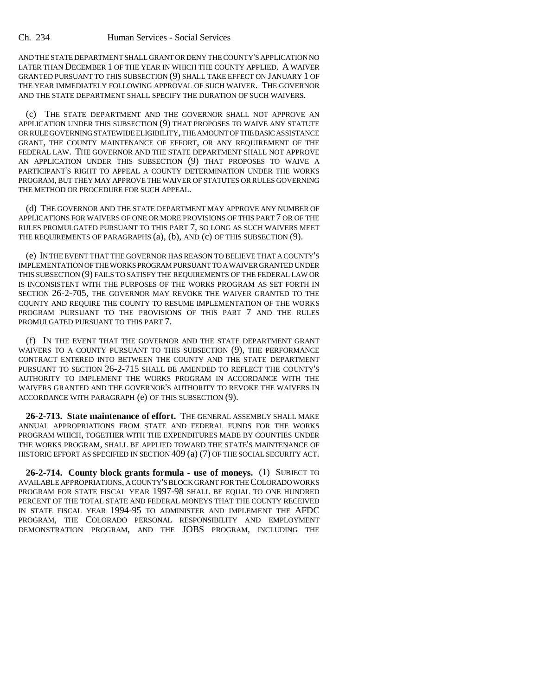AND THE STATE DEPARTMENT SHALL GRANT OR DENY THE COUNTY'S APPLICATION NO LATER THAN DECEMBER 1 OF THE YEAR IN WHICH THE COUNTY APPLIED. A WAIVER GRANTED PURSUANT TO THIS SUBSECTION (9) SHALL TAKE EFFECT ON JANUARY 1 OF THE YEAR IMMEDIATELY FOLLOWING APPROVAL OF SUCH WAIVER. THE GOVERNOR AND THE STATE DEPARTMENT SHALL SPECIFY THE DURATION OF SUCH WAIVERS.

(c) THE STATE DEPARTMENT AND THE GOVERNOR SHALL NOT APPROVE AN APPLICATION UNDER THIS SUBSECTION (9) THAT PROPOSES TO WAIVE ANY STATUTE OR RULE GOVERNING STATEWIDE ELIGIBILITY, THE AMOUNT OF THE BASIC ASSISTANCE GRANT, THE COUNTY MAINTENANCE OF EFFORT, OR ANY REQUIREMENT OF THE FEDERAL LAW. THE GOVERNOR AND THE STATE DEPARTMENT SHALL NOT APPROVE AN APPLICATION UNDER THIS SUBSECTION (9) THAT PROPOSES TO WAIVE A PARTICIPANT'S RIGHT TO APPEAL A COUNTY DETERMINATION UNDER THE WORKS PROGRAM, BUT THEY MAY APPROVE THE WAIVER OF STATUTES OR RULES GOVERNING THE METHOD OR PROCEDURE FOR SUCH APPEAL.

(d) THE GOVERNOR AND THE STATE DEPARTMENT MAY APPROVE ANY NUMBER OF APPLICATIONS FOR WAIVERS OF ONE OR MORE PROVISIONS OF THIS PART 7 OR OF THE RULES PROMULGATED PURSUANT TO THIS PART 7, SO LONG AS SUCH WAIVERS MEET THE REQUIREMENTS OF PARAGRAPHS (a), (b), AND (c) OF THIS SUBSECTION (9).

(e) IN THE EVENT THAT THE GOVERNOR HAS REASON TO BELIEVE THAT A COUNTY'S IMPLEMENTATION OF THE WORKS PROGRAM PURSUANT TO A WAIVER GRANTED UNDER THIS SUBSECTION (9) FAILS TO SATISFY THE REQUIREMENTS OF THE FEDERAL LAW OR IS INCONSISTENT WITH THE PURPOSES OF THE WORKS PROGRAM AS SET FORTH IN SECTION 26-2-705, THE GOVERNOR MAY REVOKE THE WAIVER GRANTED TO THE COUNTY AND REQUIRE THE COUNTY TO RESUME IMPLEMENTATION OF THE WORKS PROGRAM PURSUANT TO THE PROVISIONS OF THIS PART 7 AND THE RULES PROMULGATED PURSUANT TO THIS PART 7.

(f) IN THE EVENT THAT THE GOVERNOR AND THE STATE DEPARTMENT GRANT WAIVERS TO A COUNTY PURSUANT TO THIS SUBSECTION (9), THE PERFORMANCE CONTRACT ENTERED INTO BETWEEN THE COUNTY AND THE STATE DEPARTMENT PURSUANT TO SECTION 26-2-715 SHALL BE AMENDED TO REFLECT THE COUNTY'S AUTHORITY TO IMPLEMENT THE WORKS PROGRAM IN ACCORDANCE WITH THE WAIVERS GRANTED AND THE GOVERNOR'S AUTHORITY TO REVOKE THE WAIVERS IN ACCORDANCE WITH PARAGRAPH (e) OF THIS SUBSECTION (9).

**26-2-713. State maintenance of effort.** THE GENERAL ASSEMBLY SHALL MAKE ANNUAL APPROPRIATIONS FROM STATE AND FEDERAL FUNDS FOR THE WORKS PROGRAM WHICH, TOGETHER WITH THE EXPENDITURES MADE BY COUNTIES UNDER THE WORKS PROGRAM, SHALL BE APPLIED TOWARD THE STATE'S MAINTENANCE OF HISTORIC EFFORT AS SPECIFIED IN SECTION 409 (a) (7) OF THE SOCIAL SECURITY ACT.

**26-2-714. County block grants formula - use of moneys.** (1) SUBJECT TO AVAILABLE APPROPRIATIONS, A COUNTY'S BLOCK GRANT FOR THE COLORADO WORKS PROGRAM FOR STATE FISCAL YEAR 1997-98 SHALL BE EQUAL TO ONE HUNDRED PERCENT OF THE TOTAL STATE AND FEDERAL MONEYS THAT THE COUNTY RECEIVED IN STATE FISCAL YEAR 1994-95 TO ADMINISTER AND IMPLEMENT THE AFDC PROGRAM, THE COLORADO PERSONAL RESPONSIBILITY AND EMPLOYMENT DEMONSTRATION PROGRAM, AND THE JOBS PROGRAM, INCLUDING THE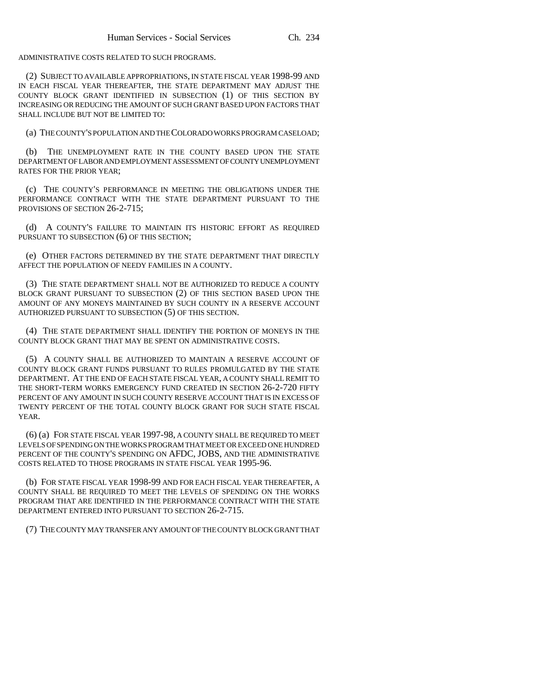ADMINISTRATIVE COSTS RELATED TO SUCH PROGRAMS.

(2) SUBJECT TO AVAILABLE APPROPRIATIONS, IN STATE FISCAL YEAR 1998-99 AND IN EACH FISCAL YEAR THEREAFTER, THE STATE DEPARTMENT MAY ADJUST THE COUNTY BLOCK GRANT IDENTIFIED IN SUBSECTION (1) OF THIS SECTION BY INCREASING OR REDUCING THE AMOUNT OF SUCH GRANT BASED UPON FACTORS THAT SHALL INCLUDE BUT NOT BE LIMITED TO:

(a) THE COUNTY'S POPULATION AND THE COLORADO WORKS PROGRAM CASELOAD;

(b) THE UNEMPLOYMENT RATE IN THE COUNTY BASED UPON THE STATE DEPARTMENT OF LABOR AND EMPLOYMENT ASSESSMENT OF COUNTY UNEMPLOYMENT RATES FOR THE PRIOR YEAR;

(c) THE COUNTY'S PERFORMANCE IN MEETING THE OBLIGATIONS UNDER THE PERFORMANCE CONTRACT WITH THE STATE DEPARTMENT PURSUANT TO THE PROVISIONS OF SECTION 26-2-715;

(d) A COUNTY'S FAILURE TO MAINTAIN ITS HISTORIC EFFORT AS REQUIRED PURSUANT TO SUBSECTION (6) OF THIS SECTION;

(e) OTHER FACTORS DETERMINED BY THE STATE DEPARTMENT THAT DIRECTLY AFFECT THE POPULATION OF NEEDY FAMILIES IN A COUNTY.

(3) THE STATE DEPARTMENT SHALL NOT BE AUTHORIZED TO REDUCE A COUNTY BLOCK GRANT PURSUANT TO SUBSECTION (2) OF THIS SECTION BASED UPON THE AMOUNT OF ANY MONEYS MAINTAINED BY SUCH COUNTY IN A RESERVE ACCOUNT AUTHORIZED PURSUANT TO SUBSECTION (5) OF THIS SECTION.

(4) THE STATE DEPARTMENT SHALL IDENTIFY THE PORTION OF MONEYS IN THE COUNTY BLOCK GRANT THAT MAY BE SPENT ON ADMINISTRATIVE COSTS.

(5) A COUNTY SHALL BE AUTHORIZED TO MAINTAIN A RESERVE ACCOUNT OF COUNTY BLOCK GRANT FUNDS PURSUANT TO RULES PROMULGATED BY THE STATE DEPARTMENT. AT THE END OF EACH STATE FISCAL YEAR, A COUNTY SHALL REMIT TO THE SHORT-TERM WORKS EMERGENCY FUND CREATED IN SECTION 26-2-720 FIFTY PERCENT OF ANY AMOUNT IN SUCH COUNTY RESERVE ACCOUNT THAT IS IN EXCESS OF TWENTY PERCENT OF THE TOTAL COUNTY BLOCK GRANT FOR SUCH STATE FISCAL YEAR.

(6) (a) FOR STATE FISCAL YEAR 1997-98, A COUNTY SHALL BE REQUIRED TO MEET LEVELS OF SPENDING ON THE WORKS PROGRAM THAT MEET OR EXCEED ONE HUNDRED PERCENT OF THE COUNTY'S SPENDING ON AFDC, JOBS, AND THE ADMINISTRATIVE COSTS RELATED TO THOSE PROGRAMS IN STATE FISCAL YEAR 1995-96.

(b) FOR STATE FISCAL YEAR 1998-99 AND FOR EACH FISCAL YEAR THEREAFTER, A COUNTY SHALL BE REQUIRED TO MEET THE LEVELS OF SPENDING ON THE WORKS PROGRAM THAT ARE IDENTIFIED IN THE PERFORMANCE CONTRACT WITH THE STATE DEPARTMENT ENTERED INTO PURSUANT TO SECTION 26-2-715.

(7) THE COUNTY MAY TRANSFER ANY AMOUNT OF THE COUNTY BLOCK GRANT THAT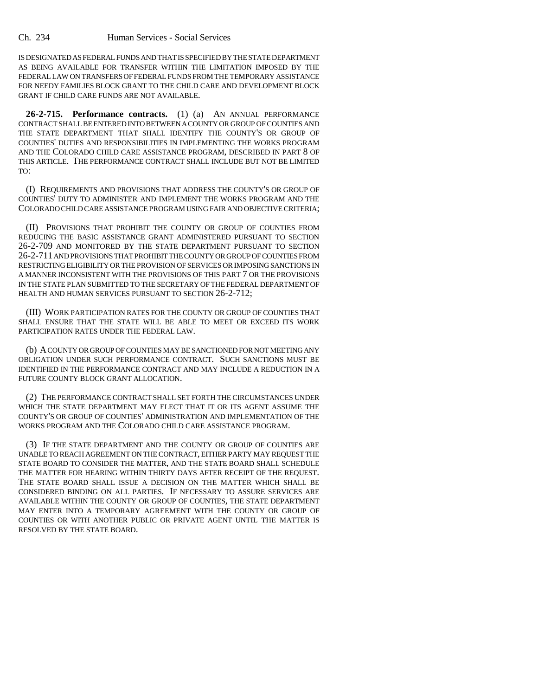IS DESIGNATED AS FEDERAL FUNDS AND THAT IS SPECIFIED BY THE STATE DEPARTMENT AS BEING AVAILABLE FOR TRANSFER WITHIN THE LIMITATION IMPOSED BY THE FEDERAL LAW ON TRANSFERS OF FEDERAL FUNDS FROM THE TEMPORARY ASSISTANCE FOR NEEDY FAMILIES BLOCK GRANT TO THE CHILD CARE AND DEVELOPMENT BLOCK GRANT IF CHILD CARE FUNDS ARE NOT AVAILABLE.

**26-2-715. Performance contracts.** (1) (a) AN ANNUAL PERFORMANCE CONTRACT SHALL BE ENTERED INTO BETWEEN A COUNTY OR GROUP OF COUNTIES AND THE STATE DEPARTMENT THAT SHALL IDENTIFY THE COUNTY'S OR GROUP OF COUNTIES' DUTIES AND RESPONSIBILITIES IN IMPLEMENTING THE WORKS PROGRAM AND THE COLORADO CHILD CARE ASSISTANCE PROGRAM, DESCRIBED IN PART 8 OF THIS ARTICLE. THE PERFORMANCE CONTRACT SHALL INCLUDE BUT NOT BE LIMITED TO:

(I) REQUIREMENTS AND PROVISIONS THAT ADDRESS THE COUNTY'S OR GROUP OF COUNTIES' DUTY TO ADMINISTER AND IMPLEMENT THE WORKS PROGRAM AND THE COLORADO CHILD CARE ASSISTANCE PROGRAM USING FAIR AND OBJECTIVE CRITERIA;

(II) PROVISIONS THAT PROHIBIT THE COUNTY OR GROUP OF COUNTIES FROM REDUCING THE BASIC ASSISTANCE GRANT ADMINISTERED PURSUANT TO SECTION 26-2-709 AND MONITORED BY THE STATE DEPARTMENT PURSUANT TO SECTION 26-2-711 AND PROVISIONS THAT PROHIBIT THE COUNTY OR GROUP OF COUNTIES FROM RESTRICTING ELIGIBILITY OR THE PROVISION OF SERVICES OR IMPOSING SANCTIONS IN A MANNER INCONSISTENT WITH THE PROVISIONS OF THIS PART 7 OR THE PROVISIONS IN THE STATE PLAN SUBMITTED TO THE SECRETARY OF THE FEDERAL DEPARTMENT OF HEALTH AND HUMAN SERVICES PURSUANT TO SECTION 26-2-712;

(III) WORK PARTICIPATION RATES FOR THE COUNTY OR GROUP OF COUNTIES THAT SHALL ENSURE THAT THE STATE WILL BE ABLE TO MEET OR EXCEED ITS WORK PARTICIPATION RATES UNDER THE FEDERAL LAW.

(b) A COUNTY OR GROUP OF COUNTIES MAY BE SANCTIONED FOR NOT MEETING ANY OBLIGATION UNDER SUCH PERFORMANCE CONTRACT. SUCH SANCTIONS MUST BE IDENTIFIED IN THE PERFORMANCE CONTRACT AND MAY INCLUDE A REDUCTION IN A FUTURE COUNTY BLOCK GRANT ALLOCATION.

(2) THE PERFORMANCE CONTRACT SHALL SET FORTH THE CIRCUMSTANCES UNDER WHICH THE STATE DEPARTMENT MAY ELECT THAT IT OR ITS AGENT ASSUME THE COUNTY'S OR GROUP OF COUNTIES' ADMINISTRATION AND IMPLEMENTATION OF THE WORKS PROGRAM AND THE COLORADO CHILD CARE ASSISTANCE PROGRAM.

(3) IF THE STATE DEPARTMENT AND THE COUNTY OR GROUP OF COUNTIES ARE UNABLE TO REACH AGREEMENT ON THE CONTRACT, EITHER PARTY MAY REQUEST THE STATE BOARD TO CONSIDER THE MATTER, AND THE STATE BOARD SHALL SCHEDULE THE MATTER FOR HEARING WITHIN THIRTY DAYS AFTER RECEIPT OF THE REQUEST. THE STATE BOARD SHALL ISSUE A DECISION ON THE MATTER WHICH SHALL BE CONSIDERED BINDING ON ALL PARTIES. IF NECESSARY TO ASSURE SERVICES ARE AVAILABLE WITHIN THE COUNTY OR GROUP OF COUNTIES, THE STATE DEPARTMENT MAY ENTER INTO A TEMPORARY AGREEMENT WITH THE COUNTY OR GROUP OF COUNTIES OR WITH ANOTHER PUBLIC OR PRIVATE AGENT UNTIL THE MATTER IS RESOLVED BY THE STATE BOARD.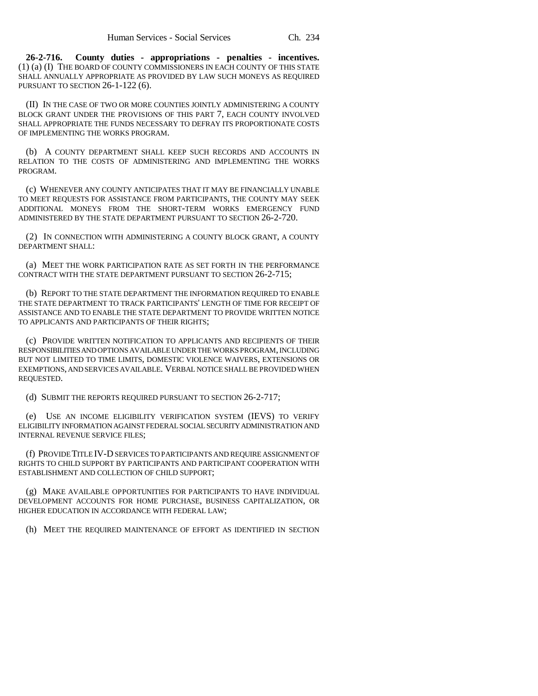**26-2-716. County duties - appropriations - penalties - incentives.** (1) (a) (I) THE BOARD OF COUNTY COMMISSIONERS IN EACH COUNTY OF THIS STATE SHALL ANNUALLY APPROPRIATE AS PROVIDED BY LAW SUCH MONEYS AS REQUIRED PURSUANT TO SECTION 26-1-122 (6).

(II) IN THE CASE OF TWO OR MORE COUNTIES JOINTLY ADMINISTERING A COUNTY BLOCK GRANT UNDER THE PROVISIONS OF THIS PART 7, EACH COUNTY INVOLVED SHALL APPROPRIATE THE FUNDS NECESSARY TO DEFRAY ITS PROPORTIONATE COSTS OF IMPLEMENTING THE WORKS PROGRAM.

(b) A COUNTY DEPARTMENT SHALL KEEP SUCH RECORDS AND ACCOUNTS IN RELATION TO THE COSTS OF ADMINISTERING AND IMPLEMENTING THE WORKS PROGRAM.

(c) WHENEVER ANY COUNTY ANTICIPATES THAT IT MAY BE FINANCIALLY UNABLE TO MEET REQUESTS FOR ASSISTANCE FROM PARTICIPANTS, THE COUNTY MAY SEEK ADDITIONAL MONEYS FROM THE SHORT-TERM WORKS EMERGENCY FUND ADMINISTERED BY THE STATE DEPARTMENT PURSUANT TO SECTION 26-2-720.

(2) IN CONNECTION WITH ADMINISTERING A COUNTY BLOCK GRANT, A COUNTY DEPARTMENT SHALL:

(a) MEET THE WORK PARTICIPATION RATE AS SET FORTH IN THE PERFORMANCE CONTRACT WITH THE STATE DEPARTMENT PURSUANT TO SECTION 26-2-715;

(b) REPORT TO THE STATE DEPARTMENT THE INFORMATION REQUIRED TO ENABLE THE STATE DEPARTMENT TO TRACK PARTICIPANTS' LENGTH OF TIME FOR RECEIPT OF ASSISTANCE AND TO ENABLE THE STATE DEPARTMENT TO PROVIDE WRITTEN NOTICE TO APPLICANTS AND PARTICIPANTS OF THEIR RIGHTS;

(c) PROVIDE WRITTEN NOTIFICATION TO APPLICANTS AND RECIPIENTS OF THEIR RESPONSIBILITIES AND OPTIONS AVAILABLE UNDER THE WORKS PROGRAM, INCLUDING BUT NOT LIMITED TO TIME LIMITS, DOMESTIC VIOLENCE WAIVERS, EXTENSIONS OR EXEMPTIONS, AND SERVICES AVAILABLE. VERBAL NOTICE SHALL BE PROVIDED WHEN REQUESTED.

(d) SUBMIT THE REPORTS REQUIRED PURSUANT TO SECTION 26-2-717;

(e) USE AN INCOME ELIGIBILITY VERIFICATION SYSTEM (IEVS) TO VERIFY ELIGIBILITY INFORMATION AGAINST FEDERAL SOCIAL SECURITY ADMINISTRATION AND INTERNAL REVENUE SERVICE FILES;

(f) PROVIDE TITLE IV-D SERVICES TO PARTICIPANTS AND REQUIRE ASSIGNMENT OF RIGHTS TO CHILD SUPPORT BY PARTICIPANTS AND PARTICIPANT COOPERATION WITH ESTABLISHMENT AND COLLECTION OF CHILD SUPPORT;

(g) MAKE AVAILABLE OPPORTUNITIES FOR PARTICIPANTS TO HAVE INDIVIDUAL DEVELOPMENT ACCOUNTS FOR HOME PURCHASE, BUSINESS CAPITALIZATION, OR HIGHER EDUCATION IN ACCORDANCE WITH FEDERAL LAW;

(h) MEET THE REQUIRED MAINTENANCE OF EFFORT AS IDENTIFIED IN SECTION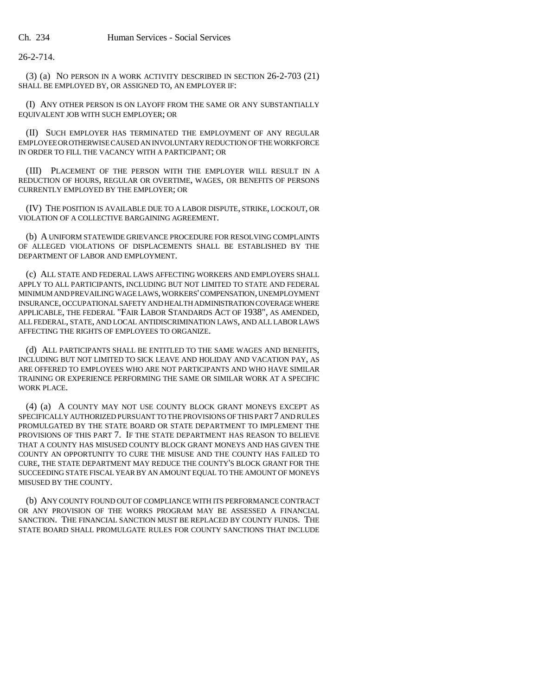26-2-714.

(3) (a) NO PERSON IN A WORK ACTIVITY DESCRIBED IN SECTION 26-2-703 (21) SHALL BE EMPLOYED BY, OR ASSIGNED TO, AN EMPLOYER IF:

(I) ANY OTHER PERSON IS ON LAYOFF FROM THE SAME OR ANY SUBSTANTIALLY EQUIVALENT JOB WITH SUCH EMPLOYER; OR

(II) SUCH EMPLOYER HAS TERMINATED THE EMPLOYMENT OF ANY REGULAR EMPLOYEE OR OTHERWISE CAUSED AN INVOLUNTARY REDUCTION OF THE WORKFORCE IN ORDER TO FILL THE VACANCY WITH A PARTICIPANT; OR

(III) PLACEMENT OF THE PERSON WITH THE EMPLOYER WILL RESULT IN A REDUCTION OF HOURS, REGULAR OR OVERTIME, WAGES, OR BENEFITS OF PERSONS CURRENTLY EMPLOYED BY THE EMPLOYER; OR

(IV) THE POSITION IS AVAILABLE DUE TO A LABOR DISPUTE, STRIKE, LOCKOUT, OR VIOLATION OF A COLLECTIVE BARGAINING AGREEMENT.

(b) A UNIFORM STATEWIDE GRIEVANCE PROCEDURE FOR RESOLVING COMPLAINTS OF ALLEGED VIOLATIONS OF DISPLACEMENTS SHALL BE ESTABLISHED BY THE DEPARTMENT OF LABOR AND EMPLOYMENT.

(c) ALL STATE AND FEDERAL LAWS AFFECTING WORKERS AND EMPLOYERS SHALL APPLY TO ALL PARTICIPANTS, INCLUDING BUT NOT LIMITED TO STATE AND FEDERAL MINIMUM AND PREVAILING WAGE LAWS, WORKERS' COMPENSATION, UNEMPLOYMENT INSURANCE, OCCUPATIONAL SAFETY AND HEALTH ADMINISTRATION COVERAGE WHERE APPLICABLE, THE FEDERAL "FAIR LABOR STANDARDS ACT OF 1938", AS AMENDED, ALL FEDERAL, STATE, AND LOCAL ANTIDISCRIMINATION LAWS, AND ALL LABOR LAWS AFFECTING THE RIGHTS OF EMPLOYEES TO ORGANIZE.

(d) ALL PARTICIPANTS SHALL BE ENTITLED TO THE SAME WAGES AND BENEFITS, INCLUDING BUT NOT LIMITED TO SICK LEAVE AND HOLIDAY AND VACATION PAY, AS ARE OFFERED TO EMPLOYEES WHO ARE NOT PARTICIPANTS AND WHO HAVE SIMILAR TRAINING OR EXPERIENCE PERFORMING THE SAME OR SIMILAR WORK AT A SPECIFIC WORK PLACE.

(4) (a) A COUNTY MAY NOT USE COUNTY BLOCK GRANT MONEYS EXCEPT AS SPECIFICALLY AUTHORIZED PURSUANT TO THE PROVISIONS OF THIS PART 7 AND RULES PROMULGATED BY THE STATE BOARD OR STATE DEPARTMENT TO IMPLEMENT THE PROVISIONS OF THIS PART 7. IF THE STATE DEPARTMENT HAS REASON TO BELIEVE THAT A COUNTY HAS MISUSED COUNTY BLOCK GRANT MONEYS AND HAS GIVEN THE COUNTY AN OPPORTUNITY TO CURE THE MISUSE AND THE COUNTY HAS FAILED TO CURE, THE STATE DEPARTMENT MAY REDUCE THE COUNTY'S BLOCK GRANT FOR THE SUCCEEDING STATE FISCAL YEAR BY AN AMOUNT EQUAL TO THE AMOUNT OF MONEYS MISUSED BY THE COUNTY.

(b) ANY COUNTY FOUND OUT OF COMPLIANCE WITH ITS PERFORMANCE CONTRACT OR ANY PROVISION OF THE WORKS PROGRAM MAY BE ASSESSED A FINANCIAL SANCTION. THE FINANCIAL SANCTION MUST BE REPLACED BY COUNTY FUNDS. THE STATE BOARD SHALL PROMULGATE RULES FOR COUNTY SANCTIONS THAT INCLUDE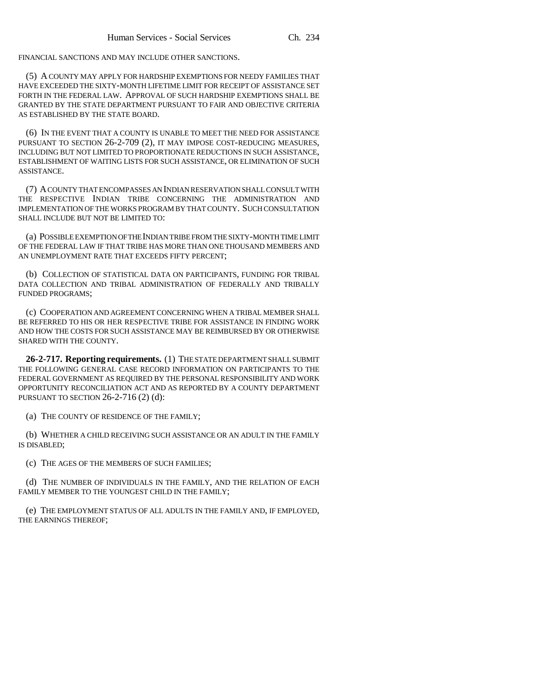FINANCIAL SANCTIONS AND MAY INCLUDE OTHER SANCTIONS.

(5) A COUNTY MAY APPLY FOR HARDSHIP EXEMPTIONS FOR NEEDY FAMILIES THAT HAVE EXCEEDED THE SIXTY-MONTH LIFETIME LIMIT FOR RECEIPT OF ASSISTANCE SET FORTH IN THE FEDERAL LAW. APPROVAL OF SUCH HARDSHIP EXEMPTIONS SHALL BE GRANTED BY THE STATE DEPARTMENT PURSUANT TO FAIR AND OBJECTIVE CRITERIA AS ESTABLISHED BY THE STATE BOARD.

(6) IN THE EVENT THAT A COUNTY IS UNABLE TO MEET THE NEED FOR ASSISTANCE PURSUANT TO SECTION 26-2-709 (2), IT MAY IMPOSE COST-REDUCING MEASURES, INCLUDING BUT NOT LIMITED TO PROPORTIONATE REDUCTIONS IN SUCH ASSISTANCE. ESTABLISHMENT OF WAITING LISTS FOR SUCH ASSISTANCE, OR ELIMINATION OF SUCH ASSISTANCE.

(7) A COUNTY THAT ENCOMPASSES AN INDIAN RESERVATION SHALL CONSULT WITH THE RESPECTIVE INDIAN TRIBE CONCERNING THE ADMINISTRATION AND IMPLEMENTATION OF THE WORKS PROGRAM BY THAT COUNTY. SUCH CONSULTATION SHALL INCLUDE BUT NOT BE LIMITED TO:

(a) POSSIBLE EXEMPTION OF THE INDIAN TRIBE FROM THE SIXTY-MONTH TIME LIMIT OF THE FEDERAL LAW IF THAT TRIBE HAS MORE THAN ONE THOUSAND MEMBERS AND AN UNEMPLOYMENT RATE THAT EXCEEDS FIFTY PERCENT;

(b) COLLECTION OF STATISTICAL DATA ON PARTICIPANTS, FUNDING FOR TRIBAL DATA COLLECTION AND TRIBAL ADMINISTRATION OF FEDERALLY AND TRIBALLY FUNDED PROGRAMS;

(c) COOPERATION AND AGREEMENT CONCERNING WHEN A TRIBAL MEMBER SHALL BE REFERRED TO HIS OR HER RESPECTIVE TRIBE FOR ASSISTANCE IN FINDING WORK AND HOW THE COSTS FOR SUCH ASSISTANCE MAY BE REIMBURSED BY OR OTHERWISE SHARED WITH THE COUNTY.

**26-2-717. Reporting requirements.** (1) THE STATE DEPARTMENT SHALL SUBMIT THE FOLLOWING GENERAL CASE RECORD INFORMATION ON PARTICIPANTS TO THE FEDERAL GOVERNMENT AS REQUIRED BY THE PERSONAL RESPONSIBILITY AND WORK OPPORTUNITY RECONCILIATION ACT AND AS REPORTED BY A COUNTY DEPARTMENT PURSUANT TO SECTION 26-2-716 (2) (d):

(a) THE COUNTY OF RESIDENCE OF THE FAMILY;

(b) WHETHER A CHILD RECEIVING SUCH ASSISTANCE OR AN ADULT IN THE FAMILY IS DISABLED;

(c) THE AGES OF THE MEMBERS OF SUCH FAMILIES;

(d) THE NUMBER OF INDIVIDUALS IN THE FAMILY, AND THE RELATION OF EACH FAMILY MEMBER TO THE YOUNGEST CHILD IN THE FAMILY;

(e) THE EMPLOYMENT STATUS OF ALL ADULTS IN THE FAMILY AND, IF EMPLOYED, THE EARNINGS THEREOF;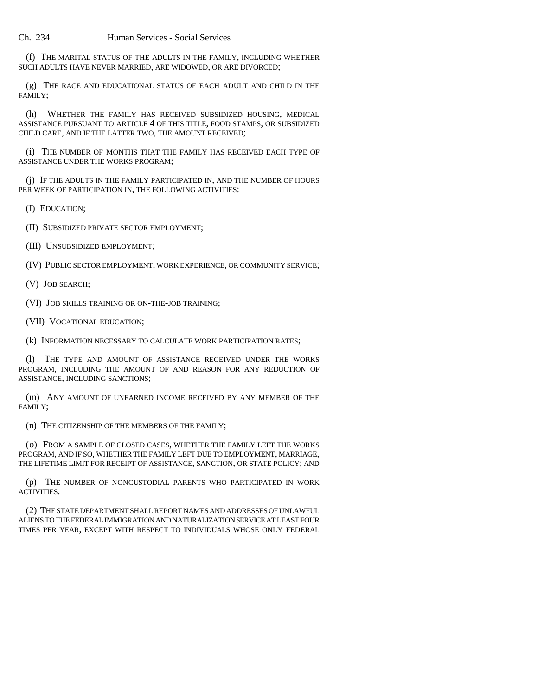(f) THE MARITAL STATUS OF THE ADULTS IN THE FAMILY, INCLUDING WHETHER SUCH ADULTS HAVE NEVER MARRIED, ARE WIDOWED, OR ARE DIVORCED;

(g) THE RACE AND EDUCATIONAL STATUS OF EACH ADULT AND CHILD IN THE FAMILY;

(h) WHETHER THE FAMILY HAS RECEIVED SUBSIDIZED HOUSING, MEDICAL ASSISTANCE PURSUANT TO ARTICLE 4 OF THIS TITLE, FOOD STAMPS, OR SUBSIDIZED CHILD CARE, AND IF THE LATTER TWO, THE AMOUNT RECEIVED;

(i) THE NUMBER OF MONTHS THAT THE FAMILY HAS RECEIVED EACH TYPE OF ASSISTANCE UNDER THE WORKS PROGRAM;

(j) IF THE ADULTS IN THE FAMILY PARTICIPATED IN, AND THE NUMBER OF HOURS PER WEEK OF PARTICIPATION IN, THE FOLLOWING ACTIVITIES:

(I) EDUCATION;

(II) SUBSIDIZED PRIVATE SECTOR EMPLOYMENT;

(III) UNSUBSIDIZED EMPLOYMENT;

(IV) PUBLIC SECTOR EMPLOYMENT, WORK EXPERIENCE, OR COMMUNITY SERVICE;

(V) JOB SEARCH;

(VI) JOB SKILLS TRAINING OR ON-THE-JOB TRAINING;

(VII) VOCATIONAL EDUCATION;

(k) INFORMATION NECESSARY TO CALCULATE WORK PARTICIPATION RATES;

(l) THE TYPE AND AMOUNT OF ASSISTANCE RECEIVED UNDER THE WORKS PROGRAM, INCLUDING THE AMOUNT OF AND REASON FOR ANY REDUCTION OF ASSISTANCE, INCLUDING SANCTIONS;

(m) ANY AMOUNT OF UNEARNED INCOME RECEIVED BY ANY MEMBER OF THE FAMILY;

(n) THE CITIZENSHIP OF THE MEMBERS OF THE FAMILY;

(o) FROM A SAMPLE OF CLOSED CASES, WHETHER THE FAMILY LEFT THE WORKS PROGRAM, AND IF SO, WHETHER THE FAMILY LEFT DUE TO EMPLOYMENT, MARRIAGE, THE LIFETIME LIMIT FOR RECEIPT OF ASSISTANCE, SANCTION, OR STATE POLICY; AND

(p) THE NUMBER OF NONCUSTODIAL PARENTS WHO PARTICIPATED IN WORK ACTIVITIES.

(2) THE STATE DEPARTMENT SHALL REPORT NAMES AND ADDRESSES OF UNLAWFUL ALIENS TO THE FEDERAL IMMIGRATION AND NATURALIZATION SERVICE AT LEAST FOUR TIMES PER YEAR, EXCEPT WITH RESPECT TO INDIVIDUALS WHOSE ONLY FEDERAL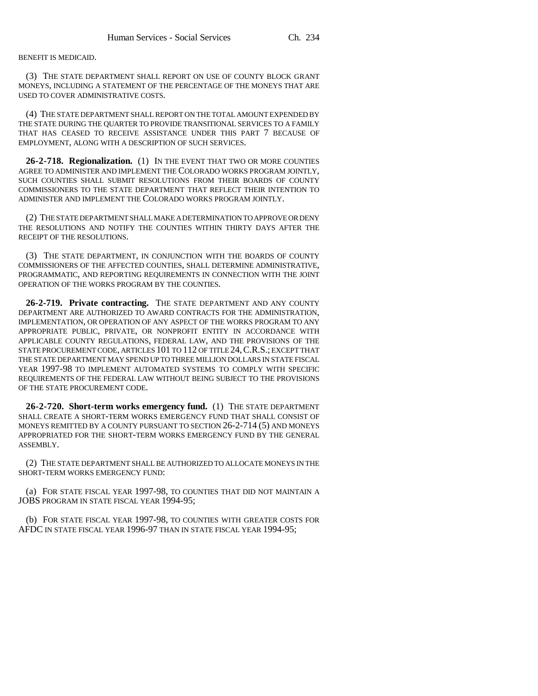BENEFIT IS MEDICAID.

(3) THE STATE DEPARTMENT SHALL REPORT ON USE OF COUNTY BLOCK GRANT MONEYS, INCLUDING A STATEMENT OF THE PERCENTAGE OF THE MONEYS THAT ARE USED TO COVER ADMINISTRATIVE COSTS.

(4) THE STATE DEPARTMENT SHALL REPORT ON THE TOTAL AMOUNT EXPENDED BY THE STATE DURING THE QUARTER TO PROVIDE TRANSITIONAL SERVICES TO A FAMILY THAT HAS CEASED TO RECEIVE ASSISTANCE UNDER THIS PART 7 BECAUSE OF EMPLOYMENT, ALONG WITH A DESCRIPTION OF SUCH SERVICES.

**26-2-718. Regionalization.** (1) IN THE EVENT THAT TWO OR MORE COUNTIES AGREE TO ADMINISTER AND IMPLEMENT THE COLORADO WORKS PROGRAM JOINTLY, SUCH COUNTIES SHALL SUBMIT RESOLUTIONS FROM THEIR BOARDS OF COUNTY COMMISSIONERS TO THE STATE DEPARTMENT THAT REFLECT THEIR INTENTION TO ADMINISTER AND IMPLEMENT THE COLORADO WORKS PROGRAM JOINTLY.

(2) THE STATE DEPARTMENT SHALL MAKE A DETERMINATION TO APPROVE OR DENY THE RESOLUTIONS AND NOTIFY THE COUNTIES WITHIN THIRTY DAYS AFTER THE RECEIPT OF THE RESOLUTIONS.

(3) THE STATE DEPARTMENT, IN CONJUNCTION WITH THE BOARDS OF COUNTY COMMISSIONERS OF THE AFFECTED COUNTIES, SHALL DETERMINE ADMINISTRATIVE, PROGRAMMATIC, AND REPORTING REQUIREMENTS IN CONNECTION WITH THE JOINT OPERATION OF THE WORKS PROGRAM BY THE COUNTIES.

**26-2-719. Private contracting.** THE STATE DEPARTMENT AND ANY COUNTY DEPARTMENT ARE AUTHORIZED TO AWARD CONTRACTS FOR THE ADMINISTRATION, IMPLEMENTATION, OR OPERATION OF ANY ASPECT OF THE WORKS PROGRAM TO ANY APPROPRIATE PUBLIC, PRIVATE, OR NONPROFIT ENTITY IN ACCORDANCE WITH APPLICABLE COUNTY REGULATIONS, FEDERAL LAW, AND THE PROVISIONS OF THE STATE PROCUREMENT CODE, ARTICLES 101 TO 112 OF TITLE 24, C.R.S.; EXCEPT THAT THE STATE DEPARTMENT MAY SPEND UP TO THREE MILLION DOLLARS IN STATE FISCAL YEAR 1997-98 TO IMPLEMENT AUTOMATED SYSTEMS TO COMPLY WITH SPECIFIC REQUIREMENTS OF THE FEDERAL LAW WITHOUT BEING SUBJECT TO THE PROVISIONS OF THE STATE PROCUREMENT CODE.

**26-2-720. Short-term works emergency fund.** (1) THE STATE DEPARTMENT SHALL CREATE A SHORT-TERM WORKS EMERGENCY FUND THAT SHALL CONSIST OF MONEYS REMITTED BY A COUNTY PURSUANT TO SECTION 26-2-714 (5) AND MONEYS APPROPRIATED FOR THE SHORT-TERM WORKS EMERGENCY FUND BY THE GENERAL ASSEMBLY.

(2) THE STATE DEPARTMENT SHALL BE AUTHORIZED TO ALLOCATE MONEYS IN THE SHORT-TERM WORKS EMERGENCY FUND:

(a) FOR STATE FISCAL YEAR 1997-98, TO COUNTIES THAT DID NOT MAINTAIN A JOBS PROGRAM IN STATE FISCAL YEAR 1994-95;

(b) FOR STATE FISCAL YEAR 1997-98, TO COUNTIES WITH GREATER COSTS FOR AFDC IN STATE FISCAL YEAR 1996-97 THAN IN STATE FISCAL YEAR 1994-95;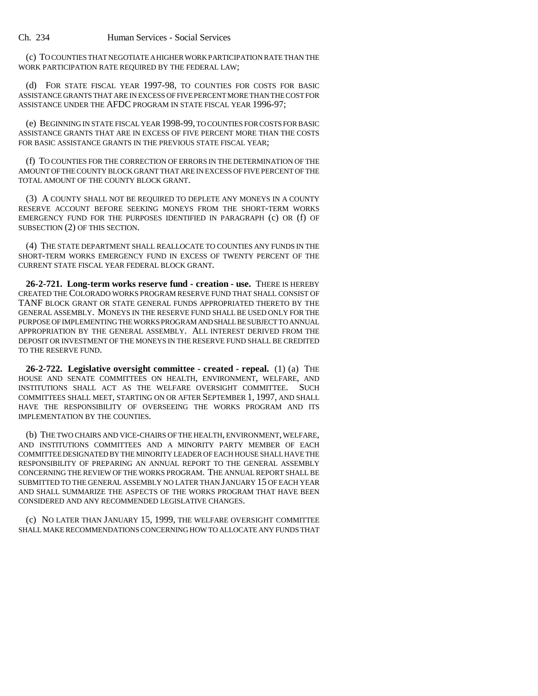Ch. 234 Human Services - Social Services

(c) TO COUNTIES THAT NEGOTIATE A HIGHER WORK PARTICIPATION RATE THAN THE WORK PARTICIPATION RATE REQUIRED BY THE FEDERAL LAW;

(d) FOR STATE FISCAL YEAR 1997-98, TO COUNTIES FOR COSTS FOR BASIC ASSISTANCE GRANTS THAT ARE IN EXCESS OF FIVE PERCENT MORE THAN THE COST FOR ASSISTANCE UNDER THE AFDC PROGRAM IN STATE FISCAL YEAR 1996-97;

(e) BEGINNING IN STATE FISCAL YEAR 1998-99, TO COUNTIES FOR COSTS FOR BASIC ASSISTANCE GRANTS THAT ARE IN EXCESS OF FIVE PERCENT MORE THAN THE COSTS FOR BASIC ASSISTANCE GRANTS IN THE PREVIOUS STATE FISCAL YEAR;

(f) TO COUNTIES FOR THE CORRECTION OF ERRORS IN THE DETERMINATION OF THE AMOUNT OF THE COUNTY BLOCK GRANT THAT ARE IN EXCESS OF FIVE PERCENT OF THE TOTAL AMOUNT OF THE COUNTY BLOCK GRANT.

(3) A COUNTY SHALL NOT BE REQUIRED TO DEPLETE ANY MONEYS IN A COUNTY RESERVE ACCOUNT BEFORE SEEKING MONEYS FROM THE SHORT-TERM WORKS EMERGENCY FUND FOR THE PURPOSES IDENTIFIED IN PARAGRAPH (c) OR (f) OF SUBSECTION (2) OF THIS SECTION.

(4) THE STATE DEPARTMENT SHALL REALLOCATE TO COUNTIES ANY FUNDS IN THE SHORT-TERM WORKS EMERGENCY FUND IN EXCESS OF TWENTY PERCENT OF THE CURRENT STATE FISCAL YEAR FEDERAL BLOCK GRANT.

**26-2-721. Long-term works reserve fund - creation - use.** THERE IS HEREBY CREATED THE COLORADO WORKS PROGRAM RESERVE FUND THAT SHALL CONSIST OF TANF BLOCK GRANT OR STATE GENERAL FUNDS APPROPRIATED THERETO BY THE GENERAL ASSEMBLY. MONEYS IN THE RESERVE FUND SHALL BE USED ONLY FOR THE PURPOSE OF IMPLEMENTING THE WORKS PROGRAM AND SHALL BE SUBJECT TO ANNUAL APPROPRIATION BY THE GENERAL ASSEMBLY. ALL INTEREST DERIVED FROM THE DEPOSIT OR INVESTMENT OF THE MONEYS IN THE RESERVE FUND SHALL BE CREDITED TO THE RESERVE FUND.

**26-2-722. Legislative oversight committee - created - repeal.** (1) (a) THE HOUSE AND SENATE COMMITTEES ON HEALTH, ENVIRONMENT, WELFARE, AND INSTITUTIONS SHALL ACT AS THE WELFARE OVERSIGHT COMMITTEE. SUCH COMMITTEES SHALL MEET, STARTING ON OR AFTER SEPTEMBER 1, 1997, AND SHALL HAVE THE RESPONSIBILITY OF OVERSEEING THE WORKS PROGRAM AND ITS IMPLEMENTATION BY THE COUNTIES.

(b) THE TWO CHAIRS AND VICE-CHAIRS OF THE HEALTH, ENVIRONMENT, WELFARE, AND INSTITUTIONS COMMITTEES AND A MINORITY PARTY MEMBER OF EACH COMMITTEE DESIGNATED BY THE MINORITY LEADER OF EACH HOUSE SHALL HAVE THE RESPONSIBILITY OF PREPARING AN ANNUAL REPORT TO THE GENERAL ASSEMBLY CONCERNING THE REVIEW OF THE WORKS PROGRAM. THE ANNUAL REPORT SHALL BE SUBMITTED TO THE GENERAL ASSEMBLY NO LATER THAN JANUARY 15 OF EACH YEAR AND SHALL SUMMARIZE THE ASPECTS OF THE WORKS PROGRAM THAT HAVE BEEN CONSIDERED AND ANY RECOMMENDED LEGISLATIVE CHANGES.

(c) NO LATER THAN JANUARY 15, 1999, THE WELFARE OVERSIGHT COMMITTEE SHALL MAKE RECOMMENDATIONS CONCERNING HOW TO ALLOCATE ANY FUNDS THAT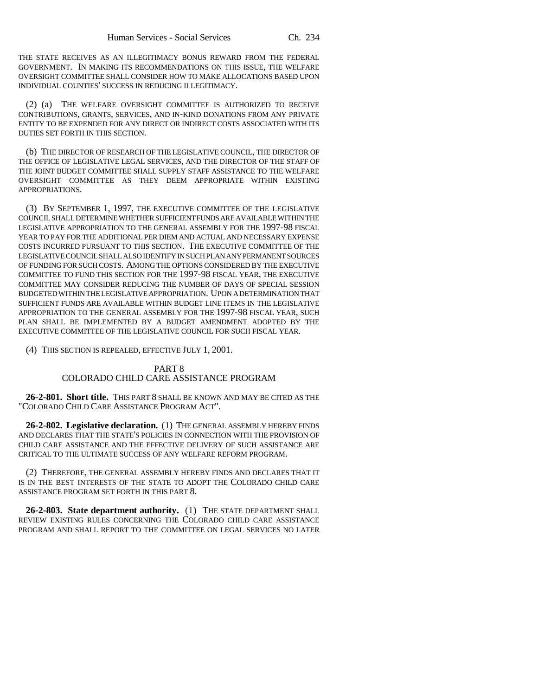THE STATE RECEIVES AS AN ILLEGITIMACY BONUS REWARD FROM THE FEDERAL GOVERNMENT. IN MAKING ITS RECOMMENDATIONS ON THIS ISSUE, THE WELFARE OVERSIGHT COMMITTEE SHALL CONSIDER HOW TO MAKE ALLOCATIONS BASED UPON INDIVIDUAL COUNTIES' SUCCESS IN REDUCING ILLEGITIMACY.

(2) (a) THE WELFARE OVERSIGHT COMMITTEE IS AUTHORIZED TO RECEIVE CONTRIBUTIONS, GRANTS, SERVICES, AND IN-KIND DONATIONS FROM ANY PRIVATE ENTITY TO BE EXPENDED FOR ANY DIRECT OR INDIRECT COSTS ASSOCIATED WITH ITS DUTIES SET FORTH IN THIS SECTION.

(b) THE DIRECTOR OF RESEARCH OF THE LEGISLATIVE COUNCIL, THE DIRECTOR OF THE OFFICE OF LEGISLATIVE LEGAL SERVICES, AND THE DIRECTOR OF THE STAFF OF THE JOINT BUDGET COMMITTEE SHALL SUPPLY STAFF ASSISTANCE TO THE WELFARE OVERSIGHT COMMITTEE AS THEY DEEM APPROPRIATE WITHIN EXISTING APPROPRIATIONS.

(3) BY SEPTEMBER 1, 1997, THE EXECUTIVE COMMITTEE OF THE LEGISLATIVE COUNCIL SHALL DETERMINE WHETHER SUFFICIENT FUNDS ARE AVAILABLE WITHIN THE LEGISLATIVE APPROPRIATION TO THE GENERAL ASSEMBLY FOR THE 1997-98 FISCAL YEAR TO PAY FOR THE ADDITIONAL PER DIEM AND ACTUAL AND NECESSARY EXPENSE COSTS INCURRED PURSUANT TO THIS SECTION. THE EXECUTIVE COMMITTEE OF THE LEGISLATIVE COUNCIL SHALL ALSO IDENTIFY IN SUCH PLAN ANY PERMANENT SOURCES OF FUNDING FOR SUCH COSTS. AMONG THE OPTIONS CONSIDERED BY THE EXECUTIVE COMMITTEE TO FUND THIS SECTION FOR THE 1997-98 FISCAL YEAR, THE EXECUTIVE COMMITTEE MAY CONSIDER REDUCING THE NUMBER OF DAYS OF SPECIAL SESSION BUDGETED WITHIN THE LEGISLATIVE APPROPRIATION. UPON A DETERMINATION THAT SUFFICIENT FUNDS ARE AVAILABLE WITHIN BUDGET LINE ITEMS IN THE LEGISLATIVE APPROPRIATION TO THE GENERAL ASSEMBLY FOR THE 1997-98 FISCAL YEAR, SUCH PLAN SHALL BE IMPLEMENTED BY A BUDGET AMENDMENT ADOPTED BY THE EXECUTIVE COMMITTEE OF THE LEGISLATIVE COUNCIL FOR SUCH FISCAL YEAR.

(4) THIS SECTION IS REPEALED, EFFECTIVE JULY 1, 2001.

### PART 8 COLORADO CHILD CARE ASSISTANCE PROGRAM

**26-2-801. Short title.** THIS PART 8 SHALL BE KNOWN AND MAY BE CITED AS THE "COLORADO CHILD CARE ASSISTANCE PROGRAM ACT".

**26-2-802. Legislative declaration.** (1) THE GENERAL ASSEMBLY HEREBY FINDS AND DECLARES THAT THE STATE'S POLICIES IN CONNECTION WITH THE PROVISION OF CHILD CARE ASSISTANCE AND THE EFFECTIVE DELIVERY OF SUCH ASSISTANCE ARE CRITICAL TO THE ULTIMATE SUCCESS OF ANY WELFARE REFORM PROGRAM.

(2) THEREFORE, THE GENERAL ASSEMBLY HEREBY FINDS AND DECLARES THAT IT IS IN THE BEST INTERESTS OF THE STATE TO ADOPT THE COLORADO CHILD CARE ASSISTANCE PROGRAM SET FORTH IN THIS PART 8.

**26-2-803. State department authority.** (1) THE STATE DEPARTMENT SHALL REVIEW EXISTING RULES CONCERNING THE COLORADO CHILD CARE ASSISTANCE PROGRAM AND SHALL REPORT TO THE COMMITTEE ON LEGAL SERVICES NO LATER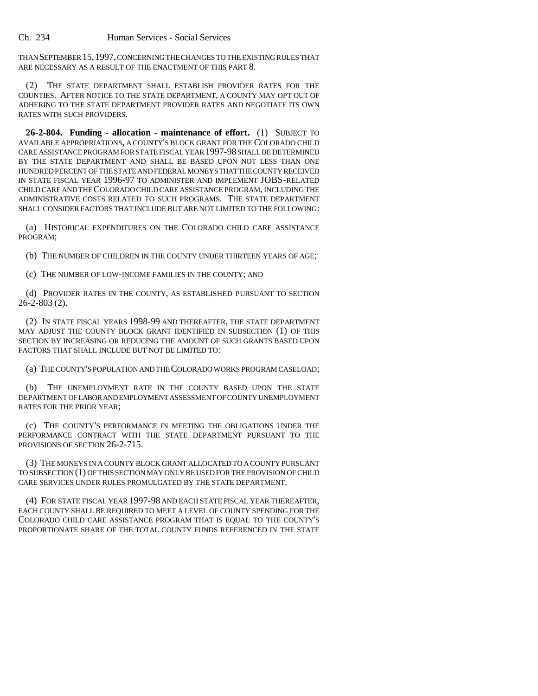Ch. 234 Human Services - Social Services

THAN SEPTEMBER 15,1997, CONCERNING THE CHANGES TO THE EXISTING RULES THAT ARE NECESSARY AS A RESULT OF THE ENACTMENT OF THIS PART 8.

(2) THE STATE DEPARTMENT SHALL ESTABLISH PROVIDER RATES FOR THE COUNTIES. AFTER NOTICE TO THE STATE DEPARTMENT, A COUNTY MAY OPT OUT OF ADHERING TO THE STATE DEPARTMENT PROVIDER RATES AND NEGOTIATE ITS OWN RATES WITH SUCH PROVIDERS.

**26-2-804. Funding - allocation - maintenance of effort.** (1) SUBJECT TO AVAILABLE APPROPRIATIONS, A COUNTY'S BLOCK GRANT FOR THE COLORADO CHILD CARE ASSISTANCE PROGRAM FOR STATE FISCAL YEAR 1997-98 SHALL BE DETERMINED BY THE STATE DEPARTMENT AND SHALL BE BASED UPON NOT LESS THAN ONE HUNDRED PERCENT OF THE STATE AND FEDERAL MONEYS THAT THE COUNTY RECEIVED IN STATE FISCAL YEAR 1996-97 TO ADMINISTER AND IMPLEMENT JOBS-RELATED CHILD CARE AND THE COLORADO CHILD CARE ASSISTANCE PROGRAM, INCLUDING THE ADMINISTRATIVE COSTS RELATED TO SUCH PROGRAMS. THE STATE DEPARTMENT SHALL CONSIDER FACTORS THAT INCLUDE BUT ARE NOT LIMITED TO THE FOLLOWING:

(a) HISTORICAL EXPENDITURES ON THE COLORADO CHILD CARE ASSISTANCE PROGRAM;

(b) THE NUMBER OF CHILDREN IN THE COUNTY UNDER THIRTEEN YEARS OF AGE;

(c) THE NUMBER OF LOW-INCOME FAMILIES IN THE COUNTY; AND

(d) PROVIDER RATES IN THE COUNTY, AS ESTABLISHED PURSUANT TO SECTION 26-2-803 (2).

(2) IN STATE FISCAL YEARS 1998-99 AND THEREAFTER, THE STATE DEPARTMENT MAY ADJUST THE COUNTY BLOCK GRANT IDENTIFIED IN SUBSECTION (1) OF THIS SECTION BY INCREASING OR REDUCING THE AMOUNT OF SUCH GRANTS BASED UPON FACTORS THAT SHALL INCLUDE BUT NOT BE LIMITED TO:

(a) THE COUNTY'S POPULATION AND THE COLORADO WORKS PROGRAM CASELOAD;

(b) THE UNEMPLOYMENT RATE IN THE COUNTY BASED UPON THE STATE DEPARTMENT OF LABOR AND EMPLOYMENT ASSESSMENT OF COUNTY UNEMPLOYMENT RATES FOR THE PRIOR YEAR;

(c) THE COUNTY'S PERFORMANCE IN MEETING THE OBLIGATIONS UNDER THE PERFORMANCE CONTRACT WITH THE STATE DEPARTMENT PURSUANT TO THE PROVISIONS OF SECTION 26-2-715.

(3) THE MONEYS IN A COUNTY BLOCK GRANT ALLOCATED TO A COUNTY PURSUANT TO SUBSECTION (1) OF THIS SECTION MAY ONLY BE USED FOR THE PROVISION OF CHILD CARE SERVICES UNDER RULES PROMULGATED BY THE STATE DEPARTMENT.

(4) FOR STATE FISCAL YEAR 1997-98 AND EACH STATE FISCAL YEAR THEREAFTER, EACH COUNTY SHALL BE REQUIRED TO MEET A LEVEL OF COUNTY SPENDING FOR THE COLORADO CHILD CARE ASSISTANCE PROGRAM THAT IS EQUAL TO THE COUNTY'S PROPORTIONATE SHARE OF THE TOTAL COUNTY FUNDS REFERENCED IN THE STATE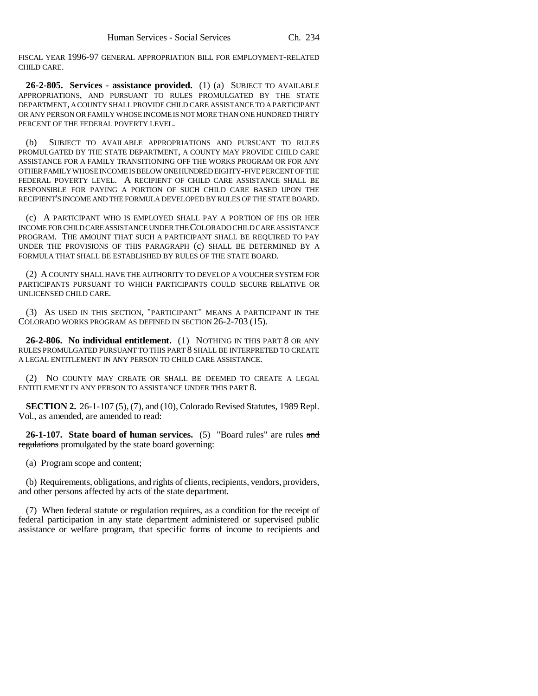FISCAL YEAR 1996-97 GENERAL APPROPRIATION BILL FOR EMPLOYMENT-RELATED CHILD CARE.

**26-2-805. Services - assistance provided.** (1) (a) SUBJECT TO AVAILABLE APPROPRIATIONS, AND PURSUANT TO RULES PROMULGATED BY THE STATE DEPARTMENT, A COUNTY SHALL PROVIDE CHILD CARE ASSISTANCE TO A PARTICIPANT OR ANY PERSON OR FAMILY WHOSE INCOME IS NOT MORE THAN ONE HUNDRED THIRTY PERCENT OF THE FEDERAL POVERTY LEVEL.

(b) SUBJECT TO AVAILABLE APPROPRIATIONS AND PURSUANT TO RULES PROMULGATED BY THE STATE DEPARTMENT, A COUNTY MAY PROVIDE CHILD CARE ASSISTANCE FOR A FAMILY TRANSITIONING OFF THE WORKS PROGRAM OR FOR ANY OTHER FAMILY WHOSE INCOME IS BELOW ONE HUNDRED EIGHTY-FIVE PERCENT OF THE FEDERAL POVERTY LEVEL. A RECIPIENT OF CHILD CARE ASSISTANCE SHALL BE RESPONSIBLE FOR PAYING A PORTION OF SUCH CHILD CARE BASED UPON THE RECIPIENT'S INCOME AND THE FORMULA DEVELOPED BY RULES OF THE STATE BOARD.

(c) A PARTICIPANT WHO IS EMPLOYED SHALL PAY A PORTION OF HIS OR HER INCOME FOR CHILD CARE ASSISTANCE UNDER THE COLORADO CHILD CARE ASSISTANCE PROGRAM. THE AMOUNT THAT SUCH A PARTICIPANT SHALL BE REQUIRED TO PAY UNDER THE PROVISIONS OF THIS PARAGRAPH (c) SHALL BE DETERMINED BY A FORMULA THAT SHALL BE ESTABLISHED BY RULES OF THE STATE BOARD.

(2) A COUNTY SHALL HAVE THE AUTHORITY TO DEVELOP A VOUCHER SYSTEM FOR PARTICIPANTS PURSUANT TO WHICH PARTICIPANTS COULD SECURE RELATIVE OR UNLICENSED CHILD CARE.

(3) AS USED IN THIS SECTION, "PARTICIPANT" MEANS A PARTICIPANT IN THE COLORADO WORKS PROGRAM AS DEFINED IN SECTION 26-2-703 (15).

**26-2-806. No individual entitlement.** (1) NOTHING IN THIS PART 8 OR ANY RULES PROMULGATED PURSUANT TO THIS PART 8 SHALL BE INTERPRETED TO CREATE A LEGAL ENTITLEMENT IN ANY PERSON TO CHILD CARE ASSISTANCE.

(2) NO COUNTY MAY CREATE OR SHALL BE DEEMED TO CREATE A LEGAL ENTITLEMENT IN ANY PERSON TO ASSISTANCE UNDER THIS PART 8.

**SECTION 2.** 26-1-107 (5), (7), and (10), Colorado Revised Statutes, 1989 Repl. Vol., as amended, are amended to read:

**26-1-107. State board of human services.** (5) "Board rules" are rules and regulations promulgated by the state board governing:

(a) Program scope and content;

(b) Requirements, obligations, and rights of clients, recipients, vendors, providers, and other persons affected by acts of the state department.

(7) When federal statute or regulation requires, as a condition for the receipt of federal participation in any state department administered or supervised public assistance or welfare program, that specific forms of income to recipients and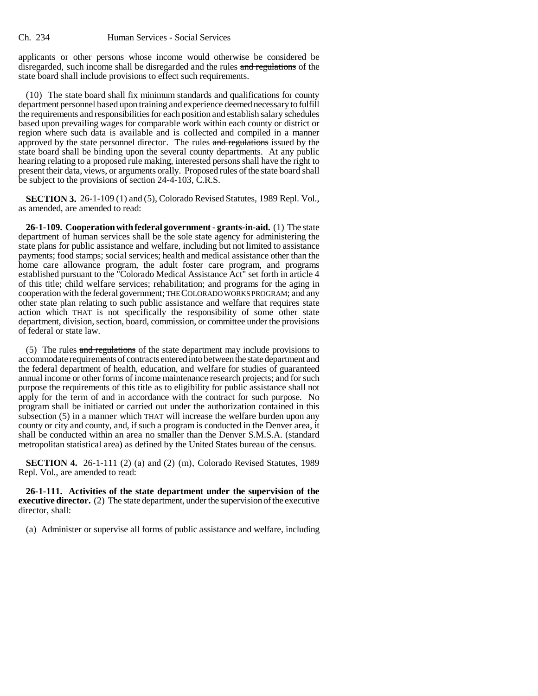applicants or other persons whose income would otherwise be considered be disregarded, such income shall be disregarded and the rules and regulations of the state board shall include provisions to effect such requirements.

(10) The state board shall fix minimum standards and qualifications for county department personnel based upon training and experience deemed necessary to fulfill the requirements and responsibilities for each position and establish salary schedules based upon prevailing wages for comparable work within each county or district or region where such data is available and is collected and compiled in a manner approved by the state personnel director. The rules and regulations issued by the state board shall be binding upon the several county departments. At any public hearing relating to a proposed rule making, interested persons shall have the right to present their data, views, or arguments orally. Proposed rules of the state board shall be subject to the provisions of section 24-4-103, C.R.S.

**SECTION 3.** 26-1-109 (1) and (5), Colorado Revised Statutes, 1989 Repl. Vol., as amended, are amended to read:

**26-1-109. Cooperation with federal government - grants-in-aid.** (1) The state department of human services shall be the sole state agency for administering the state plans for public assistance and welfare, including but not limited to assistance payments; food stamps; social services; health and medical assistance other than the home care allowance program, the adult foster care program, and programs established pursuant to the "Colorado Medical Assistance Act" set forth in article 4 of this title; child welfare services; rehabilitation; and programs for the aging in cooperation with the federal government; THE COLORADO WORKS PROGRAM; and any other state plan relating to such public assistance and welfare that requires state action which THAT is not specifically the responsibility of some other state department, division, section, board, commission, or committee under the provisions of federal or state law.

(5) The rules and regulations of the state department may include provisions to accommodate requirements of contracts entered into between the state department and the federal department of health, education, and welfare for studies of guaranteed annual income or other forms of income maintenance research projects; and for such purpose the requirements of this title as to eligibility for public assistance shall not apply for the term of and in accordance with the contract for such purpose. No program shall be initiated or carried out under the authorization contained in this subsection  $(5)$  in a manner which THAT will increase the welfare burden upon any county or city and county, and, if such a program is conducted in the Denver area, it shall be conducted within an area no smaller than the Denver S.M.S.A. (standard metropolitan statistical area) as defined by the United States bureau of the census.

**SECTION 4.** 26-1-111 (2) (a) and (2) (m), Colorado Revised Statutes, 1989 Repl. Vol., are amended to read:

**26-1-111. Activities of the state department under the supervision of the executive director.** (2) The state department, under the supervision of the executive director, shall:

(a) Administer or supervise all forms of public assistance and welfare, including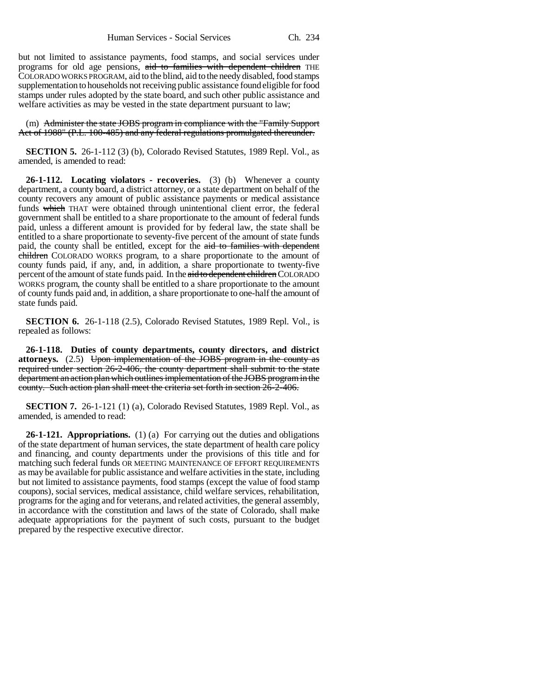but not limited to assistance payments, food stamps, and social services under programs for old age pensions, aid to families with dependent children THE COLORADO WORKS PROGRAM, aid to the blind, aid to the needy disabled, food stamps supplementation to households not receiving public assistance found eligible for food stamps under rules adopted by the state board, and such other public assistance and welfare activities as may be vested in the state department pursuant to law;

(m) Administer the state JOBS program in compliance with the "Family Support Act of 1988" (P.L. 100-485) and any federal regulations promulgated thereunder.

**SECTION 5.** 26-1-112 (3) (b), Colorado Revised Statutes, 1989 Repl. Vol., as amended, is amended to read:

**26-1-112. Locating violators - recoveries.** (3) (b) Whenever a county department, a county board, a district attorney, or a state department on behalf of the county recovers any amount of public assistance payments or medical assistance funds which THAT were obtained through unintentional client error, the federal government shall be entitled to a share proportionate to the amount of federal funds paid, unless a different amount is provided for by federal law, the state shall be entitled to a share proportionate to seventy-five percent of the amount of state funds paid, the county shall be entitled, except for the aid to families with dependent children COLORADO WORKS program, to a share proportionate to the amount of county funds paid, if any, and, in addition, a share proportionate to twenty-five percent of the amount of state funds paid. In the aid to dependent children COLORADO WORKS program, the county shall be entitled to a share proportionate to the amount of county funds paid and, in addition, a share proportionate to one-half the amount of state funds paid.

**SECTION 6.** 26-1-118 (2.5), Colorado Revised Statutes, 1989 Repl. Vol., is repealed as follows:

**26-1-118. Duties of county departments, county directors, and district attorneys.** (2.5) Upon implementation of the JOBS program in the county as required under section 26-2-406, the county department shall submit to the state department an action plan which outlines implementation of the JOBS program in the county. Such action plan shall meet the criteria set forth in section 26-2-406.

**SECTION 7.** 26-1-121 (1) (a), Colorado Revised Statutes, 1989 Repl. Vol., as amended, is amended to read:

**26-1-121. Appropriations.** (1) (a) For carrying out the duties and obligations of the state department of human services, the state department of health care policy and financing, and county departments under the provisions of this title and for matching such federal funds OR MEETING MAINTENANCE OF EFFORT REQUIREMENTS as may be available for public assistance and welfare activities in the state, including but not limited to assistance payments, food stamps (except the value of food stamp coupons), social services, medical assistance, child welfare services, rehabilitation, programs for the aging and for veterans, and related activities, the general assembly, in accordance with the constitution and laws of the state of Colorado, shall make adequate appropriations for the payment of such costs, pursuant to the budget prepared by the respective executive director.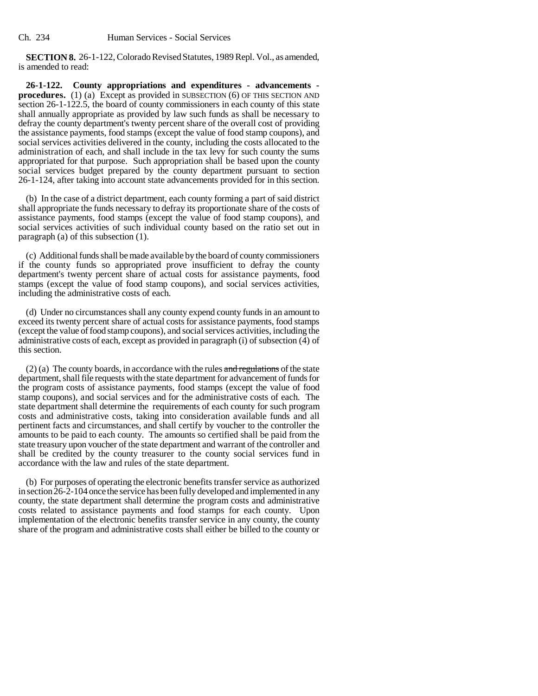**SECTION 8.** 26-1-122, Colorado Revised Statutes, 1989 Repl. Vol., as amended, is amended to read:

**26-1-122. County appropriations and expenditures - advancements procedures.** (1) (a) Except as provided in SUBSECTION (6) OF THIS SECTION AND section 26-1-122.5, the board of county commissioners in each county of this state shall annually appropriate as provided by law such funds as shall be necessary to defray the county department's twenty percent share of the overall cost of providing the assistance payments, food stamps (except the value of food stamp coupons), and social services activities delivered in the county, including the costs allocated to the administration of each, and shall include in the tax levy for such county the sums appropriated for that purpose. Such appropriation shall be based upon the county social services budget prepared by the county department pursuant to section 26-1-124, after taking into account state advancements provided for in this section.

(b) In the case of a district department, each county forming a part of said district shall appropriate the funds necessary to defray its proportionate share of the costs of assistance payments, food stamps (except the value of food stamp coupons), and social services activities of such individual county based on the ratio set out in paragraph (a) of this subsection (1).

(c) Additional funds shall be made available by the board of county commissioners if the county funds so appropriated prove insufficient to defray the county department's twenty percent share of actual costs for assistance payments, food stamps (except the value of food stamp coupons), and social services activities, including the administrative costs of each.

(d) Under no circumstances shall any county expend county funds in an amount to exceed its twenty percent share of actual costs for assistance payments, food stamps (except the value of food stamp coupons), and social services activities, including the administrative costs of each, except as provided in paragraph (i) of subsection (4) of this section.

 $(2)$  (a) The county boards, in accordance with the rules and regulations of the state department, shall file requests with the state department for advancement of funds for the program costs of assistance payments, food stamps (except the value of food stamp coupons), and social services and for the administrative costs of each. The state department shall determine the requirements of each county for such program costs and administrative costs, taking into consideration available funds and all pertinent facts and circumstances, and shall certify by voucher to the controller the amounts to be paid to each county. The amounts so certified shall be paid from the state treasury upon voucher of the state department and warrant of the controller and shall be credited by the county treasurer to the county social services fund in accordance with the law and rules of the state department.

(b) For purposes of operating the electronic benefits transfer service as authorized in section 26-2-104 once the service has been fully developed and implemented in any county, the state department shall determine the program costs and administrative costs related to assistance payments and food stamps for each county. Upon implementation of the electronic benefits transfer service in any county, the county share of the program and administrative costs shall either be billed to the county or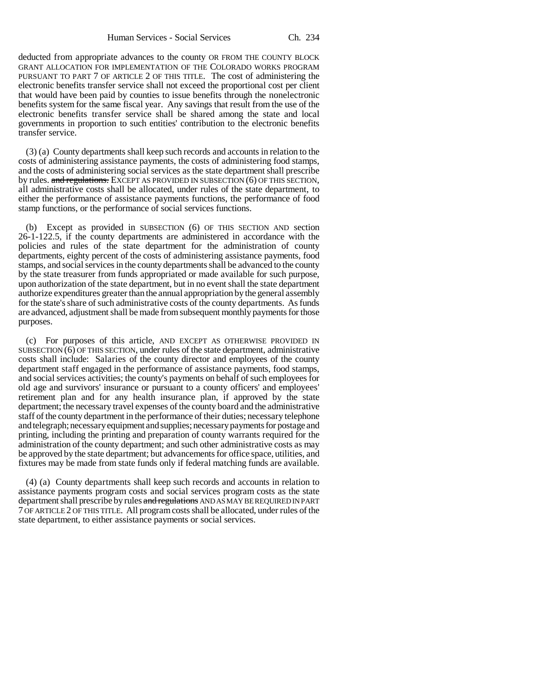deducted from appropriate advances to the county OR FROM THE COUNTY BLOCK GRANT ALLOCATION FOR IMPLEMENTATION OF THE COLORADO WORKS PROGRAM PURSUANT TO PART 7 OF ARTICLE 2 OF THIS TITLE. The cost of administering the electronic benefits transfer service shall not exceed the proportional cost per client that would have been paid by counties to issue benefits through the nonelectronic benefits system for the same fiscal year. Any savings that result from the use of the electronic benefits transfer service shall be shared among the state and local governments in proportion to such entities' contribution to the electronic benefits transfer service.

(3) (a) County departments shall keep such records and accounts in relation to the costs of administering assistance payments, the costs of administering food stamps, and the costs of administering social services as the state department shall prescribe by rules. and regulations. EXCEPT AS PROVIDED IN SUBSECTION (6) OF THIS SECTION, all administrative costs shall be allocated, under rules of the state department, to either the performance of assistance payments functions, the performance of food stamp functions, or the performance of social services functions.

(b) Except as provided in SUBSECTION (6) OF THIS SECTION AND section 26-1-122.5, if the county departments are administered in accordance with the policies and rules of the state department for the administration of county departments, eighty percent of the costs of administering assistance payments, food stamps, and social services in the county departments shall be advanced to the county by the state treasurer from funds appropriated or made available for such purpose, upon authorization of the state department, but in no event shall the state department authorize expenditures greater than the annual appropriation by the general assembly for the state's share of such administrative costs of the county departments. As funds are advanced, adjustment shall be made from subsequent monthly payments for those purposes.

(c) For purposes of this article, AND EXCEPT AS OTHERWISE PROVIDED IN SUBSECTION (6) OF THIS SECTION, under rules of the state department, administrative costs shall include: Salaries of the county director and employees of the county department staff engaged in the performance of assistance payments, food stamps, and social services activities; the county's payments on behalf of such employees for old age and survivors' insurance or pursuant to a county officers' and employees' retirement plan and for any health insurance plan, if approved by the state department; the necessary travel expenses of the county board and the administrative staff of the county department in the performance of their duties; necessary telephone and telegraph; necessary equipment and supplies; necessary payments for postage and printing, including the printing and preparation of county warrants required for the administration of the county department; and such other administrative costs as may be approved by the state department; but advancements for office space, utilities, and fixtures may be made from state funds only if federal matching funds are available.

(4) (a) County departments shall keep such records and accounts in relation to assistance payments program costs and social services program costs as the state department shall prescribe by rules and regulations AND AS MAY BE REQUIRED IN PART 7 OF ARTICLE 2 OF THIS TITLE. All program costs shall be allocated, under rules of the state department, to either assistance payments or social services.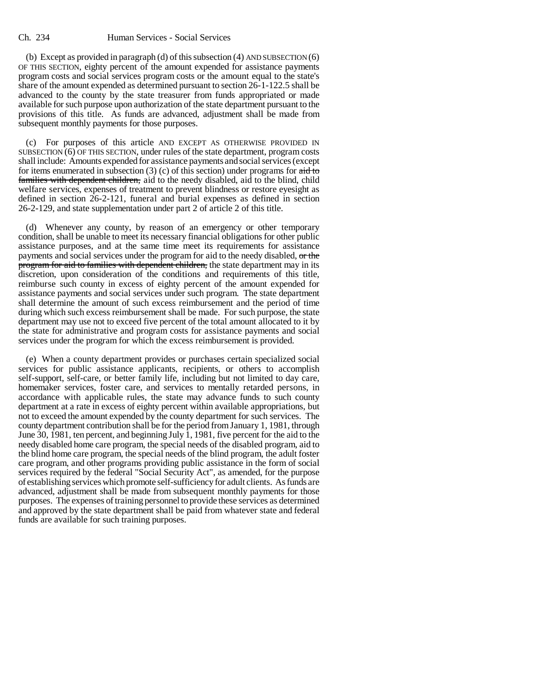(b) Except as provided in paragraph (d) of this subsection (4) AND SUBSECTION (6) OF THIS SECTION, eighty percent of the amount expended for assistance payments program costs and social services program costs or the amount equal to the state's share of the amount expended as determined pursuant to section 26-1-122.5 shall be advanced to the county by the state treasurer from funds appropriated or made available for such purpose upon authorization of the state department pursuant to the provisions of this title. As funds are advanced, adjustment shall be made from subsequent monthly payments for those purposes.

(c) For purposes of this article AND EXCEPT AS OTHERWISE PROVIDED IN SUBSECTION (6) OF THIS SECTION, under rules of the state department, program costs shall include: Amounts expended for assistance payments and social services (except for items enumerated in subsection  $(3)$  (c) of this section) under programs for  $\frac{\text{aid to}}{\text{d}t}$ families with dependent children, aid to the needy disabled, aid to the blind, child welfare services, expenses of treatment to prevent blindness or restore eyesight as defined in section 26-2-121, funeral and burial expenses as defined in section 26-2-129, and state supplementation under part 2 of article 2 of this title.

(d) Whenever any county, by reason of an emergency or other temporary condition, shall be unable to meet its necessary financial obligations for other public assistance purposes, and at the same time meet its requirements for assistance payments and social services under the program for aid to the needy disabled,  $\sigma$ rthe program for aid to families with dependent children, the state department may in its discretion, upon consideration of the conditions and requirements of this title, reimburse such county in excess of eighty percent of the amount expended for assistance payments and social services under such program. The state department shall determine the amount of such excess reimbursement and the period of time during which such excess reimbursement shall be made. For such purpose, the state department may use not to exceed five percent of the total amount allocated to it by the state for administrative and program costs for assistance payments and social services under the program for which the excess reimbursement is provided.

(e) When a county department provides or purchases certain specialized social services for public assistance applicants, recipients, or others to accomplish self-support, self-care, or better family life, including but not limited to day care, homemaker services, foster care, and services to mentally retarded persons, in accordance with applicable rules, the state may advance funds to such county department at a rate in excess of eighty percent within available appropriations, but not to exceed the amount expended by the county department for such services. The county department contribution shall be for the period from January 1, 1981, through June  $30$ , 1981, ten percent, and beginning July 1, 1981, five percent for the aid to the needy disabled home care program, the special needs of the disabled program, aid to the blind home care program, the special needs of the blind program, the adult foster care program, and other programs providing public assistance in the form of social services required by the federal "Social Security Act", as amended, for the purpose of establishing services which promote self-sufficiency for adult clients. As funds are advanced, adjustment shall be made from subsequent monthly payments for those purposes. The expenses of training personnel to provide these services as determined and approved by the state department shall be paid from whatever state and federal funds are available for such training purposes.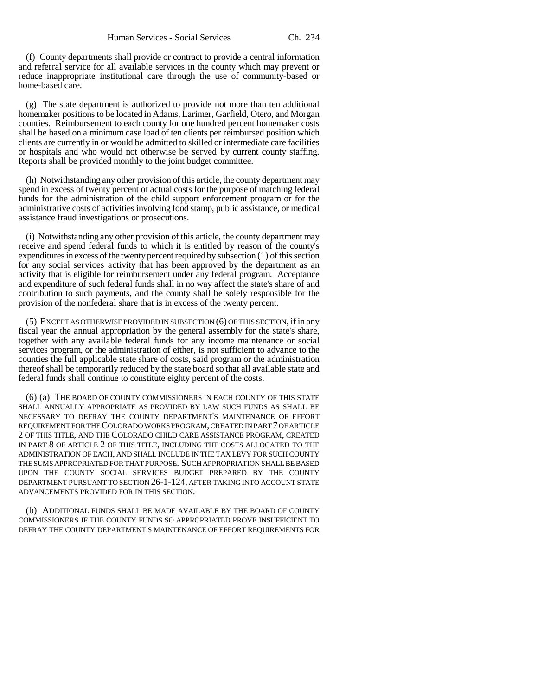(f) County departments shall provide or contract to provide a central information and referral service for all available services in the county which may prevent or reduce inappropriate institutional care through the use of community-based or home-based care.

(g) The state department is authorized to provide not more than ten additional homemaker positions to be located in Adams, Larimer, Garfield, Otero, and Morgan counties. Reimbursement to each county for one hundred percent homemaker costs shall be based on a minimum case load of ten clients per reimbursed position which clients are currently in or would be admitted to skilled or intermediate care facilities or hospitals and who would not otherwise be served by current county staffing. Reports shall be provided monthly to the joint budget committee.

(h) Notwithstanding any other provision of this article, the county department may spend in excess of twenty percent of actual costs for the purpose of matching federal funds for the administration of the child support enforcement program or for the administrative costs of activities involving food stamp, public assistance, or medical assistance fraud investigations or prosecutions.

(i) Notwithstanding any other provision of this article, the county department may receive and spend federal funds to which it is entitled by reason of the county's expenditures in excess of the twenty percent required by subsection (1) of this section for any social services activity that has been approved by the department as an activity that is eligible for reimbursement under any federal program. Acceptance and expenditure of such federal funds shall in no way affect the state's share of and contribution to such payments, and the county shall be solely responsible for the provision of the nonfederal share that is in excess of the twenty percent.

(5) EXCEPT AS OTHERWISE PROVIDED IN SUBSECTION (6) OF THIS SECTION, if in any fiscal year the annual appropriation by the general assembly for the state's share, together with any available federal funds for any income maintenance or social services program, or the administration of either, is not sufficient to advance to the counties the full applicable state share of costs, said program or the administration thereof shall be temporarily reduced by the state board so that all available state and federal funds shall continue to constitute eighty percent of the costs.

(6) (a) THE BOARD OF COUNTY COMMISSIONERS IN EACH COUNTY OF THIS STATE SHALL ANNUALLY APPROPRIATE AS PROVIDED BY LAW SUCH FUNDS AS SHALL BE NECESSARY TO DEFRAY THE COUNTY DEPARTMENT'S MAINTENANCE OF EFFORT REQUIREMENT FOR THE COLORADO WORKS PROGRAM, CREATED IN PART 7 OF ARTICLE 2 OF THIS TITLE, AND THE COLORADO CHILD CARE ASSISTANCE PROGRAM, CREATED IN PART 8 OF ARTICLE 2 OF THIS TITLE, INCLUDING THE COSTS ALLOCATED TO THE ADMINISTRATION OF EACH, AND SHALL INCLUDE IN THE TAX LEVY FOR SUCH COUNTY THE SUMS APPROPRIATED FOR THAT PURPOSE. SUCH APPROPRIATION SHALL BE BASED UPON THE COUNTY SOCIAL SERVICES BUDGET PREPARED BY THE COUNTY DEPARTMENT PURSUANT TO SECTION 26-1-124, AFTER TAKING INTO ACCOUNT STATE ADVANCEMENTS PROVIDED FOR IN THIS SECTION.

(b) ADDITIONAL FUNDS SHALL BE MADE AVAILABLE BY THE BOARD OF COUNTY COMMISSIONERS IF THE COUNTY FUNDS SO APPROPRIATED PROVE INSUFFICIENT TO DEFRAY THE COUNTY DEPARTMENT'S MAINTENANCE OF EFFORT REQUIREMENTS FOR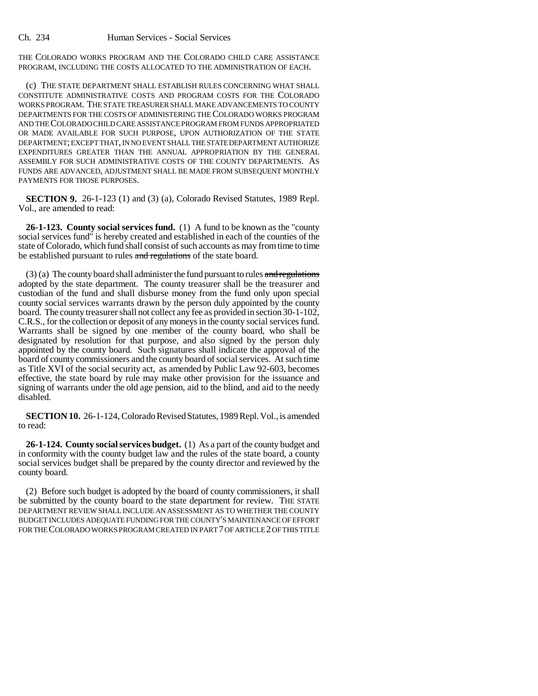THE COLORADO WORKS PROGRAM AND THE COLORADO CHILD CARE ASSISTANCE PROGRAM, INCLUDING THE COSTS ALLOCATED TO THE ADMINISTRATION OF EACH.

(c) THE STATE DEPARTMENT SHALL ESTABLISH RULES CONCERNING WHAT SHALL CONSTITUTE ADMINISTRATIVE COSTS AND PROGRAM COSTS FOR THE COLORADO WORKS PROGRAM. THE STATE TREASURER SHALL MAKE ADVANCEMENTS TO COUNTY DEPARTMENTS FOR THE COSTS OF ADMINISTERING THE COLORADO WORKS PROGRAM AND THE COLORADO CHILD CARE ASSISTANCE PROGRAM FROM FUNDS APPROPRIATED OR MADE AVAILABLE FOR SUCH PURPOSE, UPON AUTHORIZATION OF THE STATE DEPARTMENT; EXCEPT THAT, IN NO EVENT SHALL THE STATE DEPARTMENT AUTHORIZE EXPENDITURES GREATER THAN THE ANNUAL APPROPRIATION BY THE GENERAL ASSEMBLY FOR SUCH ADMINISTRATIVE COSTS OF THE COUNTY DEPARTMENTS. AS FUNDS ARE ADVANCED, ADJUSTMENT SHALL BE MADE FROM SUBSEQUENT MONTHLY PAYMENTS FOR THOSE PURPOSES.

**SECTION 9.** 26-1-123 (1) and (3) (a), Colorado Revised Statutes, 1989 Repl. Vol., are amended to read:

**26-1-123. County social services fund.** (1) A fund to be known as the "county social services fund" is hereby created and established in each of the counties of the state of Colorado, which fund shall consist of such accounts as may from time to time be established pursuant to rules and regulations of the state board.

 $(3)$  (a) The county board shall administer the fund pursuant to rules and regulations adopted by the state department. The county treasurer shall be the treasurer and custodian of the fund and shall disburse money from the fund only upon special county social services warrants drawn by the person duly appointed by the county board. The county treasurer shall not collect any fee as provided in section 30-1-102, C.R.S., for the collection or deposit of any moneys in the county social services fund. Warrants shall be signed by one member of the county board, who shall be designated by resolution for that purpose, and also signed by the person duly appointed by the county board. Such signatures shall indicate the approval of the board of county commissioners and the county board of social services. At such time as Title XVI of the social security act, as amended by Public Law 92-603, becomes effective, the state board by rule may make other provision for the issuance and signing of warrants under the old age pension, aid to the blind, and aid to the needy disabled.

**SECTION 10.** 26-1-124, Colorado Revised Statutes, 1989 Repl. Vol., is amended to read:

**26-1-124. County social services budget.** (1) As a part of the county budget and in conformity with the county budget law and the rules of the state board, a county social services budget shall be prepared by the county director and reviewed by the county board.

(2) Before such budget is adopted by the board of county commissioners, it shall be submitted by the county board to the state department for review. THE STATE DEPARTMENT REVIEW SHALL INCLUDE AN ASSESSMENT AS TO WHETHER THE COUNTY BUDGET INCLUDES ADEQUATE FUNDING FOR THE COUNTY'S MAINTENANCE OF EFFORT FOR THE COLORADO WORKS PROGRAM CREATED IN PART 7 OF ARTICLE 2 OF THIS TITLE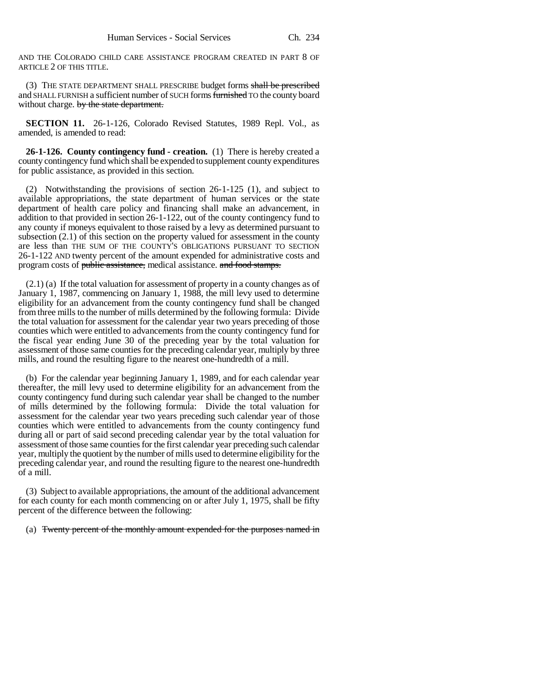AND THE COLORADO CHILD CARE ASSISTANCE PROGRAM CREATED IN PART 8 OF ARTICLE 2 OF THIS TITLE.

(3) THE STATE DEPARTMENT SHALL PRESCRIBE budget forms shall be prescribed and SHALL FURNISH a sufficient number of SUCH forms furnished TO the county board without charge. by the state department.

**SECTION 11.** 26-1-126, Colorado Revised Statutes, 1989 Repl. Vol., as amended, is amended to read:

**26-1-126. County contingency fund - creation.** (1) There is hereby created a county contingency fund which shall be expended to supplement county expenditures for public assistance, as provided in this section.

(2) Notwithstanding the provisions of section 26-1-125 (1), and subject to available appropriations, the state department of human services or the state department of health care policy and financing shall make an advancement, in addition to that provided in section 26-1-122, out of the county contingency fund to any county if moneys equivalent to those raised by a levy as determined pursuant to subsection (2.1) of this section on the property valued for assessment in the county are less than THE SUM OF THE COUNTY'S OBLIGATIONS PURSUANT TO SECTION 26-1-122 AND twenty percent of the amount expended for administrative costs and program costs of public assistance, medical assistance. and food stamps.

(2.1) (a) If the total valuation for assessment of property in a county changes as of January 1, 1987, commencing on January 1, 1988, the mill levy used to determine eligibility for an advancement from the county contingency fund shall be changed from three mills to the number of mills determined by the following formula: Divide the total valuation for assessment for the calendar year two years preceding of those counties which were entitled to advancements from the county contingency fund for the fiscal year ending June 30 of the preceding year by the total valuation for assessment of those same counties for the preceding calendar year, multiply by three mills, and round the resulting figure to the nearest one-hundredth of a mill.

(b) For the calendar year beginning January 1, 1989, and for each calendar year thereafter, the mill levy used to determine eligibility for an advancement from the county contingency fund during such calendar year shall be changed to the number of mills determined by the following formula: Divide the total valuation for assessment for the calendar year two years preceding such calendar year of those counties which were entitled to advancements from the county contingency fund during all or part of said second preceding calendar year by the total valuation for assessment of those same counties for the first calendar year preceding such calendar year, multiply the quotient by the number of mills used to determine eligibility for the preceding calendar year, and round the resulting figure to the nearest one-hundredth of a mill.

(3) Subject to available appropriations, the amount of the additional advancement for each county for each month commencing on or after July 1, 1975, shall be fifty percent of the difference between the following:

(a) Twenty percent of the monthly amount expended for the purposes named in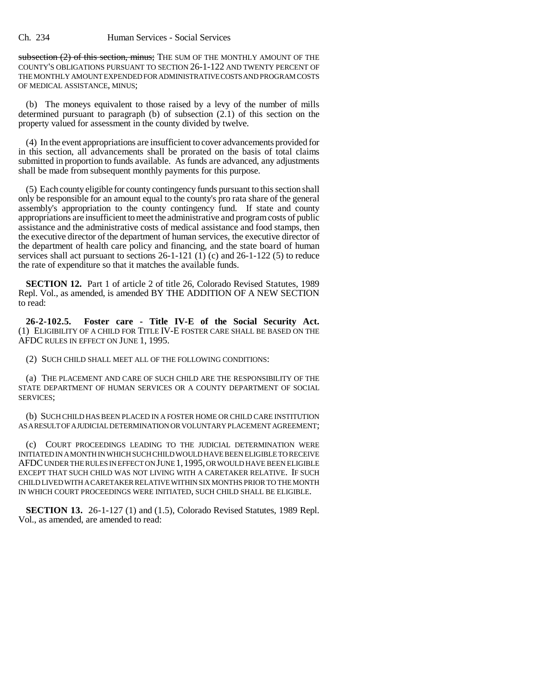subsection (2) of this section, minus; THE SUM OF THE MONTHLY AMOUNT OF THE COUNTY'S OBLIGATIONS PURSUANT TO SECTION 26-1-122 AND TWENTY PERCENT OF THE MONTHLY AMOUNT EXPENDED FOR ADMINISTRATIVE COSTS AND PROGRAM COSTS OF MEDICAL ASSISTANCE, MINUS;

(b) The moneys equivalent to those raised by a levy of the number of mills determined pursuant to paragraph (b) of subsection (2.1) of this section on the property valued for assessment in the county divided by twelve.

(4) In the event appropriations are insufficient to cover advancements provided for in this section, all advancements shall be prorated on the basis of total claims submitted in proportion to funds available. As funds are advanced, any adjustments shall be made from subsequent monthly payments for this purpose.

(5) Each county eligible for county contingency funds pursuant to this section shall only be responsible for an amount equal to the county's pro rata share of the general assembly's appropriation to the county contingency fund. If state and county appropriations are insufficient to meet the administrative and program costs of public assistance and the administrative costs of medical assistance and food stamps, then the executive director of the department of human services, the executive director of the department of health care policy and financing, and the state board of human services shall act pursuant to sections 26-1-121 (1) (c) and 26-1-122 (5) to reduce the rate of expenditure so that it matches the available funds.

**SECTION 12.** Part 1 of article 2 of title 26, Colorado Revised Statutes, 1989 Repl. Vol., as amended, is amended BY THE ADDITION OF A NEW SECTION to read:

**26-2-102.5. Foster care - Title IV-E of the Social Security Act.** (1) ELIGIBILITY OF A CHILD FOR TITLE IV-E FOSTER CARE SHALL BE BASED ON THE AFDC RULES IN EFFECT ON JUNE 1, 1995.

(2) SUCH CHILD SHALL MEET ALL OF THE FOLLOWING CONDITIONS:

(a) THE PLACEMENT AND CARE OF SUCH CHILD ARE THE RESPONSIBILITY OF THE STATE DEPARTMENT OF HUMAN SERVICES OR A COUNTY DEPARTMENT OF SOCIAL SERVICES;

(b) SUCH CHILD HAS BEEN PLACED IN A FOSTER HOME OR CHILD CARE INSTITUTION AS A RESULT OF A JUDICIAL DETERMINATION OR VOLUNTARY PLACEMENT AGREEMENT;

(c) COURT PROCEEDINGS LEADING TO THE JUDICIAL DETERMINATION WERE INITIATED IN A MONTH IN WHICH SUCH CHILD WOULD HAVE BEEN ELIGIBLE TO RECEIVE AFDC UNDER THE RULES IN EFFECT ON JUNE 1,1995, OR WOULD HAVE BEEN ELIGIBLE EXCEPT THAT SUCH CHILD WAS NOT LIVING WITH A CARETAKER RELATIVE. IF SUCH CHILD LIVED WITH A CARETAKER RELATIVE WITHIN SIX MONTHS PRIOR TO THE MONTH IN WHICH COURT PROCEEDINGS WERE INITIATED, SUCH CHILD SHALL BE ELIGIBLE.

**SECTION 13.** 26-1-127 (1) and (1.5), Colorado Revised Statutes, 1989 Repl. Vol., as amended, are amended to read: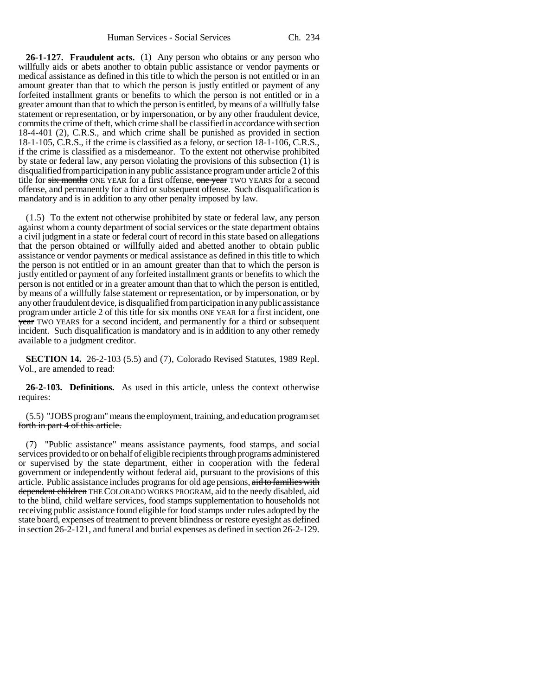**26-1-127. Fraudulent acts.** (1) Any person who obtains or any person who willfully aids or abets another to obtain public assistance or vendor payments or medical assistance as defined in this title to which the person is not entitled or in an amount greater than that to which the person is justly entitled or payment of any forfeited installment grants or benefits to which the person is not entitled or in a greater amount than that to which the person is entitled, by means of a willfully false statement or representation, or by impersonation, or by any other fraudulent device, commits the crime of theft, which crime shall be classified in accordance with section 18-4-401 (2), C.R.S., and which crime shall be punished as provided in section 18-1-105, C.R.S., if the crime is classified as a felony, or section 18-1-106, C.R.S., if the crime is classified as a misdemeanor. To the extent not otherwise prohibited by state or federal law, any person violating the provisions of this subsection (1) is disqualified from participation in any public assistance program under article 2 of this title for six months ONE YEAR for a first offense, one year TWO YEARS for a second offense, and permanently for a third or subsequent offense. Such disqualification is mandatory and is in addition to any other penalty imposed by law.

(1.5) To the extent not otherwise prohibited by state or federal law, any person against whom a county department of social services or the state department obtains a civil judgment in a state or federal court of record in this state based on allegations that the person obtained or willfully aided and abetted another to obtain public assistance or vendor payments or medical assistance as defined in this title to which the person is not entitled or in an amount greater than that to which the person is justly entitled or payment of any forfeited installment grants or benefits to which the person is not entitled or in a greater amount than that to which the person is entitled, by means of a willfully false statement or representation, or by impersonation, or by any other fraudulent device, is disqualified from participation in any public assistance program under article 2 of this title for six months ONE YEAR for a first incident, one year TWO YEARS for a second incident, and permanently for a third or subsequent incident. Such disqualification is mandatory and is in addition to any other remedy available to a judgment creditor.

**SECTION 14.** 26-2-103 (5.5) and (7), Colorado Revised Statutes, 1989 Repl. Vol., are amended to read:

**26-2-103. Definitions.** As used in this article, unless the context otherwise requires:

(5.5) "JOBS program" means the employment, training, and education program set forth in part 4 of this article.

(7) "Public assistance" means assistance payments, food stamps, and social services provided to or on behalf of eligible recipients through programs administered or supervised by the state department, either in cooperation with the federal government or independently without federal aid, pursuant to the provisions of this article. Public assistance includes programs for old age pensions, aid to families with dependent children THE COLORADO WORKS PROGRAM, aid to the needy disabled, aid to the blind, child welfare services, food stamps supplementation to households not receiving public assistance found eligible for food stamps under rules adopted by the state board, expenses of treatment to prevent blindness or restore eyesight as defined in section 26-2-121, and funeral and burial expenses as defined in section 26-2-129.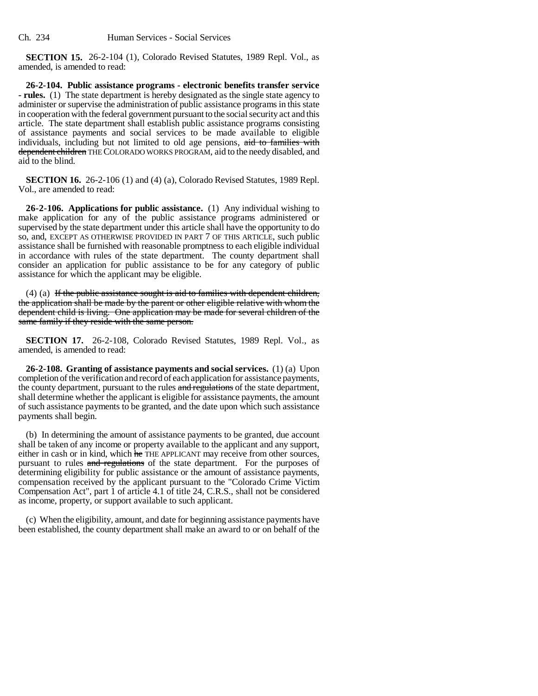**SECTION 15.** 26-2-104 (1), Colorado Revised Statutes, 1989 Repl. Vol., as amended, is amended to read:

**26-2-104. Public assistance programs - electronic benefits transfer service - rules.** (1) The state department is hereby designated as the single state agency to administer or supervise the administration of public assistance programs in this state in cooperation with the federal government pursuant to the social security act and this article. The state department shall establish public assistance programs consisting of assistance payments and social services to be made available to eligible individuals, including but not limited to old age pensions, aid to families with dependent children THE COLORADO WORKS PROGRAM, aid to the needy disabled, and aid to the blind.

**SECTION 16.** 26-2-106 (1) and (4) (a), Colorado Revised Statutes, 1989 Repl. Vol., are amended to read:

**26-2-106. Applications for public assistance.** (1) Any individual wishing to make application for any of the public assistance programs administered or supervised by the state department under this article shall have the opportunity to do so, and, EXCEPT AS OTHERWISE PROVIDED IN PART 7 OF THIS ARTICLE, such public assistance shall be furnished with reasonable promptness to each eligible individual in accordance with rules of the state department. The county department shall consider an application for public assistance to be for any category of public assistance for which the applicant may be eligible.

 $(4)$  (a) If the public assistance sought is aid to families with dependent children, the application shall be made by the parent or other eligible relative with whom the dependent child is living. One application may be made for several children of the same family if they reside with the same person.

**SECTION 17.** 26-2-108, Colorado Revised Statutes, 1989 Repl. Vol., as amended, is amended to read:

**26-2-108. Granting of assistance payments and social services.** (1) (a) Upon completion of the verification and record of each application for assistance payments, the county department, pursuant to the rules and regulations of the state department, shall determine whether the applicant is eligible for assistance payments, the amount of such assistance payments to be granted, and the date upon which such assistance payments shall begin.

(b) In determining the amount of assistance payments to be granted, due account shall be taken of any income or property available to the applicant and any support, either in cash or in kind, which he THE APPLICANT may receive from other sources, pursuant to rules and regulations of the state department. For the purposes of determining eligibility for public assistance or the amount of assistance payments, compensation received by the applicant pursuant to the "Colorado Crime Victim Compensation Act", part 1 of article 4.1 of title 24, C.R.S., shall not be considered as income, property, or support available to such applicant.

(c) When the eligibility, amount, and date for beginning assistance payments have been established, the county department shall make an award to or on behalf of the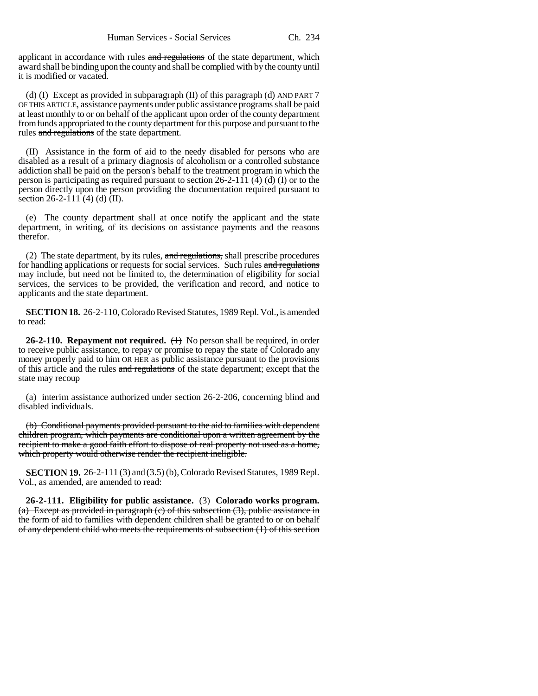applicant in accordance with rules and regulations of the state department, which award shall be binding upon the county and shall be complied with by the county until it is modified or vacated.

(d) (I) Except as provided in subparagraph (II) of this paragraph (d) AND PART 7 OF THIS ARTICLE, assistance payments under public assistance programs shall be paid at least monthly to or on behalf of the applicant upon order of the county department from funds appropriated to the county department for this purpose and pursuant to the rules and regulations of the state department.

(II) Assistance in the form of aid to the needy disabled for persons who are disabled as a result of a primary diagnosis of alcoholism or a controlled substance addiction shall be paid on the person's behalf to the treatment program in which the person is participating as required pursuant to section 26-2-111 (4) (d) (I) or to the person directly upon the person providing the documentation required pursuant to section 26-2-111 (4) (d)  $\overline{(\text{II})}$ .

(e) The county department shall at once notify the applicant and the state department, in writing, of its decisions on assistance payments and the reasons therefor.

(2) The state department, by its rules,  $\frac{1}{x}$  and regulations, shall prescribe procedures for handling applications or requests for social services. Such rules and regulations may include, but need not be limited to, the determination of eligibility for social services, the services to be provided, the verification and record, and notice to applicants and the state department.

**SECTION 18.** 26-2-110, Colorado Revised Statutes, 1989 Repl. Vol., is amended to read:

**26-2-110. Repayment not required.**  $\longleftrightarrow$  No person shall be required, in order to receive public assistance, to repay or promise to repay the state of Colorado any money properly paid to him OR HER as public assistance pursuant to the provisions of this article and the rules and regulations of the state department; except that the state may recoup

 $(a)$  interim assistance authorized under section 26-2-206, concerning blind and disabled individuals.

(b) Conditional payments provided pursuant to the aid to families with dependent children program, which payments are conditional upon a written agreement by the recipient to make a good faith effort to dispose of real property not used as a home, which property would otherwise render the recipient ineligible.

**SECTION 19.** 26-2-111 (3) and (3.5) (b), Colorado Revised Statutes, 1989 Repl. Vol., as amended, are amended to read:

**26-2-111. Eligibility for public assistance.** (3) **Colorado works program.** (a) Except as provided in paragraph (c) of this subsection (3), public assistance in the form of aid to families with dependent children shall be granted to or on behalf of any dependent child who meets the requirements of subsection (1) of this section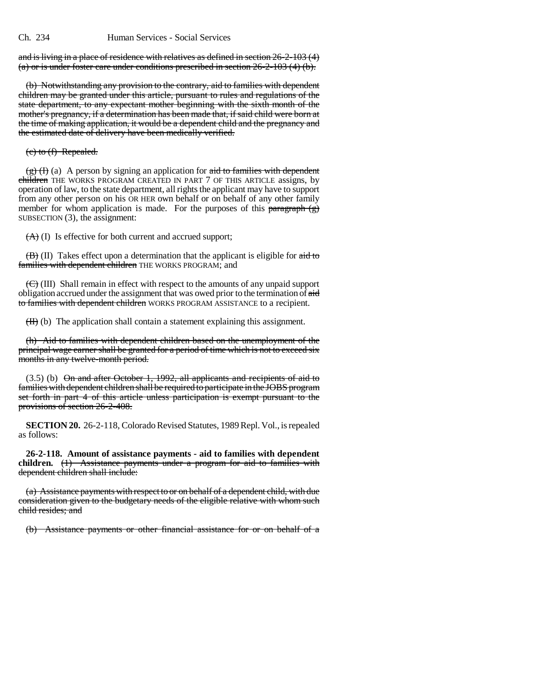and is living in a place of residence with relatives as defined in section 26-2-103 (4) (a) or is under foster care under conditions prescribed in section 26-2-103 (4) (b).

(b) Notwithstanding any provision to the contrary, aid to families with dependent children may be granted under this article, pursuant to rules and regulations of the state department, to any expectant mother beginning with the sixth month of the mother's pregnancy, if a determination has been made that, if said child were born at the time of making application, it would be a dependent child and the pregnancy and the estimated date of delivery have been medically verified.

#### (c) to (f) Repealed.

 $(g)$  (I) (a) A person by signing an application for aid to families with dependent children THE WORKS PROGRAM CREATED IN PART 7 OF THIS ARTICLE assigns, by operation of law, to the state department, all rights the applicant may have to support from any other person on his OR HER own behalf or on behalf of any other family member for whom application is made. For the purposes of this paragraph  $(g)$ SUBSECTION (3), the assignment:

 $(A)$  (I) Is effective for both current and accrued support;

 $(\overline{B})(II)$  Takes effect upon a determination that the applicant is eligible for  $\overline{aid}$  to families with dependent children THE WORKS PROGRAM; and

 $(\bigoplus)(III)$  Shall remain in effect with respect to the amounts of any unpaid support obligation accrued under the assignment that was owed prior to the termination of aid to families with dependent children WORKS PROGRAM ASSISTANCE to a recipient.

 $(H)$  (b) The application shall contain a statement explaining this assignment.

(h) Aid to families with dependent children based on the unemployment of the principal wage earner shall be granted for a period of time which is not to exceed six months in any twelve-month period.

 $(3.5)$  (b)  $\Theta$ n and after October 1, 1992, all applicants and recipients of aid to families with dependent children shall be required to participate in the JOBS program set forth in part 4 of this article unless participation is exempt pursuant to the provisions of section 26-2-408.

**SECTION 20.** 26-2-118, Colorado Revised Statutes, 1989 Repl. Vol., is repealed as follows:

**26-2-118. Amount of assistance payments - aid to families with dependent children.** (1) Assistance payments under a program for aid to families with dependent children shall include:

(a) Assistance payments with respect to or on behalf of a dependent child, with due consideration given to the budgetary needs of the eligible relative with whom such child resides; and

(b) Assistance payments or other financial assistance for or on behalf of a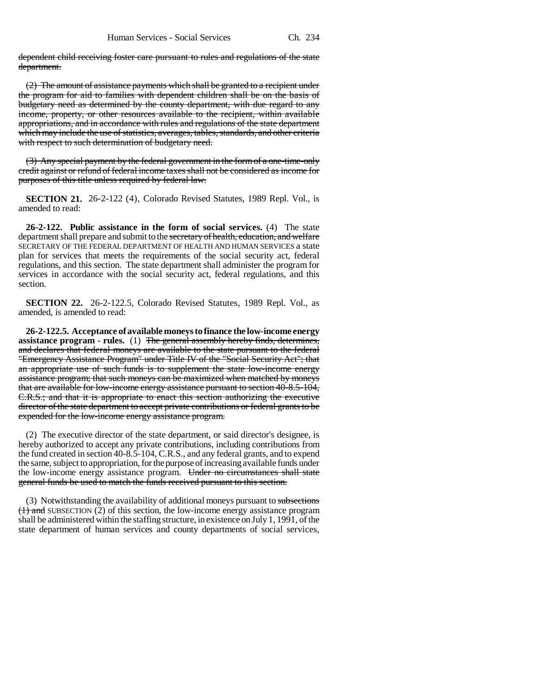dependent child receiving foster care pursuant to rules and regulations of the state department.

(2) The amount of assistance payments which shall be granted to a recipient under the program for aid to families with dependent children shall be on the basis of budgetary need as determined by the county department, with due regard to any income, property, or other resources available to the recipient, within available appropriations, and in accordance with rules and regulations of the state department which may include the use of statistics, averages, tables, standards, and other criteria with respect to such determination of budgetary need.

(3) Any special payment by the federal government in the form of a one-time-only credit against or refund of federal income taxes shall not be considered as income for purposes of this title unless required by federal law.

**SECTION 21.** 26-2-122 (4), Colorado Revised Statutes, 1989 Repl. Vol., is amended to read:

**26-2-122. Public assistance in the form of social services.** (4) The state department shall prepare and submit to the secretary of health, education, and welfare SECRETARY OF THE FEDERAL DEPARTMENT OF HEALTH AND HUMAN SERVICES a state plan for services that meets the requirements of the social security act, federal regulations, and this section. The state department shall administer the program for services in accordance with the social security act, federal regulations, and this section.

**SECTION 22.** 26-2-122.5, Colorado Revised Statutes, 1989 Repl. Vol., as amended, is amended to read:

**26-2-122.5. Acceptance of available moneys to finance the low-income energy assistance program - rules.** (1) The general assembly hereby finds, determines, and declares that federal moneys are available to the state pursuant to the federal "Emergency Assistance Program" under Title IV of the "Social Security Act"; that an appropriate use of such funds is to supplement the state low-income energy assistance program; that such moneys can be maximized when matched by moneys that are available for low-income energy assistance pursuant to section 40-8.5-104, C.R.S.; and that it is appropriate to enact this section authorizing the executive director of the state department to accept private contributions or federal grants to be expended for the low-income energy assistance program.

(2) The executive director of the state department, or said director's designee, is hereby authorized to accept any private contributions, including contributions from the fund created in section 40-8.5-104, C.R.S., and any federal grants, and to expend the same, subject to appropriation, for the purpose of increasing available funds under the low-income energy assistance program. Under no circumstances shall state general funds be used to match the funds received pursuant to this section.

(3) Notwithstanding the availability of additional moneys pursuant to subsections  $(1)$  and SUBSECTION (2) of this section, the low-income energy assistance program shall be administered within the staffing structure, in existence on July 1, 1991, of the state department of human services and county departments of social services,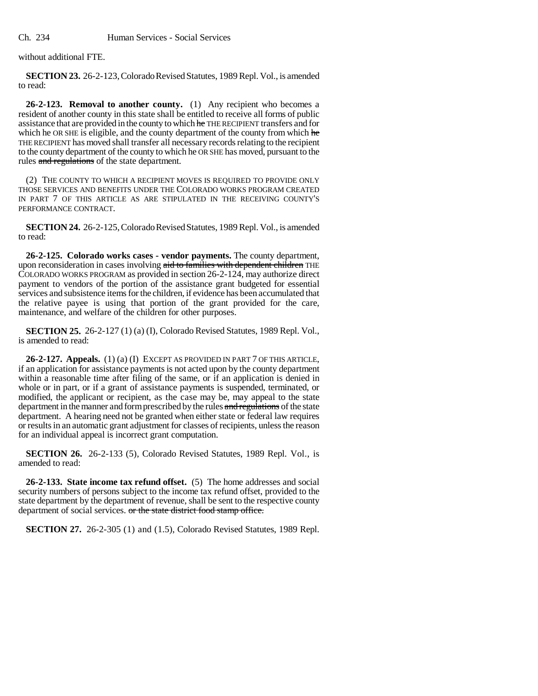without additional FTE.

**SECTION 23.** 26-2-123, Colorado Revised Statutes, 1989 Repl. Vol., is amended to read:

**26-2-123. Removal to another county.** (1) Any recipient who becomes a resident of another county in this state shall be entitled to receive all forms of public assistance that are provided in the county to which he THE RECIPIENT transfers and for which he OR SHE is eligible, and the county department of the county from which he THE RECIPIENT has moved shall transfer all necessary records relating to the recipient to the county department of the county to which he OR SHE has moved, pursuant to the rules and regulations of the state department.

(2) THE COUNTY TO WHICH A RECIPIENT MOVES IS REQUIRED TO PROVIDE ONLY THOSE SERVICES AND BENEFITS UNDER THE COLORADO WORKS PROGRAM CREATED IN PART 7 OF THIS ARTICLE AS ARE STIPULATED IN THE RECEIVING COUNTY'S PERFORMANCE CONTRACT.

**SECTION 24.** 26-2-125, Colorado Revised Statutes, 1989 Repl. Vol., is amended to read:

**26-2-125. Colorado works cases - vendor payments.** The county department, upon reconsideration in cases involving aid to families with dependent children THE COLORADO WORKS PROGRAM as provided in section 26-2-124, may authorize direct payment to vendors of the portion of the assistance grant budgeted for essential services and subsistence items for the children, if evidence has been accumulated that the relative payee is using that portion of the grant provided for the care, maintenance, and welfare of the children for other purposes.

**SECTION 25.** 26-2-127 (1) (a) (I), Colorado Revised Statutes, 1989 Repl. Vol., is amended to read:

**26-2-127. Appeals.** (1) (a) (I) EXCEPT AS PROVIDED IN PART 7 OF THIS ARTICLE, if an application for assistance payments is not acted upon by the county department within a reasonable time after filing of the same, or if an application is denied in whole or in part, or if a grant of assistance payments is suspended, terminated, or modified, the applicant or recipient, as the case may be, may appeal to the state department in the manner and form prescribed by the rules and regulations of the state department. A hearing need not be granted when either state or federal law requires or results in an automatic grant adjustment for classes of recipients, unless the reason for an individual appeal is incorrect grant computation.

**SECTION 26.** 26-2-133 (5), Colorado Revised Statutes, 1989 Repl. Vol., is amended to read:

**26-2-133. State income tax refund offset.** (5) The home addresses and social security numbers of persons subject to the income tax refund offset, provided to the state department by the department of revenue, shall be sent to the respective county department of social services. or the state district food stamp office.

**SECTION 27.** 26-2-305 (1) and (1.5), Colorado Revised Statutes, 1989 Repl.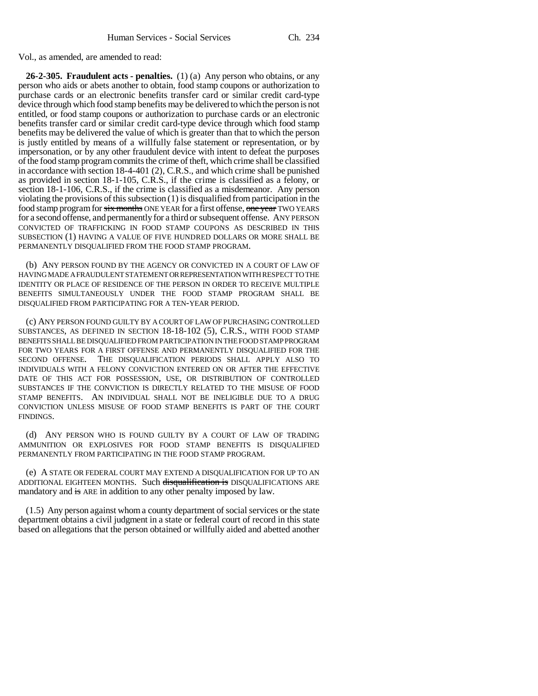Vol., as amended, are amended to read:

**26-2-305. Fraudulent acts - penalties.** (1) (a) Any person who obtains, or any person who aids or abets another to obtain, food stamp coupons or authorization to purchase cards or an electronic benefits transfer card or similar credit card-type device through which food stamp benefits may be delivered to which the person is not entitled, or food stamp coupons or authorization to purchase cards or an electronic benefits transfer card or similar credit card-type device through which food stamp benefits may be delivered the value of which is greater than that to which the person is justly entitled by means of a willfully false statement or representation, or by impersonation, or by any other fraudulent device with intent to defeat the purposes of the food stamp program commits the crime of theft, which crime shall be classified in accordance with section 18-4-401 (2), C.R.S., and which crime shall be punished as provided in section 18-1-105, C.R.S., if the crime is classified as a felony, or section 18-1-106, C.R.S., if the crime is classified as a misdemeanor. Any person violating the provisions of this subsection (1) is disqualified from participation in the food stamp program for six months ONE YEAR for a first offense, one year TWO YEARS for a second offense, and permanently for a third or subsequent offense. ANY PERSON CONVICTED OF TRAFFICKING IN FOOD STAMP COUPONS AS DESCRIBED IN THIS SUBSECTION (1) HAVING A VALUE OF FIVE HUNDRED DOLLARS OR MORE SHALL BE PERMANENTLY DISQUALIFIED FROM THE FOOD STAMP PROGRAM.

(b) ANY PERSON FOUND BY THE AGENCY OR CONVICTED IN A COURT OF LAW OF HAVING MADE A FRAUDULENT STATEMENT OR REPRESENTATION WITH RESPECT TO THE IDENTITY OR PLACE OF RESIDENCE OF THE PERSON IN ORDER TO RECEIVE MULTIPLE BENEFITS SIMULTANEOUSLY UNDER THE FOOD STAMP PROGRAM SHALL BE DISQUALIFIED FROM PARTICIPATING FOR A TEN-YEAR PERIOD.

(c) ANY PERSON FOUND GUILTY BY A COURT OF LAW OF PURCHASING CONTROLLED SUBSTANCES, AS DEFINED IN SECTION 18-18-102 (5), C.R.S., WITH FOOD STAMP BENEFITS SHALL BE DISQUALIFIED FROM PARTICIPATION IN THE FOOD STAMP PROGRAM FOR TWO YEARS FOR A FIRST OFFENSE AND PERMANENTLY DISQUALIFIED FOR THE SECOND OFFENSE. THE DISQUALIFICATION PERIODS SHALL APPLY ALSO TO INDIVIDUALS WITH A FELONY CONVICTION ENTERED ON OR AFTER THE EFFECTIVE DATE OF THIS ACT FOR POSSESSION, USE, OR DISTRIBUTION OF CONTROLLED SUBSTANCES IF THE CONVICTION IS DIRECTLY RELATED TO THE MISUSE OF FOOD STAMP BENEFITS. AN INDIVIDUAL SHALL NOT BE INELIGIBLE DUE TO A DRUG CONVICTION UNLESS MISUSE OF FOOD STAMP BENEFITS IS PART OF THE COURT FINDINGS.

(d) ANY PERSON WHO IS FOUND GUILTY BY A COURT OF LAW OF TRADING AMMUNITION OR EXPLOSIVES FOR FOOD STAMP BENEFITS IS DISQUALIFIED PERMANENTLY FROM PARTICIPATING IN THE FOOD STAMP PROGRAM.

(e) A STATE OR FEDERAL COURT MAY EXTEND A DISQUALIFICATION FOR UP TO AN ADDITIONAL EIGHTEEN MONTHS. Such disqualification is DISQUALIFICATIONS ARE mandatory and is ARE in addition to any other penalty imposed by law.

(1.5) Any person against whom a county department of social services or the state department obtains a civil judgment in a state or federal court of record in this state based on allegations that the person obtained or willfully aided and abetted another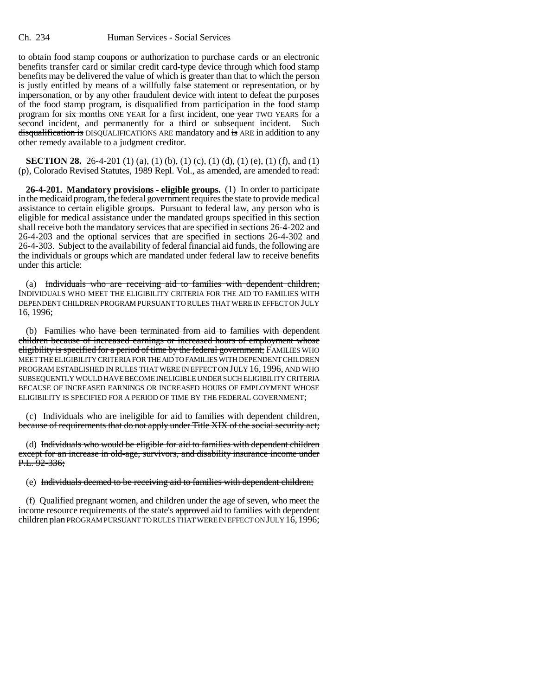to obtain food stamp coupons or authorization to purchase cards or an electronic benefits transfer card or similar credit card-type device through which food stamp benefits may be delivered the value of which is greater than that to which the person is justly entitled by means of a willfully false statement or representation, or by impersonation, or by any other fraudulent device with intent to defeat the purposes of the food stamp program, is disqualified from participation in the food stamp program for six months ONE YEAR for a first incident, one year TWO YEARS for a second incident, and permanently for a third or subsequent incident. Such disqualification is DISQUALIFICATIONS ARE mandatory and is ARE in addition to any other remedy available to a judgment creditor.

**SECTION 28.** 26-4-201 (1) (a), (1) (b), (1) (c), (1) (d), (1) (e), (1) (f), and (1) (p), Colorado Revised Statutes, 1989 Repl. Vol., as amended, are amended to read:

**26-4-201. Mandatory provisions - eligible groups.** (1) In order to participate in the medicaid program, the federal government requires the state to provide medical assistance to certain eligible groups. Pursuant to federal law, any person who is eligible for medical assistance under the mandated groups specified in this section shall receive both the mandatory services that are specified in sections 26-4-202 and 26-4-203 and the optional services that are specified in sections 26-4-302 and 26-4-303. Subject to the availability of federal financial aid funds, the following are the individuals or groups which are mandated under federal law to receive benefits under this article:

(a) Individuals who are receiving aid to families with dependent children; INDIVIDUALS WHO MEET THE ELIGIBILITY CRITERIA FOR THE AID TO FAMILIES WITH DEPENDENT CHILDREN PROGRAM PURSUANT TO RULES THAT WERE IN EFFECT ON JULY 16, 1996;

(b) Families who have been terminated from aid to families with dependent children because of increased earnings or increased hours of employment whose eligibility is specified for a period of time by the federal government; FAMILIES WHO MEET THE ELIGIBILITY CRITERIA FOR THE AID TO FAMILIES WITH DEPENDENT CHILDREN PROGRAM ESTABLISHED IN RULES THAT WERE IN EFFECT ON JULY 16, 1996, AND WHO SUBSEQUENTLY WOULD HAVE BECOME INELIGIBLE UNDER SUCH ELIGIBILITY CRITERIA BECAUSE OF INCREASED EARNINGS OR INCREASED HOURS OF EMPLOYMENT WHOSE ELIGIBILITY IS SPECIFIED FOR A PERIOD OF TIME BY THE FEDERAL GOVERNMENT;

(c) Individuals who are ineligible for aid to families with dependent children, because of requirements that do not apply under Title XIX of the social security act;

(d) Individuals who would be eligible for aid to families with dependent children except for an increase in old-age, survivors, and disability insurance income under  $P.L. 92-336;$ 

(e) Individuals deemed to be receiving aid to families with dependent children;

(f) Qualified pregnant women, and children under the age of seven, who meet the income resource requirements of the state's approved aid to families with dependent children plan PROGRAM PURSUANT TO RULES THAT WERE IN EFFECT ON JULY 16, 1996;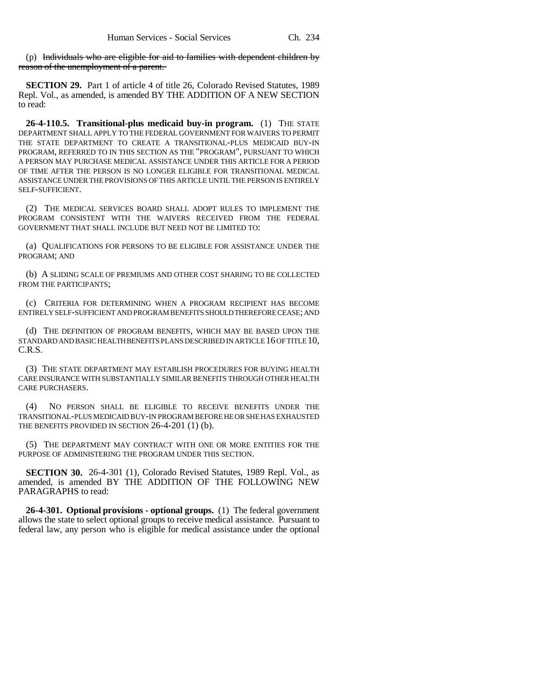(p) Individuals who are eligible for aid to families with dependent children by reason of the unemployment of a parent.

**SECTION 29.** Part 1 of article 4 of title 26, Colorado Revised Statutes, 1989 Repl. Vol., as amended, is amended BY THE ADDITION OF A NEW SECTION to read:

**26-4-110.5. Transitional-plus medicaid buy-in program.** (1) THE STATE DEPARTMENT SHALL APPLY TO THE FEDERAL GOVERNMENT FOR WAIVERS TO PERMIT THE STATE DEPARTMENT TO CREATE A TRANSITIONAL-PLUS MEDICAID BUY-IN PROGRAM, REFERRED TO IN THIS SECTION AS THE "PROGRAM", PURSUANT TO WHICH A PERSON MAY PURCHASE MEDICAL ASSISTANCE UNDER THIS ARTICLE FOR A PERIOD OF TIME AFTER THE PERSON IS NO LONGER ELIGIBLE FOR TRANSITIONAL MEDICAL ASSISTANCE UNDER THE PROVISIONS OF THIS ARTICLE UNTIL THE PERSON IS ENTIRELY SELF-SUFFICIENT.

(2) THE MEDICAL SERVICES BOARD SHALL ADOPT RULES TO IMPLEMENT THE PROGRAM CONSISTENT WITH THE WAIVERS RECEIVED FROM THE FEDERAL GOVERNMENT THAT SHALL INCLUDE BUT NEED NOT BE LIMITED TO:

(a) QUALIFICATIONS FOR PERSONS TO BE ELIGIBLE FOR ASSISTANCE UNDER THE PROGRAM; AND

(b) A SLIDING SCALE OF PREMIUMS AND OTHER COST SHARING TO BE COLLECTED FROM THE PARTICIPANTS;

(c) CRITERIA FOR DETERMINING WHEN A PROGRAM RECIPIENT HAS BECOME ENTIRELY SELF-SUFFICIENT AND PROGRAM BENEFITS SHOULD THEREFORE CEASE; AND

(d) THE DEFINITION OF PROGRAM BENEFITS, WHICH MAY BE BASED UPON THE STANDARD AND BASIC HEALTH BENEFITS PLANS DESCRIBED IN ARTICLE 16 OF TITLE 10, C.R.S.

(3) THE STATE DEPARTMENT MAY ESTABLISH PROCEDURES FOR BUYING HEALTH CARE INSURANCE WITH SUBSTANTIALLY SIMILAR BENEFITS THROUGH OTHER HEALTH CARE PURCHASERS.

(4) NO PERSON SHALL BE ELIGIBLE TO RECEIVE BENEFITS UNDER THE TRANSITIONAL-PLUS MEDICAID BUY-IN PROGRAM BEFORE HE OR SHE HAS EXHAUSTED THE BENEFITS PROVIDED IN SECTION 26-4-201 (1) (b).

(5) THE DEPARTMENT MAY CONTRACT WITH ONE OR MORE ENTITIES FOR THE PURPOSE OF ADMINISTERING THE PROGRAM UNDER THIS SECTION.

**SECTION 30.** 26-4-301 (1), Colorado Revised Statutes, 1989 Repl. Vol., as amended, is amended BY THE ADDITION OF THE FOLLOWING NEW PARAGRAPHS to read:

**26-4-301. Optional provisions - optional groups.** (1) The federal government allows the state to select optional groups to receive medical assistance. Pursuant to federal law, any person who is eligible for medical assistance under the optional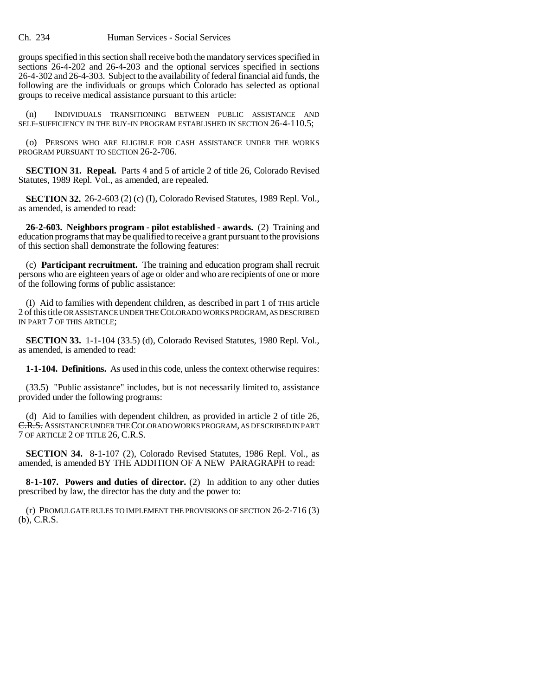groups specified in this section shall receive both the mandatory services specified in sections 26-4-202 and 26-4-203 and the optional services specified in sections 26-4-302 and 26-4-303. Subject to the availability of federal financial aid funds, the following are the individuals or groups which Colorado has selected as optional groups to receive medical assistance pursuant to this article:

(n) INDIVIDUALS TRANSITIONING BETWEEN PUBLIC ASSISTANCE AND SELF-SUFFICIENCY IN THE BUY-IN PROGRAM ESTABLISHED IN SECTION 26-4-110.5;

(o) PERSONS WHO ARE ELIGIBLE FOR CASH ASSISTANCE UNDER THE WORKS PROGRAM PURSUANT TO SECTION 26-2-706.

**SECTION 31. Repeal.** Parts 4 and 5 of article 2 of title 26, Colorado Revised Statutes, 1989 Repl. Vol., as amended, are repealed.

**SECTION 32.** 26-2-603 (2) (c) (I), Colorado Revised Statutes, 1989 Repl. Vol., as amended, is amended to read:

**26-2-603. Neighbors program - pilot established - awards.** (2) Training and education programs that may be qualified to receive a grant pursuant to the provisions of this section shall demonstrate the following features:

(c) **Participant recruitment.** The training and education program shall recruit persons who are eighteen years of age or older and who are recipients of one or more of the following forms of public assistance:

(I) Aid to families with dependent children, as described in part 1 of THIS article 2 of this title OR ASSISTANCE UNDER THE COLORADO WORKS PROGRAM, AS DESCRIBED IN PART 7 OF THIS ARTICLE;

**SECTION 33.** 1-1-104 (33.5) (d), Colorado Revised Statutes, 1980 Repl. Vol., as amended, is amended to read:

**1-1-104. Definitions.** As used in this code, unless the context otherwise requires:

(33.5) "Public assistance" includes, but is not necessarily limited to, assistance provided under the following programs:

(d) Aid to families with dependent children, as provided in article  $2$  of title  $26$ , C.R.S. ASSISTANCE UNDER THE COLORADO WORKS PROGRAM, AS DESCRIBED IN PART 7 OF ARTICLE 2 OF TITLE 26, C.R.S.

**SECTION 34.** 8-1-107 (2), Colorado Revised Statutes, 1986 Repl. Vol., as amended, is amended BY THE ADDITION OF A NEW PARAGRAPH to read:

**8-1-107. Powers and duties of director.** (2) In addition to any other duties prescribed by law, the director has the duty and the power to:

(r) PROMULGATE RULES TO IMPLEMENT THE PROVISIONS OF SECTION 26-2-716 (3) (b), C.R.S.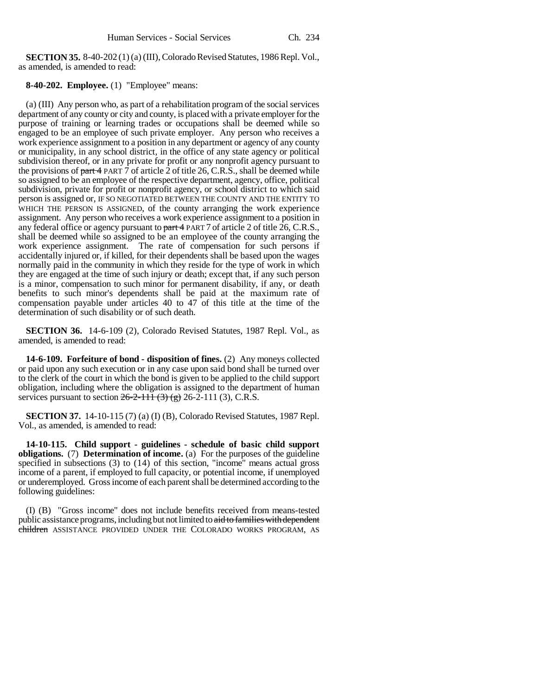**SECTION 35.** 8-40-202 (1) (a) (III), Colorado Revised Statutes, 1986 Repl. Vol., as amended, is amended to read:

**8-40-202. Employee.** (1) "Employee" means:

(a) (III) Any person who, as part of a rehabilitation program of the social services department of any county or city and county, is placed with a private employer for the purpose of training or learning trades or occupations shall be deemed while so engaged to be an employee of such private employer. Any person who receives a work experience assignment to a position in any department or agency of any county or municipality, in any school district, in the office of any state agency or political subdivision thereof, or in any private for profit or any nonprofit agency pursuant to the provisions of part 4 PART 7 of article 2 of title 26, C.R.S., shall be deemed while so assigned to be an employee of the respective department, agency, office, political subdivision, private for profit or nonprofit agency, or school district to which said person is assigned or, IF SO NEGOTIATED BETWEEN THE COUNTY AND THE ENTITY TO WHICH THE PERSON IS ASSIGNED, of the county arranging the work experience assignment. Any person who receives a work experience assignment to a position in any federal office or agency pursuant to part 4 PART 7 of article 2 of title 26, C.R.S., shall be deemed while so assigned to be an employee of the county arranging the work experience assignment. The rate of compensation for such persons if accidentally injured or, if killed, for their dependents shall be based upon the wages normally paid in the community in which they reside for the type of work in which they are engaged at the time of such injury or death; except that, if any such person is a minor, compensation to such minor for permanent disability, if any, or death benefits to such minor's dependents shall be paid at the maximum rate of compensation payable under articles 40 to 47 of this title at the time of the determination of such disability or of such death.

**SECTION 36.** 14-6-109 (2), Colorado Revised Statutes, 1987 Repl. Vol., as amended, is amended to read:

**14-6-109. Forfeiture of bond - disposition of fines.** (2) Any moneys collected or paid upon any such execution or in any case upon said bond shall be turned over to the clerk of the court in which the bond is given to be applied to the child support obligation, including where the obligation is assigned to the department of human services pursuant to section  $26-2-111$  (3) (g) 26-2-111 (3), C.R.S.

**SECTION 37.** 14-10-115 (7) (a) (I) (B), Colorado Revised Statutes, 1987 Repl. Vol., as amended, is amended to read:

**14-10-115. Child support - guidelines - schedule of basic child support obligations.** (7) **Determination of income.** (a) For the purposes of the guideline specified in subsections (3) to (14) of this section, "income" means actual gross income of a parent, if employed to full capacity, or potential income, if unemployed or underemployed. Gross income of each parent shall be determined according to the following guidelines:

(I) (B) "Gross income" does not include benefits received from means-tested public assistance programs, including but not limited to aid to families with dependent children ASSISTANCE PROVIDED UNDER THE COLORADO WORKS PROGRAM, AS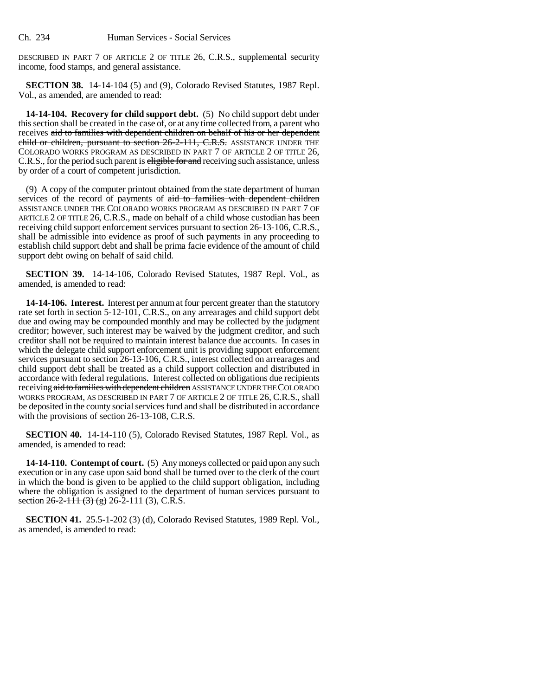DESCRIBED IN PART 7 OF ARTICLE 2 OF TITLE 26, C.R.S., supplemental security income, food stamps, and general assistance.

**SECTION 38.** 14-14-104 (5) and (9), Colorado Revised Statutes, 1987 Repl. Vol., as amended, are amended to read:

**14-14-104. Recovery for child support debt.** (5) No child support debt under this section shall be created in the case of, or at any time collected from, a parent who receives aid to families with dependent children on behalf of his or her dependent child or children, pursuant to section 26-2-111, C.R.S. ASSISTANCE UNDER THE COLORADO WORKS PROGRAM AS DESCRIBED IN PART 7 OF ARTICLE 2 OF TITLE 26, C.R.S., for the period such parent is eligible for and receiving such assistance, unless by order of a court of competent jurisdiction.

(9) A copy of the computer printout obtained from the state department of human services of the record of payments of aid to families with dependent children ASSISTANCE UNDER THE COLORADO WORKS PROGRAM AS DESCRIBED IN PART 7 OF ARTICLE 2 OF TITLE 26, C.R.S., made on behalf of a child whose custodian has been receiving child support enforcement services pursuant to section 26-13-106, C.R.S., shall be admissible into evidence as proof of such payments in any proceeding to establish child support debt and shall be prima facie evidence of the amount of child support debt owing on behalf of said child.

**SECTION 39.** 14-14-106, Colorado Revised Statutes, 1987 Repl. Vol., as amended, is amended to read:

**14-14-106. Interest.** Interest per annum at four percent greater than the statutory rate set forth in section 5-12-101, C.R.S., on any arrearages and child support debt due and owing may be compounded monthly and may be collected by the judgment creditor; however, such interest may be waived by the judgment creditor, and such creditor shall not be required to maintain interest balance due accounts. In cases in which the delegate child support enforcement unit is providing support enforcement services pursuant to section 26-13-106, C.R.S., interest collected on arrearages and child support debt shall be treated as a child support collection and distributed in accordance with federal regulations. Interest collected on obligations due recipients receiving aid to families with dependent children ASSISTANCE UNDER THE COLORADO WORKS PROGRAM, AS DESCRIBED IN PART 7 OF ARTICLE 2 OF TITLE 26, C.R.S., shall be deposited in the county social services fund and shall be distributed in accordance with the provisions of section 26-13-108, C.R.S.

**SECTION 40.** 14-14-110 (5), Colorado Revised Statutes, 1987 Repl. Vol., as amended, is amended to read:

**14-14-110. Contempt of court.** (5) Any moneys collected or paid upon any such execution or in any case upon said bond shall be turned over to the clerk of the court in which the bond is given to be applied to the child support obligation, including where the obligation is assigned to the department of human services pursuant to section  $26-2-111$  (3) (g) 26-2-111 (3), C.R.S.

**SECTION 41.** 25.5-1-202 (3) (d), Colorado Revised Statutes, 1989 Repl. Vol., as amended, is amended to read: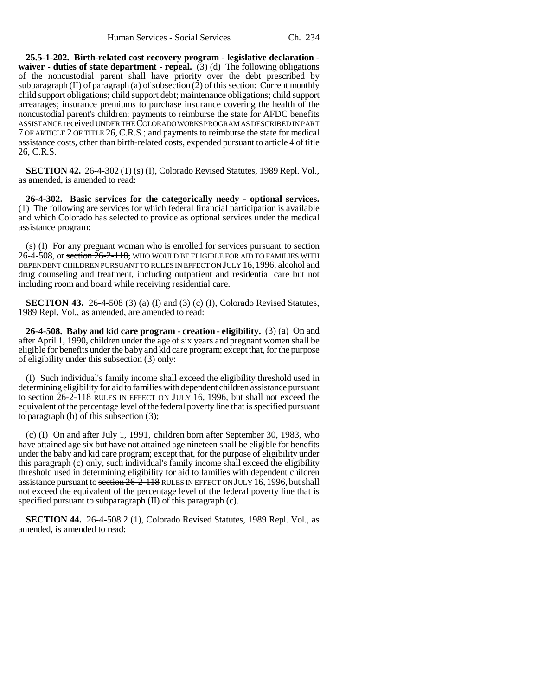**25.5-1-202. Birth-related cost recovery program - legislative declaration waiver - duties of state department - repeal.** (3) (d) The following obligations of the noncustodial parent shall have priority over the debt prescribed by subparagraph  $(II)$  of paragraph  $(a)$  of subsection  $(2)$  of this section: Current monthly child support obligations; child support debt; maintenance obligations; child support arrearages; insurance premiums to purchase insurance covering the health of the noncustodial parent's children; payments to reimburse the state for AFDC benefits ASSISTANCE received UNDER THE COLORADO WORKS PROGRAM AS DESCRIBED IN PART 7 OF ARTICLE 2 OF TITLE 26, C.R.S.; and payments to reimburse the state for medical assistance costs, other than birth-related costs, expended pursuant to article 4 of title 26, C.R.S.

**SECTION 42.** 26-4-302 (1) (s) (I), Colorado Revised Statutes, 1989 Repl. Vol., as amended, is amended to read:

**26-4-302. Basic services for the categorically needy - optional services.** (1) The following are services for which federal financial participation is available and which Colorado has selected to provide as optional services under the medical assistance program:

(s) (I) For any pregnant woman who is enrolled for services pursuant to section 26-4-508, or section  $26-2-118$ , WHO WOULD BE ELIGIBLE FOR AID TO FAMILIES WITH DEPENDENT CHILDREN PURSUANT TO RULES IN EFFECT ON JULY 16, 1996, alcohol and drug counseling and treatment, including outpatient and residential care but not including room and board while receiving residential care.

**SECTION 43.** 26-4-508 (3) (a) (I) and (3) (c) (I), Colorado Revised Statutes, 1989 Repl. Vol., as amended, are amended to read:

**26-4-508. Baby and kid care program - creation - eligibility.** (3) (a) On and after April 1, 1990, children under the age of six years and pregnant women shall be eligible for benefits under the baby and kid care program; except that, for the purpose of eligibility under this subsection (3) only:

(I) Such individual's family income shall exceed the eligibility threshold used in determining eligibility for aid to families with dependent children assistance pursuant to section  $26-2-118$  RULES IN EFFECT ON JULY 16, 1996, but shall not exceed the equivalent of the percentage level of the federal poverty line that is specified pursuant to paragraph (b) of this subsection (3);

(c) (I) On and after July 1, 1991, children born after September 30, 1983, who have attained age six but have not attained age nineteen shall be eligible for benefits under the baby and kid care program; except that, for the purpose of eligibility under this paragraph (c) only, such individual's family income shall exceed the eligibility threshold used in determining eligibility for aid to families with dependent children assistance pursuant to section 26-2-118 RULES IN EFFECT ON JULY 16, 1996, but shall not exceed the equivalent of the percentage level of the federal poverty line that is specified pursuant to subparagraph (II) of this paragraph (c).

**SECTION 44.** 26-4-508.2 (1), Colorado Revised Statutes, 1989 Repl. Vol., as amended, is amended to read: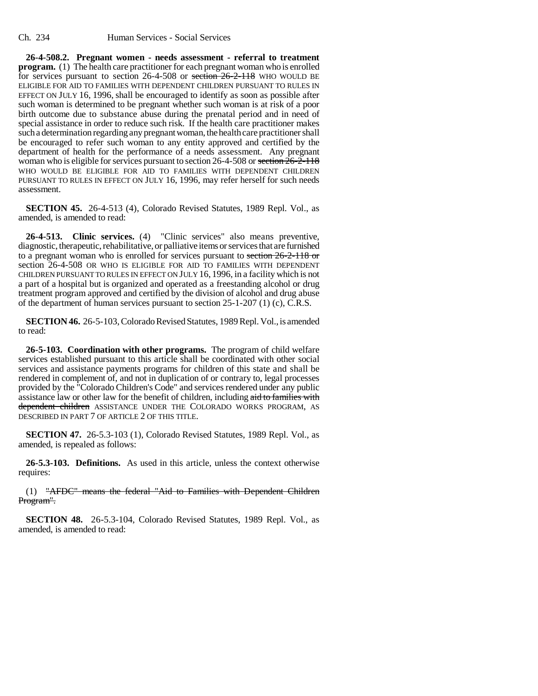**26-4-508.2. Pregnant women - needs assessment - referral to treatment program.** (1) The health care practitioner for each pregnant woman who is enrolled for services pursuant to section 26-4-508 or section 26-2-118 WHO WOULD BE ELIGIBLE FOR AID TO FAMILIES WITH DEPENDENT CHILDREN PURSUANT TO RULES IN EFFECT ON JULY 16, 1996, shall be encouraged to identify as soon as possible after such woman is determined to be pregnant whether such woman is at risk of a poor birth outcome due to substance abuse during the prenatal period and in need of special assistance in order to reduce such risk. If the health care practitioner makes such a determination regarding any pregnant woman, the health care practitioner shall be encouraged to refer such woman to any entity approved and certified by the department of health for the performance of a needs assessment. Any pregnant woman who is eligible for services pursuant to section 26-4-508 or section  $26-\overline{2}$ -118 WHO WOULD BE ELIGIBLE FOR AID TO FAMILIES WITH DEPENDENT CHILDREN PURSUANT TO RULES IN EFFECT ON JULY 16, 1996, may refer herself for such needs assessment.

**SECTION 45.** 26-4-513 (4), Colorado Revised Statutes, 1989 Repl. Vol., as amended, is amended to read:

**26-4-513. Clinic services.** (4) "Clinic services" also means preventive, diagnostic, therapeutic, rehabilitative, or palliative items or services that are furnished to a pregnant woman who is enrolled for services pursuant to section 26-2-118 or section 26-4-508 OR WHO IS ELIGIBLE FOR AID TO FAMILIES WITH DEPENDENT CHILDREN PURSUANT TO RULES IN EFFECT ON JULY 16, 1996, in a facility which is not a part of a hospital but is organized and operated as a freestanding alcohol or drug treatment program approved and certified by the division of alcohol and drug abuse of the department of human services pursuant to section 25-1-207 (1) (c), C.R.S.

**SECTION 46.** 26-5-103, Colorado Revised Statutes, 1989 Repl. Vol., is amended to read:

**26-5-103. Coordination with other programs.** The program of child welfare services established pursuant to this article shall be coordinated with other social services and assistance payments programs for children of this state and shall be rendered in complement of, and not in duplication of or contrary to, legal processes provided by the "Colorado Children's Code" and services rendered under any public assistance law or other law for the benefit of children, including aid to families with dependent children ASSISTANCE UNDER THE COLORADO WORKS PROGRAM, AS DESCRIBED IN PART 7 OF ARTICLE 2 OF THIS TITLE.

**SECTION 47.** 26-5.3-103 (1), Colorado Revised Statutes, 1989 Repl. Vol., as amended, is repealed as follows:

**26-5.3-103. Definitions.** As used in this article, unless the context otherwise requires:

(1) "AFDC" means the federal "Aid to Families with Dependent Children Program".

**SECTION 48.** 26-5.3-104, Colorado Revised Statutes, 1989 Repl. Vol., as amended, is amended to read: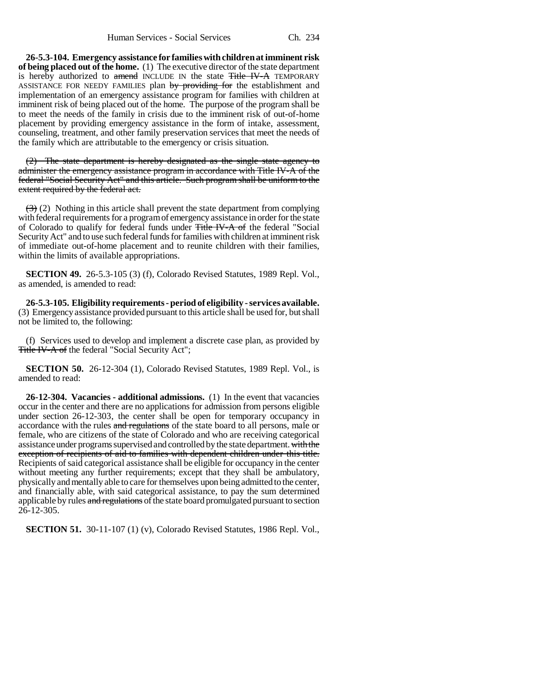**26-5.3-104. Emergency assistance for families with children at imminent risk of being placed out of the home.** (1) The executive director of the state department is hereby authorized to amend INCLUDE IN the state Title IV-A TEMPORARY ASSISTANCE FOR NEEDY FAMILIES plan by providing for the establishment and implementation of an emergency assistance program for families with children at imminent risk of being placed out of the home. The purpose of the program shall be to meet the needs of the family in crisis due to the imminent risk of out-of-home placement by providing emergency assistance in the form of intake, assessment, counseling, treatment, and other family preservation services that meet the needs of the family which are attributable to the emergency or crisis situation.

(2) The state department is hereby designated as the single state agency to administer the emergency assistance program in accordance with Title IV-A of the federal "Social Security Act" and this article. Such program shall be uniform to the extent required by the federal act.

 $(3)$  (2) Nothing in this article shall prevent the state department from complying with federal requirements for a program of emergency assistance in order for the state of Colorado to qualify for federal funds under Title IV-A of the federal "Social Security Act" and to use such federal funds for families with children at imminent risk of immediate out-of-home placement and to reunite children with their families, within the limits of available appropriations.

**SECTION 49.** 26-5.3-105 (3) (f), Colorado Revised Statutes, 1989 Repl. Vol., as amended, is amended to read:

**26-5.3-105. Eligibility requirements - period of eligibility - services available.** (3) Emergency assistance provided pursuant to this article shall be used for, but shall not be limited to, the following:

(f) Services used to develop and implement a discrete case plan, as provided by Title IV-A of the federal "Social Security Act";

**SECTION 50.** 26-12-304 (1), Colorado Revised Statutes, 1989 Repl. Vol., is amended to read:

**26-12-304. Vacancies - additional admissions.** (1) In the event that vacancies occur in the center and there are no applications for admission from persons eligible under section 26-12-303, the center shall be open for temporary occupancy in accordance with the rules and regulations of the state board to all persons, male or female, who are citizens of the state of Colorado and who are receiving categorical assistance under programs supervised and controlled by the state department. with the exception of recipients of aid to families with dependent children under this title. Recipients of said categorical assistance shall be eligible for occupancy in the center without meeting any further requirements; except that they shall be ambulatory, physically and mentally able to care for themselves upon being admitted to the center, and financially able, with said categorical assistance, to pay the sum determined applicable by rules and regulations of the state board promulgated pursuant to section 26-12-305.

**SECTION 51.** 30-11-107 (1) (v), Colorado Revised Statutes, 1986 Repl. Vol.,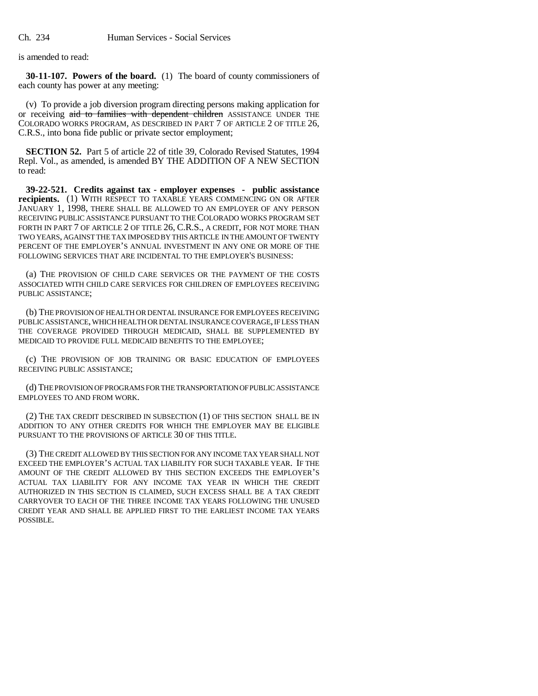is amended to read:

**30-11-107. Powers of the board.** (1) The board of county commissioners of each county has power at any meeting:

(v) To provide a job diversion program directing persons making application for or receiving aid to families with dependent children ASSISTANCE UNDER THE COLORADO WORKS PROGRAM, AS DESCRIBED IN PART 7 OF ARTICLE 2 OF TITLE 26, C.R.S., into bona fide public or private sector employment;

**SECTION 52.** Part 5 of article 22 of title 39, Colorado Revised Statutes, 1994 Repl. Vol., as amended, is amended BY THE ADDITION OF A NEW SECTION to read:

**39-22-521. Credits against tax - employer expenses - public assistance recipients.** (1) WITH RESPECT TO TAXABLE YEARS COMMENCING ON OR AFTER JANUARY 1, 1998, THERE SHALL BE ALLOWED TO AN EMPLOYER OF ANY PERSON RECEIVING PUBLIC ASSISTANCE PURSUANT TO THE COLORADO WORKS PROGRAM SET FORTH IN PART 7 OF ARTICLE 2 OF TITLE 26, C.R.S., A CREDIT, FOR NOT MORE THAN TWO YEARS, AGAINST THE TAX IMPOSED BY THIS ARTICLE IN THE AMOUNT OF TWENTY PERCENT OF THE EMPLOYER'S ANNUAL INVESTMENT IN ANY ONE OR MORE OF THE FOLLOWING SERVICES THAT ARE INCIDENTAL TO THE EMPLOYER'S BUSINESS:

(a) THE PROVISION OF CHILD CARE SERVICES OR THE PAYMENT OF THE COSTS ASSOCIATED WITH CHILD CARE SERVICES FOR CHILDREN OF EMPLOYEES RECEIVING PUBLIC ASSISTANCE;

(b) THE PROVISION OF HEALTH OR DENTAL INSURANCE FOR EMPLOYEES RECEIVING PUBLIC ASSISTANCE, WHICH HEALTH OR DENTAL INSURANCE COVERAGE, IF LESS THAN THE COVERAGE PROVIDED THROUGH MEDICAID, SHALL BE SUPPLEMENTED BY MEDICAID TO PROVIDE FULL MEDICAID BENEFITS TO THE EMPLOYEE;

(c) THE PROVISION OF JOB TRAINING OR BASIC EDUCATION OF EMPLOYEES RECEIVING PUBLIC ASSISTANCE;

(d) THE PROVISION OF PROGRAMS FOR THE TRANSPORTATION OF PUBLIC ASSISTANCE EMPLOYEES TO AND FROM WORK.

(2) THE TAX CREDIT DESCRIBED IN SUBSECTION (1) OF THIS SECTION SHALL BE IN ADDITION TO ANY OTHER CREDITS FOR WHICH THE EMPLOYER MAY BE ELIGIBLE PURSUANT TO THE PROVISIONS OF ARTICLE 30 OF THIS TITLE.

(3) THE CREDIT ALLOWED BY THIS SECTION FOR ANY INCOME TAX YEAR SHALL NOT EXCEED THE EMPLOYER'S ACTUAL TAX LIABILITY FOR SUCH TAXABLE YEAR. IF THE AMOUNT OF THE CREDIT ALLOWED BY THIS SECTION EXCEEDS THE EMPLOYER'S ACTUAL TAX LIABILITY FOR ANY INCOME TAX YEAR IN WHICH THE CREDIT AUTHORIZED IN THIS SECTION IS CLAIMED, SUCH EXCESS SHALL BE A TAX CREDIT CARRYOVER TO EACH OF THE THREE INCOME TAX YEARS FOLLOWING THE UNUSED CREDIT YEAR AND SHALL BE APPLIED FIRST TO THE EARLIEST INCOME TAX YEARS POSSIBLE.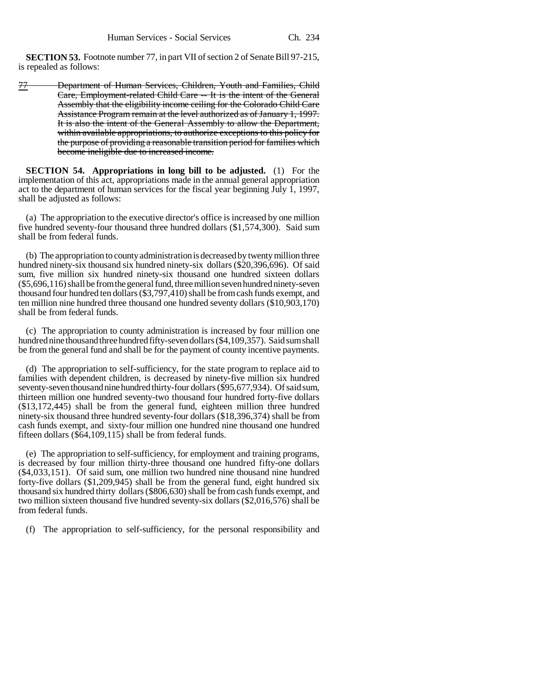**SECTION 53.** Footnote number 77, in part VII of section 2 of Senate Bill 97-215, is repealed as follows:

77 Department of Human Services, Children, Youth and Families, Child Care, Employment-related Child Care -- It is the intent of the General Assembly that the eligibility income ceiling for the Colorado Child Care Assistance Program remain at the level authorized as of January 1, 1997. It is also the intent of the General Assembly to allow the Department, within available appropriations, to authorize exceptions to this policy for the purpose of providing a reasonable transition period for families which become ineligible due to increased income.

**SECTION 54. Appropriations in long bill to be adjusted.** (1) For the implementation of this act, appropriations made in the annual general appropriation act to the department of human services for the fiscal year beginning July 1, 1997, shall be adjusted as follows:

(a) The appropriation to the executive director's office is increased by one million five hundred seventy-four thousand three hundred dollars (\$1,574,300). Said sum shall be from federal funds.

(b) The appropriation to county administration is decreased by twenty million three hundred ninety-six thousand six hundred ninety-six dollars (\$20,396,696). Of said sum, five million six hundred ninety-six thousand one hundred sixteen dollars (\$5,696,116) shall be from the general fund, three million seven hundred ninety-seven thousand four hundred ten dollars (\$3,797,410) shall be from cash funds exempt, and ten million nine hundred three thousand one hundred seventy dollars (\$10,903,170) shall be from federal funds.

(c) The appropriation to county administration is increased by four million one hundred nine thousand three hundred fifty-seven dollars (\$4,109,357). Said sum shall be from the general fund and shall be for the payment of county incentive payments.

(d) The appropriation to self-sufficiency, for the state program to replace aid to families with dependent children, is decreased by ninety-five million six hundred seventy-seven thousand nine hundred thirty-four dollars (\$95,677,934). Of said sum, thirteen million one hundred seventy-two thousand four hundred forty-five dollars (\$13,172,445) shall be from the general fund, eighteen million three hundred ninety-six thousand three hundred seventy-four dollars (\$18,396,374) shall be from cash funds exempt, and sixty-four million one hundred nine thousand one hundred fifteen dollars (\$64,109,115) shall be from federal funds.

(e) The appropriation to self-sufficiency, for employment and training programs, is decreased by four million thirty-three thousand one hundred fifty-one dollars (\$4,033,151). Of said sum, one million two hundred nine thousand nine hundred forty-five dollars (\$1,209,945) shall be from the general fund, eight hundred six thousand six hundred thirty dollars (\$806,630) shall be from cash funds exempt, and two million sixteen thousand five hundred seventy-six dollars (\$2,016,576) shall be from federal funds.

(f) The appropriation to self-sufficiency, for the personal responsibility and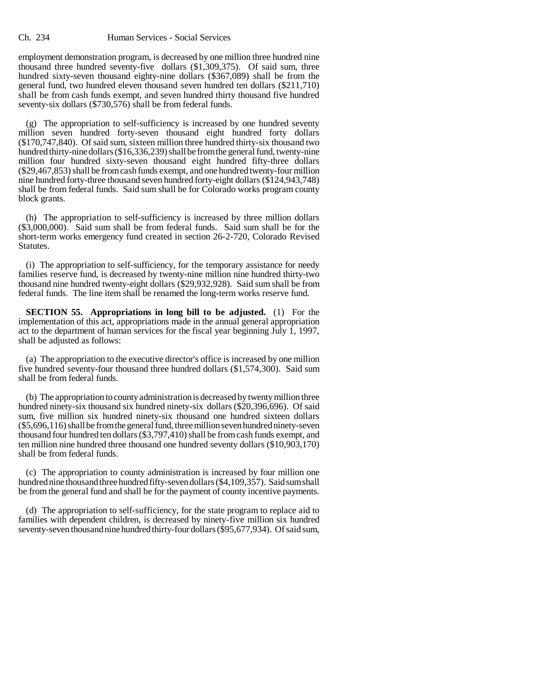employment demonstration program, is decreased by one million three hundred nine thousand three hundred seventy-five dollars (\$1,309,375). Of said sum, three hundred sixty-seven thousand eighty-nine dollars (\$367,089) shall be from the general fund, two hundred eleven thousand seven hundred ten dollars (\$211,710) shall be from cash funds exempt, and seven hundred thirty thousand five hundred seventy-six dollars (\$730,576) shall be from federal funds.

(g) The appropriation to self-sufficiency is increased by one hundred seventy million seven hundred forty-seven thousand eight hundred forty dollars (\$170,747,840). Of said sum, sixteen million three hundred thirty-six thousand two hundred thirty-nine dollars (\$16,336,239) shall be from the general fund, twenty-nine million four hundred sixty-seven thousand eight hundred fifty-three dollars (\$29,467,853) shall be from cash funds exempt, and one hundred twenty-four million nine hundred forty-three thousand seven hundred forty-eight dollars (\$124,943,748) shall be from federal funds. Said sum shall be for Colorado works program county block grants.

(h) The appropriation to self-sufficiency is increased by three million dollars (\$3,000,000). Said sum shall be from federal funds. Said sum shall be for the short-term works emergency fund created in section 26-2-720, Colorado Revised Statutes.

(i) The appropriation to self-sufficiency, for the temporary assistance for needy families reserve fund, is decreased by twenty-nine million nine hundred thirty-two thousand nine hundred twenty-eight dollars (\$29,932,928). Said sum shall be from federal funds. The line item shall be renamed the long-term works reserve fund.

**SECTION 55. Appropriations in long bill to be adjusted.** (1) For the implementation of this act, appropriations made in the annual general appropriation act to the department of human services for the fiscal year beginning July 1, 1997, shall be adjusted as follows:

(a) The appropriation to the executive director's office is increased by one million five hundred seventy-four thousand three hundred dollars (\$1,574,300). Said sum shall be from federal funds.

(b) The appropriation to county administration is decreased by twenty million three hundred ninety-six thousand six hundred ninety-six dollars (\$20,396,696). Of said sum, five million six hundred ninety-six thousand one hundred sixteen dollars (\$5,696,116) shall be from the general fund, three million seven hundred ninety-seven thousand four hundred ten dollars (\$3,797,410) shall be from cash funds exempt, and ten million nine hundred three thousand one hundred seventy dollars (\$10,903,170) shall be from federal funds.

(c) The appropriation to county administration is increased by four million one hundred nine thousand three hundred fifty-seven dollars (\$4,109,357). Said sum shall be from the general fund and shall be for the payment of county incentive payments.

(d) The appropriation to self-sufficiency, for the state program to replace aid to families with dependent children, is decreased by ninety-five million six hundred seventy-seven thousand nine hundred thirty-four dollars (\$95,677,934). Of said sum,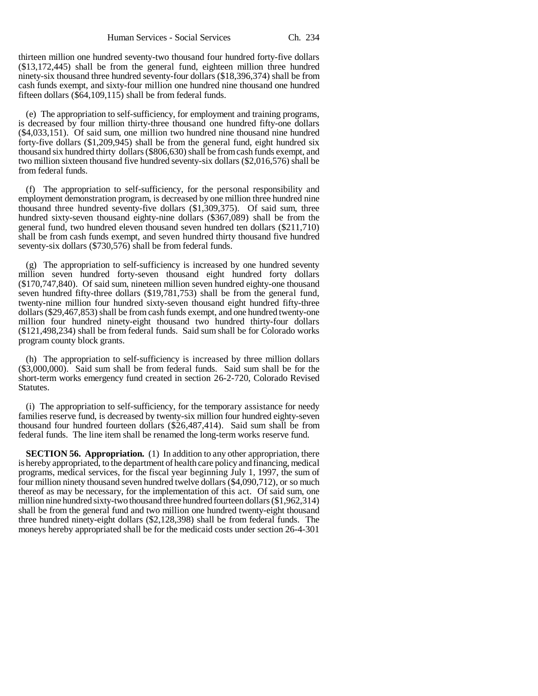thirteen million one hundred seventy-two thousand four hundred forty-five dollars (\$13,172,445) shall be from the general fund, eighteen million three hundred ninety-six thousand three hundred seventy-four dollars (\$18,396,374) shall be from cash funds exempt, and sixty-four million one hundred nine thousand one hundred fifteen dollars (\$64,109,115) shall be from federal funds.

(e) The appropriation to self-sufficiency, for employment and training programs, is decreased by four million thirty-three thousand one hundred fifty-one dollars (\$4,033,151). Of said sum, one million two hundred nine thousand nine hundred forty-five dollars (\$1,209,945) shall be from the general fund, eight hundred six thousand six hundred thirty dollars (\$806,630) shall be from cash funds exempt, and two million sixteen thousand five hundred seventy-six dollars (\$2,016,576) shall be from federal funds.

(f) The appropriation to self-sufficiency, for the personal responsibility and employment demonstration program, is decreased by one million three hundred nine thousand three hundred seventy-five dollars (\$1,309,375). Of said sum, three hundred sixty-seven thousand eighty-nine dollars (\$367,089) shall be from the general fund, two hundred eleven thousand seven hundred ten dollars (\$211,710) shall be from cash funds exempt, and seven hundred thirty thousand five hundred seventy-six dollars (\$730,576) shall be from federal funds.

(g) The appropriation to self-sufficiency is increased by one hundred seventy million seven hundred forty-seven thousand eight hundred forty dollars (\$170,747,840). Of said sum, nineteen million seven hundred eighty-one thousand seven hundred fifty-three dollars (\$19,781,753) shall be from the general fund, twenty-nine million four hundred sixty-seven thousand eight hundred fifty-three dollars (\$29,467,853) shall be from cash funds exempt, and one hundred twenty-one million four hundred ninety-eight thousand two hundred thirty-four dollars (\$121,498,234) shall be from federal funds. Said sum shall be for Colorado works program county block grants.

(h) The appropriation to self-sufficiency is increased by three million dollars (\$3,000,000). Said sum shall be from federal funds. Said sum shall be for the short-term works emergency fund created in section 26-2-720, Colorado Revised Statutes.

(i) The appropriation to self-sufficiency, for the temporary assistance for needy families reserve fund, is decreased by twenty-six million four hundred eighty-seven thousand four hundred fourteen dollars (\$26,487,414). Said sum shall be from federal funds. The line item shall be renamed the long-term works reserve fund.

**SECTION 56. Appropriation.** (1) In addition to any other appropriation, there is hereby appropriated, to the department of health care policy and financing, medical programs, medical services, for the fiscal year beginning July 1, 1997, the sum of four million ninety thousand seven hundred twelve dollars (\$4,090,712), or so much thereof as may be necessary, for the implementation of this act. Of said sum, one million nine hundred sixty-two thousand three hundred fourteen dollars (\$1,962,314) shall be from the general fund and two million one hundred twenty-eight thousand three hundred ninety-eight dollars (\$2,128,398) shall be from federal funds. The moneys hereby appropriated shall be for the medicaid costs under section 26-4-301